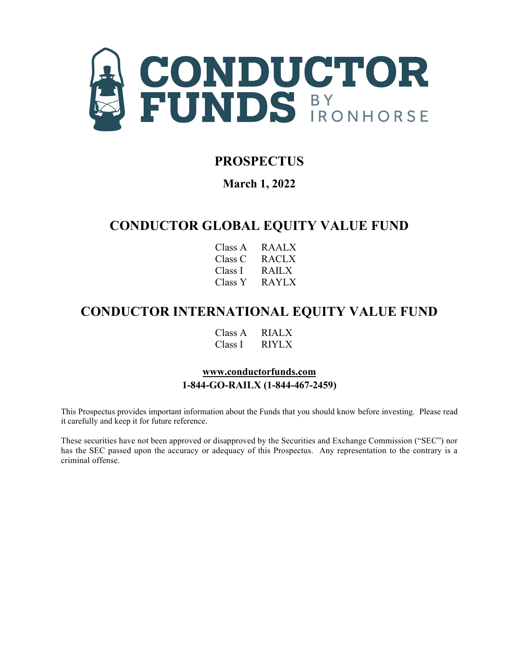

# **PROSPECTUS**

**March 1, 2022** 

# **CONDUCTOR GLOBAL EQUITY VALUE FUND**

| Class A | RAALX |
|---------|-------|
| Class C | RACLX |
| Class I | RAILX |
| Class Y | RAYLX |

# **CONDUCTOR INTERNATIONAL EQUITY VALUE FUND**

Class A RIALX Class I RIYLX

# **[www.conductorfunds.com](http://www.conductorfunds.com/) 1-844-GO-RAILX (1-844-467-2459)**

This Prospectus provides important information about the Funds that you should know before investing. Please read it carefully and keep it for future reference.

These securities have not been approved or disapproved by the Securities and Exchange Commission ("SEC") nor has the SEC passed upon the accuracy or adequacy of this Prospectus. Any representation to the contrary is a criminal offense.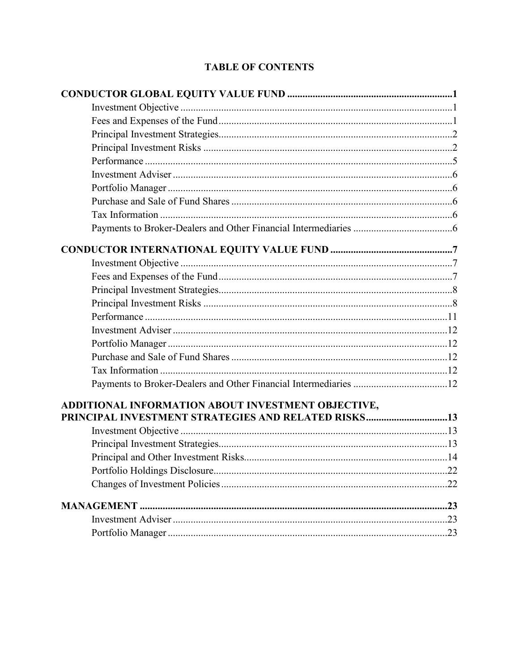# **TABLE OF CONTENTS**

| ADDITIONAL INFORMATION ABOUT INVESTMENT OBJECTIVE,  |  |
|-----------------------------------------------------|--|
| PRINCIPAL INVESTMENT STRATEGIES AND RELATED RISKS13 |  |
|                                                     |  |
|                                                     |  |
|                                                     |  |
|                                                     |  |
|                                                     |  |
|                                                     |  |
|                                                     |  |
|                                                     |  |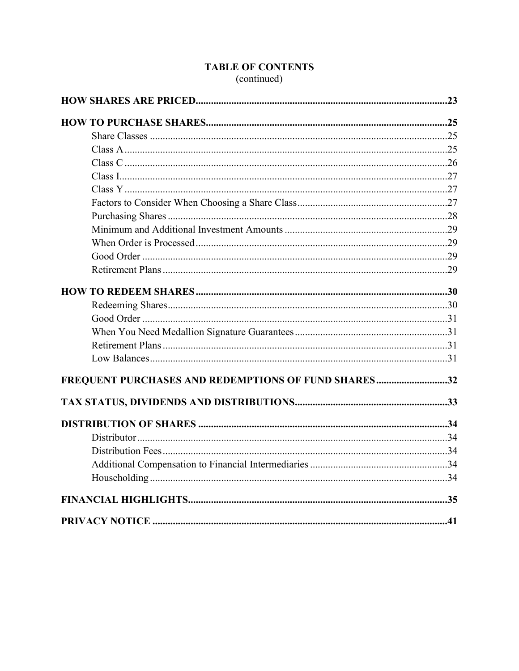| FREQUENT PURCHASES AND REDEMPTIONS OF FUND SHARES32 |  |
|-----------------------------------------------------|--|
|                                                     |  |
|                                                     |  |
|                                                     |  |
|                                                     |  |
|                                                     |  |
|                                                     |  |
|                                                     |  |
|                                                     |  |

# **TABLE OF CONTENTS** (continued)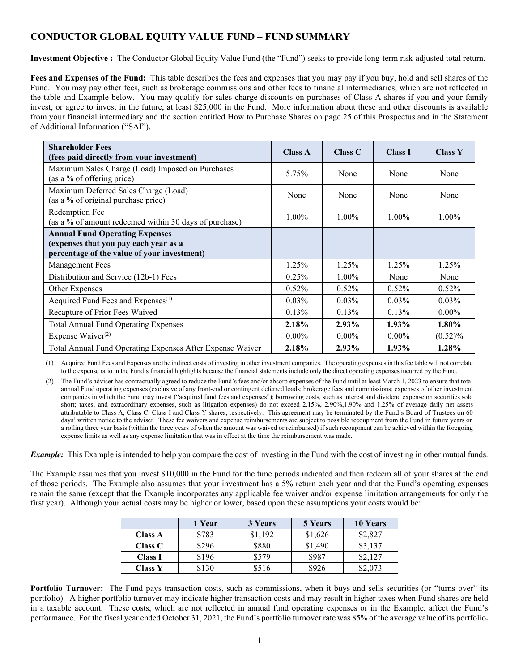# <span id="page-4-0"></span>**CONDUCTOR GLOBAL EQUITY VALUE FUND – FUND SUMMARY**

<span id="page-4-1"></span>**Investment Objective :** The Conductor Global Equity Value Fund (the "Fund") seeks to provide long-term risk-adjusted total return.

<span id="page-4-2"></span>**Fees and Expenses of the Fund:** This table describes the fees and expenses that you may pay if you buy, hold and sell shares of the Fund. You may pay other fees, such as brokerage commissions and other fees to financial intermediaries, which are not reflected in the table and Example below. You may qualify for sales charge discounts on purchases of Class A shares if you and your family invest, or agree to invest in the future, at least \$25,000 in the Fund. More information about these and other discounts is available from your financial intermediary and the section entitled How to Purchase Shares on page 25 of this Prospectus and in the Statement of Additional Information ("SAI").

| <b>Shareholder Fees</b><br>(fees paid directly from your investment)                                                          | <b>Class A</b> | Class C  | <b>Class I</b> | <b>Class Y</b> |
|-------------------------------------------------------------------------------------------------------------------------------|----------------|----------|----------------|----------------|
| Maximum Sales Charge (Load) Imposed on Purchases<br>(as a % of offering price)                                                | 5.75%          | None     | None           | None           |
| Maximum Deferred Sales Charge (Load)<br>(as a % of original purchase price)                                                   | None           | None     | None           | None           |
| Redemption Fee<br>(as a % of amount redeemed within 30 days of purchase)                                                      | 1.00%          | $1.00\%$ | $1.00\%$       | 1.00%          |
| <b>Annual Fund Operating Expenses</b><br>(expenses that you pay each year as a<br>percentage of the value of your investment) |                |          |                |                |
| <b>Management Fees</b>                                                                                                        | 1.25%          | 1.25%    | 1.25%          | 1.25%          |
| Distribution and Service (12b-1) Fees                                                                                         | 0.25%          | 1.00%    | None           | None           |
| Other Expenses                                                                                                                | 0.52%          | $0.52\%$ | $0.52\%$       | $0.52\%$       |
| Acquired Fund Fees and Expenses <sup>(1)</sup>                                                                                | $0.03\%$       | $0.03\%$ | $0.03\%$       | $0.03\%$       |
| Recapture of Prior Fees Waived                                                                                                | 0.13%          | $0.13\%$ | 0.13%          | $0.00\%$       |
| <b>Total Annual Fund Operating Expenses</b>                                                                                   | 2.18%          | $2.93\%$ | $1.93\%$       | $1.80\%$       |
| Expense Waiver $(2)$                                                                                                          | $0.00\%$       | $0.00\%$ | $0.00\%$       | $(0.52)\%$     |
| Total Annual Fund Operating Expenses After Expense Waiver                                                                     | 2.18%          | 2.93%    | $1.93\%$       | 1.28%          |

(1) Acquired Fund Fees and Expenses are the indirect costs of investing in other investment companies. The operating expensesin thisfee table will not correlate to the expense ratio in the Fund's financial highlights because the financial statements include only the direct operating expenses incurred by the Fund.

(2) The Fund's adviser has contractually agreed to reduce the Fund's fees and/or absorb expenses of the Fund until at least March 1, 2023 to ensure that total annual Fund operating expenses (exclusive of any front-end or contingent deferred loads; brokerage fees and commissions; expenses of other investment companies in which the Fund may invest ("acquired fund fees and expenses"); borrowing costs, such as interest and dividend expense on securities sold short; taxes; and extraordinary expenses, such as litigation expenses) do not exceed 2.15%, 2.90%,1.90% and 1.25% of average daily net assets attributable to Class A, Class C, Class I and Class Y shares, respectively. This agreement may be terminated by the Fund's Board of Trustees on 60 days' written notice to the adviser. These fee waivers and expense reimbursements are subject to possible recoupment from the Fund in future years on a rolling three year basis (within the three years of when the amount was waived or reimbursed) if such recoupment can be achieved within the foregoing expense limits as well as any expense limitation that was in effect at the time the reimbursement was made.

*Example:* This Example is intended to help you compare the cost of investing in the Fund with the cost of investing in other mutual funds.

The Example assumes that you invest \$10,000 in the Fund for the time periods indicated and then redeem all of your shares at the end of those periods. The Example also assumes that your investment has a 5% return each year and that the Fund's operating expenses remain the same (except that the Example incorporates any applicable fee waiver and/or expense limitation arrangements for only the first year). Although your actual costs may be higher or lower, based upon these assumptions your costs would be:

<span id="page-4-3"></span>

|                | 1 Year | 3 Years | 5 Years | 10 Years |
|----------------|--------|---------|---------|----------|
| <b>Class A</b> | \$783  | \$1,192 | \$1,626 | \$2,827  |
| Class C        | \$296  | \$880   | \$1,490 | \$3,137  |
| <b>Class I</b> | \$196  | \$579   | \$987   | \$2,127  |
| <b>Class Y</b> | \$130  | \$516   | \$926   | \$2,073  |

**Portfolio Turnover:** The Fund pays transaction costs, such as commissions, when it buys and sells securities (or "turns over" its portfolio). A higher portfolio turnover may indicate higher transaction costs and may result in higher taxes when Fund shares are held in a taxable account. These costs, which are not reflected in annual fund operating expenses or in the Example, affect the Fund's performance. For the fiscal year ended October 31, 2021, the Fund's portfolio turnover rate was 85% of the average value of its portfolio**.**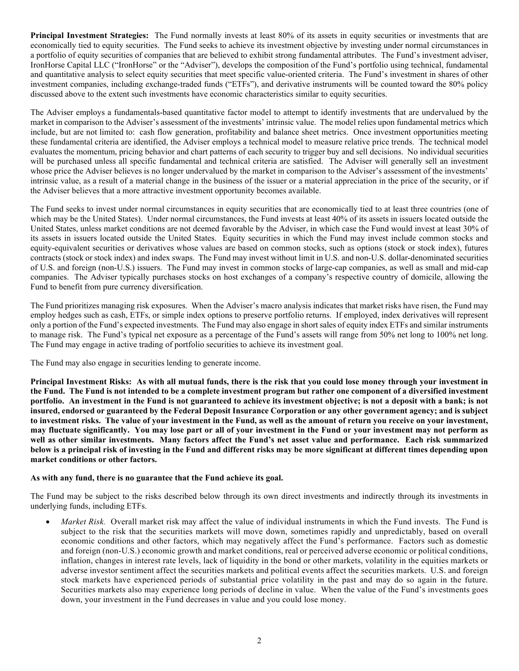**Principal Investment Strategies:** The Fund normally invests at least 80% of its assets in equity securities or investments that are economically tied to equity securities. The Fund seeks to achieve its investment objective by investing under normal circumstances in a portfolio of equity securities of companies that are believed to exhibit strong fundamental attributes. The Fund's investment adviser, IronHorse Capital LLC ("IronHorse" or the "Adviser"), develops the composition of the Fund's portfolio using technical, fundamental and quantitative analysis to select equity securities that meet specific value-oriented criteria. The Fund's investment in shares of other investment companies, including exchange-traded funds ("ETFs"), and derivative instruments will be counted toward the 80% policy discussed above to the extent such investments have economic characteristics similar to equity securities.

The Adviser employs a fundamentals-based quantitative factor model to attempt to identify investments that are undervalued by the market in comparison to the Adviser's assessment of the investments' intrinsic value. The model relies upon fundamental metrics which include, but are not limited to: cash flow generation, profitability and balance sheet metrics. Once investment opportunities meeting these fundamental criteria are identified, the Adviser employs a technical model to measure relative price trends. The technical model evaluates the momentum, pricing behavior and chart patterns of each security to trigger buy and sell decisions. No individual securities will be purchased unless all specific fundamental and technical criteria are satisfied. The Adviser will generally sell an investment whose price the Adviser believes is no longer undervalued by the market in comparison to the Adviser's assessment of the investments' intrinsic value, as a result of a material change in the business of the issuer or a material appreciation in the price of the security, or if the Adviser believes that a more attractive investment opportunity becomes available.

The Fund seeks to invest under normal circumstances in equity securities that are economically tied to at least three countries (one of which may be the United States). Under normal circumstances, the Fund invests at least 40% of its assets in issuers located outside the United States, unless market conditions are not deemed favorable by the Adviser, in which case the Fund would invest at least 30% of its assets in issuers located outside the United States. Equity securities in which the Fund may invest include common stocks and equity-equivalent securities or derivatives whose values are based on common stocks, such as options (stock or stock index), futures contracts (stock or stock index) and index swaps. The Fund may invest without limit in U.S. and non-U.S. dollar-denominated securities of U.S. and foreign (non-U.S.) issuers. The Fund may invest in common stocks of large-cap companies, as well as small and mid-cap companies. The Adviser typically purchases stocks on host exchanges of a company's respective country of domicile, allowing the Fund to benefit from pure currency diversification.

The Fund prioritizes managing risk exposures. When the Adviser's macro analysis indicates that market risks have risen, the Fund may employ hedges such as cash, ETFs, or simple index options to preserve portfolio returns. If employed, index derivatives will represent only a portion of the Fund's expected investments. The Fund may also engage in shortsales of equity index ETFs and similar instruments to manage risk. The Fund's typical net exposure as a percentage of the Fund's assets will range from 50% net long to 100% net long. The Fund may engage in active trading of portfolio securities to achieve its investment goal.

The Fund may also engage in securities lending to generate income.

<span id="page-5-0"></span>Principal Investment Risks: As with all mutual funds, there is the risk that you could lose money through your investment in the Fund. The Fund is not intended to be a complete investment program but rather one component of a diversified investment **portfolio. An investment in the Fund is not guaranteed to achieve its investment objective; is not a deposit with a bank; is not insured, endorsed or guaranteed by the Federal Deposit Insurance Corporation or any other government agency; and is subject to investment risks. The value of your investment in the Fund, as well as the amount of return you receive on your investment, may fluctuate significantly. You may lose part or all of your investment in the Fund or your investment may not perform as well as other similar investments. Many factors affect the Fund's net asset value and performance. Each risk summarized below is a principal risk of investing in the Fund and different risks may be more significant at different times depending upon market conditions or other factors.**

### **As with any fund, there is no guarantee that the Fund achieve its goal.**

The Fund may be subject to the risks described below through its own direct investments and indirectly through its investments in underlying funds, including ETFs.

• *Market Risk.* Overall market risk may affect the value of individual instruments in which the Fund invests. The Fund is subject to the risk that the securities markets will move down, sometimes rapidly and unpredictably, based on overall economic conditions and other factors, which may negatively affect the Fund's performance. Factors such as domestic and foreign (non-U.S.) economic growth and market conditions, real or perceived adverse economic or political conditions, inflation, changes in interest rate levels, lack of liquidity in the bond or other markets, volatility in the equities markets or adverse investor sentiment affect the securities markets and political events affect the securities markets. U.S. and foreign stock markets have experienced periods of substantial price volatility in the past and may do so again in the future. Securities markets also may experience long periods of decline in value. When the value of the Fund's investments goes down, your investment in the Fund decreases in value and you could lose money.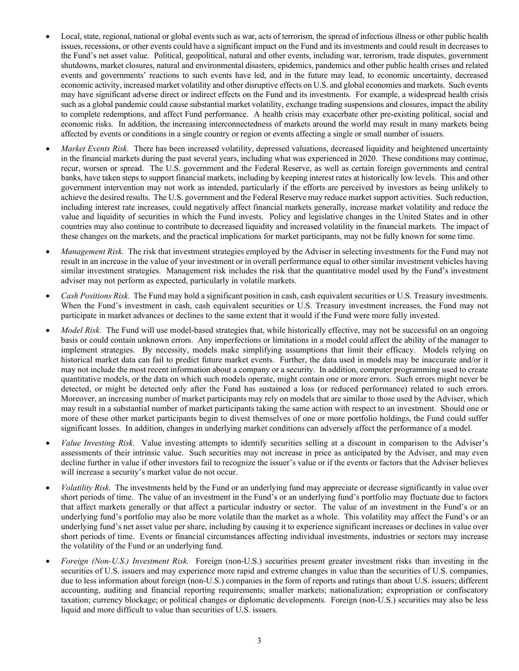- Local, state, regional, national or global events such as war, acts of terrorism, the spread of infectious illness or other public health issues, recessions, or other events could have a significant impact on the Fund and its investments and could result in decreases to the Fund's net asset value. Political, geopolitical, natural and other events, including war, terrorism, trade disputes, government shutdowns, market closures, natural and environmental disasters, epidemics, pandemics and other public health crises and related events and governments' reactions to such events have led, and in the future may lead, to economic uncertainty, decreased economic activity, increased market volatility and other disruptive effects on U.S. and global economies and markets. Such events may have significant adverse direct or indirect effects on the Fund and its investments. For example, a widespread health crisis such as a global pandemic could cause substantial market volatility, exchange trading suspensions and closures, impact the ability to complete redemptions, and affect Fund performance. A health crisis may exacerbate other pre-existing political, social and economic risks. In addition, the increasing interconnectedness of markets around the world may result in many markets being affected by events or conditions in a single country or region or events affecting a single or small number of issuers.
- *Market Events Risk.* There has been increased volatility, depressed valuations, decreased liquidity and heightened uncertainty in the financial markets during the past several years, including what was experienced in 2020. These conditions may continue, recur, worsen or spread. The U.S. government and the Federal Reserve, as well as certain foreign governments and central banks, have taken steps to support financial markets, including by keeping interest rates at historically low levels. This and other government intervention may not work as intended, particularly if the efforts are perceived by investors as being unlikely to achieve the desired results. The U.S. government and the Federal Reserve may reduce market support activities. Such reduction, including interest rate increases, could negatively affect financial markets generally, increase market volatility and reduce the value and liquidity of securities in which the Fund invests. Policy and legislative changes in the United States and in other countries may also continue to contribute to decreased liquidity and increased volatility in the financial markets. The impact of these changes on the markets, and the practical implications for market participants, may not be fully known for some time.
- *Management Risk.* The risk that investment strategies employed by the Adviser in selecting investments for the Fund may not result in an increase in the value of your investment or in overall performance equal to other similar investment vehicles having similar investment strategies. Management risk includes the risk that the quantitative model used by the Fund's investment adviser may not perform as expected, particularly in volatile markets.
- *Cash Positions Risk.* The Fund may hold a significant position in cash, cash equivalent securities or U.S. Treasury investments. When the Fund's investment in cash, cash equivalent securities or U.S. Treasury investment increases, the Fund may not participate in market advances or declines to the same extent that it would if the Fund were more fully invested.
- *Model Risk.* The Fund will use model-based strategies that, while historically effective, may not be successful on an ongoing basis or could contain unknown errors. Any imperfections or limitations in a model could affect the ability of the manager to implement strategies. By necessity, models make simplifying assumptions that limit their efficacy. Models relying on historical market data can fail to predict future market events. Further, the data used in models may be inaccurate and/or it may not include the most recent information about a company or a security. In addition, computer programming used to create quantitative models, or the data on which such models operate, might contain one or more errors. Such errors might never be detected, or might be detected only after the Fund has sustained a loss (or reduced performance) related to such errors. Moreover, an increasing number of market participants may rely on models that are similar to those used by the Adviser, which may result in a substantial number of market participants taking the same action with respect to an investment. Should one or more of these other market participants begin to divest themselves of one or more portfolio holdings, the Fund could suffer significant losses. In addition, changes in underlying market conditions can adversely affect the performance of a model.
- *Value Investing Risk.* Value investing attempts to identify securities selling at a discount in comparison to the Adviser's assessments of their intrinsic value. Such securities may not increase in price as anticipated by the Adviser, and may even decline further in value if other investors fail to recognize the issuer's value or if the events or factors that the Adviser believes will increase a security's market value do not occur.
- *Volatility Risk.* The investments held by the Fund or an underlying fund may appreciate or decrease significantly in value over short periods of time. The value of an investment in the Fund's or an underlying fund's portfolio may fluctuate due to factors that affect markets generally or that affect a particular industry or sector. The value of an investment in the Fund's or an underlying fund's portfolio may also be more volatile than the market as a whole. This volatility may affect the Fund's or an underlying fund's net asset value per share, including by causing it to experience significant increases or declines in value over short periods of time. Events or financial circumstances affecting individual investments, industries or sectors may increase the volatility of the Fund or an underlying fund.
- *Foreign (Non-U.S.) Investment Risk.* Foreign (non-U.S.) securities present greater investment risks than investing in the securities of U.S. issuers and may experience more rapid and extreme changes in value than the securities of U.S. companies, due to less information about foreign (non-U.S.) companies in the form of reports and ratings than about U.S. issuers; different accounting, auditing and financial reporting requirements; smaller markets; nationalization; expropriation or confiscatory taxation; currency blockage; or political changes or diplomatic developments. Foreign (non-U.S.) securities may also be less liquid and more difficult to value than securities of U.S. issuers.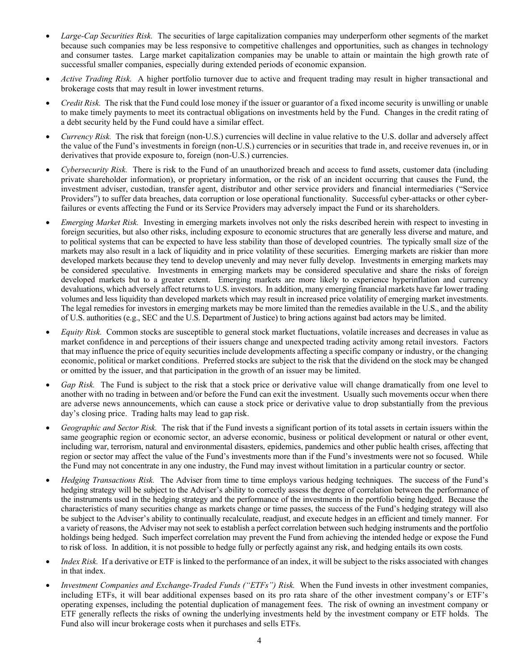- *Large-Cap Securities Risk.* The securities of large capitalization companies may underperform other segments of the market because such companies may be less responsive to competitive challenges and opportunities, such as changes in technology and consumer tastes. Large market capitalization companies may be unable to attain or maintain the high growth rate of successful smaller companies, especially during extended periods of economic expansion.
- *Active Trading Risk.* A higher portfolio turnover due to active and frequent trading may result in higher transactional and brokerage costs that may result in lower investment returns.
- *Credit Risk.* The risk that the Fund could lose money if the issuer or guarantor of a fixed income security is unwilling or unable to make timely payments to meet its contractual obligations on investments held by the Fund. Changes in the credit rating of a debt security held by the Fund could have a similar effect.
- *Currency Risk.* The risk that foreign (non-U.S.) currencies will decline in value relative to the U.S. dollar and adversely affect the value of the Fund's investments in foreign (non-U.S.) currencies or in securities that trade in, and receive revenues in, or in derivatives that provide exposure to, foreign (non-U.S.) currencies.
- *Cybersecurity Risk.* There is risk to the Fund of an unauthorized breach and access to fund assets, customer data (including private shareholder information), or proprietary information, or the risk of an incident occurring that causes the Fund, the investment adviser, custodian, transfer agent, distributor and other service providers and financial intermediaries ("Service Providers") to suffer data breaches, data corruption or lose operational functionality. Successful cyber-attacks or other cyberfailures or events affecting the Fund or its Service Providers may adversely impact the Fund or its shareholders.
- *Emerging Market Risk.* Investing in emerging markets involves not only the risks described herein with respect to investing in foreign securities, but also other risks, including exposure to economic structures that are generally less diverse and mature, and to political systems that can be expected to have less stability than those of developed countries. The typically small size of the markets may also result in a lack of liquidity and in price volatility of these securities. Emerging markets are riskier than more developed markets because they tend to develop unevenly and may never fully develop. Investments in emerging markets may be considered speculative. Investments in emerging markets may be considered speculative and share the risks of foreign developed markets but to a greater extent. Emerging markets are more likely to experience hyperinflation and currency devaluations, which adversely affect returns to U.S. investors. In addition, many emerging financial markets have far lower trading volumes and less liquidity than developed markets which may result in increased price volatility of emerging market investments. The legal remedies for investors in emerging markets may be more limited than the remedies available in the U.S., and the ability of U.S. authorities (e.g., SEC and the U.S. Department of Justice) to bring actions against bad actors may be limited.
- *Equity Risk.* Common stocks are susceptible to general stock market fluctuations, volatile increases and decreases in value as market confidence in and perceptions of their issuers change and unexpected trading activity among retail investors. Factors that may influence the price of equity securities include developments affecting a specific company or industry, or the changing economic, political or market conditions. Preferred stocks are subject to the risk that the dividend on the stock may be changed or omitted by the issuer, and that participation in the growth of an issuer may be limited.
- *Gap Risk.* The Fund is subject to the risk that a stock price or derivative value will change dramatically from one level to another with no trading in between and/or before the Fund can exit the investment. Usually such movements occur when there are adverse news announcements, which can cause a stock price or derivative value to drop substantially from the previous day's closing price. Trading halts may lead to gap risk.
- *Geographic and Sector Risk.* The risk that if the Fund invests a significant portion of its total assets in certain issuers within the same geographic region or economic sector, an adverse economic, business or political development or natural or other event, including war, terrorism, natural and environmental disasters, epidemics, pandemics and other public health crises, affecting that region or sector may affect the value of the Fund's investments more than if the Fund's investments were not so focused. While the Fund may not concentrate in any one industry, the Fund may invest without limitation in a particular country or sector.
- *Hedging Transactions Risk.* The Adviser from time to time employs various hedging techniques. The success of the Fund's hedging strategy will be subject to the Adviser's ability to correctly assess the degree of correlation between the performance of the instruments used in the hedging strategy and the performance of the investments in the portfolio being hedged. Because the characteristics of many securities change as markets change or time passes, the success of the Fund's hedging strategy will also be subject to the Adviser's ability to continually recalculate, readjust, and execute hedges in an efficient and timely manner. For a variety of reasons, the Adviser may notseek to establish a perfect correlation between such hedging instruments and the portfolio holdings being hedged. Such imperfect correlation may prevent the Fund from achieving the intended hedge or expose the Fund to risk of loss. In addition, it is not possible to hedge fully or perfectly against any risk, and hedging entails its own costs.
- *Index Risk.* If a derivative or ETF is linked to the performance of an index, it will be subject to the risks associated with changes in that index.
- *Investment Companies and Exchange-Traded Funds ("ETFs") Risk.* When the Fund invests in other investment companies, including ETFs, it will bear additional expenses based on its pro rata share of the other investment company's or ETF's operating expenses, including the potential duplication of management fees. The risk of owning an investment company or ETF generally reflects the risks of owning the underlying investments held by the investment company or ETF holds. The Fund also will incur brokerage costs when it purchases and sells ETFs.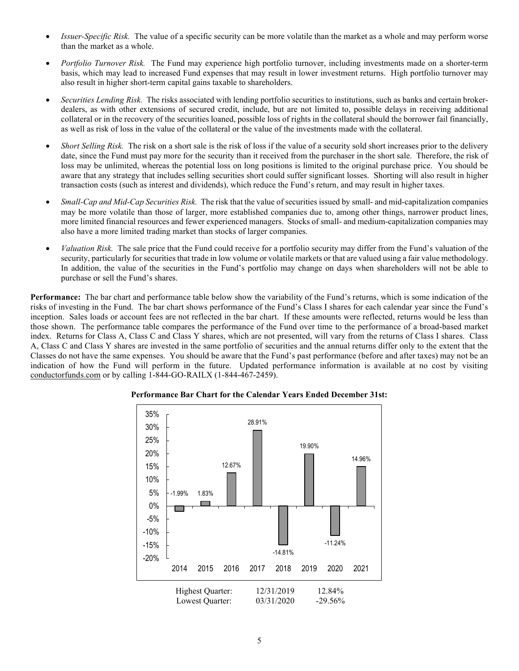- *Issuer-Specific Risk.* The value of a specific security can be more volatile than the market as a whole and may perform worse than the market as a whole.
- *Portfolio Turnover Risk.* The Fund may experience high portfolio turnover, including investments made on a shorter-term basis, which may lead to increased Fund expenses that may result in lower investment returns. High portfolio turnover may also result in higher short-term capital gains taxable to shareholders.
- *Securities Lending Risk.* The risks associated with lending portfolio securities to institutions, such as banks and certain brokerdealers, as with other extensions of secured credit, include, but are not limited to, possible delays in receiving additional collateral or in the recovery of the securities loaned, possible loss of rights in the collateral should the borrower fail financially, as well as risk of loss in the value of the collateral or the value of the investments made with the collateral.
- *Short Selling Risk.* The risk on a short sale is the risk of loss if the value of a security sold short increases prior to the delivery date, since the Fund must pay more for the security than it received from the purchaser in the short sale. Therefore, the risk of loss may be unlimited, whereas the potential loss on long positions is limited to the original purchase price. You should be aware that any strategy that includes selling securities short could suffer significant losses. Shorting will also result in higher transaction costs (such as interest and dividends), which reduce the Fund's return, and may result in higher taxes.
- *Small-Cap and Mid-Cap Securities Risk.* The risk that the value of securities issued by small- and mid-capitalization companies may be more volatile than those of larger, more established companies due to, among other things, narrower product lines, more limited financial resources and fewer experienced managers. Stocks of small- and medium-capitalization companies may also have a more limited trading market than stocks of larger companies.
- *Valuation Risk.* The sale price that the Fund could receive for a portfolio security may differ from the Fund's valuation of the security, particularly for securities that trade in low volume or volatile markets or that are valued using a fair value methodology. In addition, the value of the securities in the Fund's portfolio may change on days when shareholders will not be able to purchase or sell the Fund's shares.

<span id="page-8-0"></span>**Performance:** The bar chart and performance table below show the variability of the Fund's returns, which is some indication of the risks of investing in the Fund. The bar chart shows performance of the Fund's Class I shares for each calendar year since the Fund's inception. Sales loads or account fees are not reflected in the bar chart. If these amounts were reflected, returns would be less than those shown. The performance table compares the performance of the Fund over time to the performance of a broad-based market index. Returns for Class A, Class C and Class Y shares, which are not presented, will vary from the returns of Class I shares. Class A, Class C and Class Y shares are invested in the same portfolio of securities and the annual returns differ only to the extent that the Classes do not have the same expenses. You should be aware that the Fund's past performance (before and after taxes) may not be an indication of how the Fund will perform in the future. Updated performance information is available at no cost by visiting [conductorfunds.com](http://www.conductorfunds.com/) or by calling 1-844-GO-RAILX (1-844-467-2459).



**Performance Bar Chart for the Calendar Years Ended December 31st:**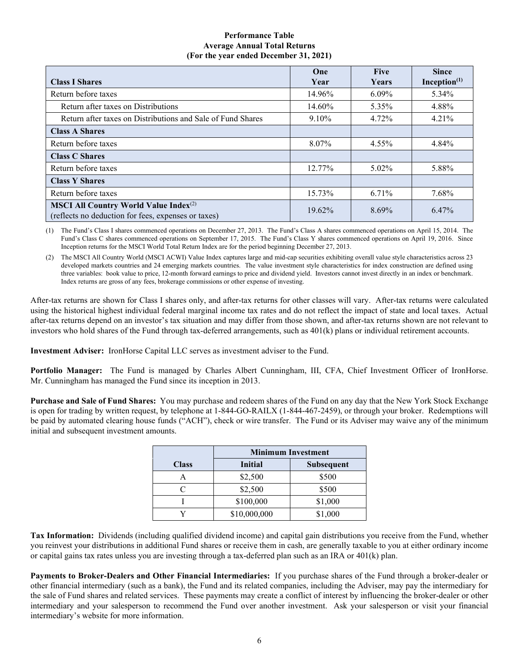### **Performance Table Average Annual Total Returns (For the year ended December 31, 2021)**

|                                                                                                                 | One       | <b>Five</b> | <b>Since</b>    |
|-----------------------------------------------------------------------------------------------------------------|-----------|-------------|-----------------|
| <b>Class I Shares</b>                                                                                           | Year      | Years       | Inception $(1)$ |
| Return before taxes                                                                                             | 14.96%    | $6.09\%$    | 5.34%           |
| Return after taxes on Distributions                                                                             | 14.60%    | 5.35%       | 4.88%           |
| Return after taxes on Distributions and Sale of Fund Shares                                                     | $9.10\%$  | 4.72%       | 4.21%           |
| <b>Class A Shares</b>                                                                                           |           |             |                 |
| Return before taxes                                                                                             | 8.07%     | 4.55%       | 4.84%           |
| <b>Class C Shares</b>                                                                                           |           |             |                 |
| Return before taxes                                                                                             | $12.77\%$ | $5.02\%$    | 5.88%           |
| <b>Class Y Shares</b>                                                                                           |           |             |                 |
| Return before taxes                                                                                             | 15.73%    | 6.71%       | 7.68%           |
| <b>MSCI All Country World Value Index</b> <sup>(2)</sup><br>(reflects no deduction for fees, expenses or taxes) | $19.62\%$ | 8.69%       | 6.47%           |

(1) The Fund's Class I shares commenced operations on December 27, 2013. The Fund's Class A shares commenced operations on April 15, 2014. The Fund's Class C shares commenced operations on September 17, 2015. The Fund's Class Y shares commenced operations on April 19, 2016. Since Inception returns for the MSCI World Total Return Index are for the period beginning December 27, 2013.

(2) The MSCI All Country World (MSCI ACWI) Value Index captures large and mid-cap securities exhibiting overall value style characteristics across 23 developed markets countries and 24 emerging markets countries. The value investment style characteristics for index construction are defined using three variables: book value to price, 12-month forward earnings to price and dividend yield. Investors cannot invest directly in an index or benchmark. Index returns are gross of any fees, brokerage commissions or other expense of investing.

After-tax returns are shown for Class I shares only, and after-tax returns for other classes will vary. After-tax returns were calculated using the historical highest individual federal marginal income tax rates and do not reflect the impact of state and local taxes. Actual after-tax returns depend on an investor's tax situation and may differ from those shown, and after-tax returns shown are not relevant to investors who hold shares of the Fund through tax-deferred arrangements, such as 401(k) plans or individual retirement accounts.

<span id="page-9-0"></span>**Investment Adviser:** IronHorse Capital LLC serves as investment adviser to the Fund.

<span id="page-9-1"></span>**Portfolio Manager:** The Fund is managed by Charles Albert Cunningham, III, CFA, Chief Investment Officer of IronHorse. Mr. Cunningham has managed the Fund since its inception in 2013.

<span id="page-9-2"></span>**Purchase and Sale of Fund Shares:** You may purchase and redeem shares of the Fund on any day that the New York Stock Exchange is open for trading by written request, by telephone at 1-844-GO-RAILX (1-844-467-2459), or through your broker. Redemptions will be paid by automated clearing house funds ("ACH"), check or wire transfer. The Fund or its Adviser may waive any of the minimum initial and subsequent investment amounts.

|              | <b>Minimum Investment</b>           |         |  |
|--------------|-------------------------------------|---------|--|
| <b>Class</b> | <b>Initial</b><br><b>Subsequent</b> |         |  |
|              | \$2,500                             | \$500   |  |
|              | \$2,500                             | \$500   |  |
|              | \$100,000                           | \$1,000 |  |
|              | \$10,000,000                        | \$1,000 |  |

<span id="page-9-3"></span>**Tax Information:** Dividends (including qualified dividend income) and capital gain distributions you receive from the Fund, whether you reinvest your distributions in additional Fund shares or receive them in cash, are generally taxable to you at either ordinary income or capital gains tax rates unless you are investing through a tax-deferred plan such as an IRA or 401(k) plan.

<span id="page-9-5"></span><span id="page-9-4"></span>**Payments to Broker-Dealers and Other Financial Intermediaries:** If you purchase shares of the Fund through a broker-dealer or other financial intermediary (such as a bank), the Fund and its related companies, including the Adviser, may pay the intermediary for the sale of Fund shares and related services. These payments may create a conflict of interest by influencing the broker-dealer or other intermediary and your salesperson to recommend the Fund over another investment. Ask your salesperson or visit your financial intermediary's website for more information.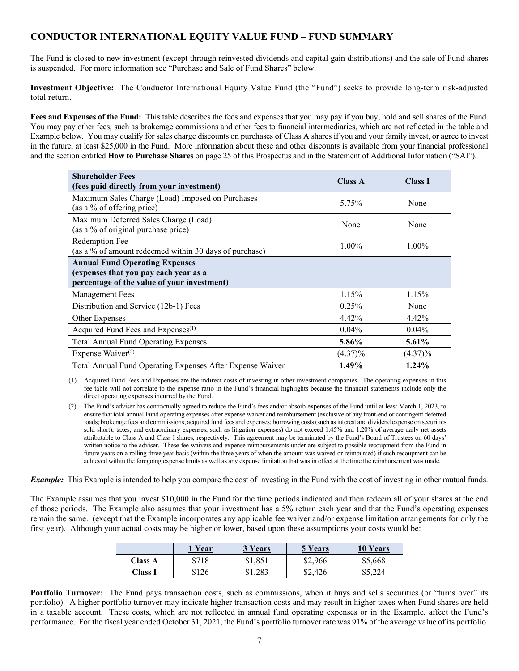# **CONDUCTOR INTERNATIONAL EQUITY VALUE FUND – FUND SUMMARY**

The Fund is closed to new investment (except through reinvested dividends and capital gain distributions) and the sale of Fund shares is suspended. For more information see "Purchase and Sale of Fund Shares" below.

<span id="page-10-0"></span>**Investment Objective:** The Conductor International Equity Value Fund (the "Fund") seeks to provide long-term risk-adjusted total return.

<span id="page-10-1"></span>**Fees and Expenses of the Fund:** This table describes the fees and expenses that you may pay if you buy, hold and sell shares of the Fund. You may pay other fees, such as brokerage commissions and other fees to financial intermediaries, which are not reflected in the table and Example below. You may qualify for sales charge discounts on purchases of Class A shares if you and your family invest, or agree to invest in the future, at least \$25,000 in the Fund. More information about these and other discounts is available from your financial professional and the section entitled **How to Purchase Shares** on page 25 of this Prospectus and in the Statement of Additional Information ("SAI").

| <b>Shareholder Fees</b><br>(fees paid directly from your investment)                                                          | <b>Class A</b> | <b>Class I</b> |
|-------------------------------------------------------------------------------------------------------------------------------|----------------|----------------|
| Maximum Sales Charge (Load) Imposed on Purchases<br>(as a % of offering price)                                                | 5.75%          | None           |
| Maximum Deferred Sales Charge (Load)<br>(as a % of original purchase price)                                                   | None           | None           |
| Redemption Fee<br>(as a % of amount redeemed within 30 days of purchase)                                                      | $1.00\%$       | 1.00%          |
| <b>Annual Fund Operating Expenses</b><br>(expenses that you pay each year as a<br>percentage of the value of your investment) |                |                |
| Management Fees                                                                                                               | 1.15%          | 1.15%          |
| Distribution and Service (12b-1) Fees                                                                                         | 0.25%          | None           |
| Other Expenses                                                                                                                | 4.42%          | 4.42%          |
| Acquired Fund Fees and Expenses <sup>(1)</sup>                                                                                | $0.04\%$       | $0.04\%$       |
| <b>Total Annual Fund Operating Expenses</b>                                                                                   | 5.86%          | 5.61%          |
| Expense Waiver <sup>(2)</sup>                                                                                                 | $(4.37)\%$     | $(4.37)\%$     |
| Total Annual Fund Operating Expenses After Expense Waiver                                                                     | 1.49%          | 1.24%          |

(1) Acquired Fund Fees and Expenses are the indirect costs of investing in other investment companies. The operating expenses in this fee table will not correlate to the expense ratio in the Fund's financial highlights because the financial statements include only the direct operating expenses incurred by the Fund.

(2) The Fund's adviser has contractually agreed to reduce the Fund's fees and/or absorb expenses of the Fund until at least March 1, 2023, to ensure that total annual Fund operating expenses after expense waiver and reimbursement (exclusive of any front-end or contingent deferred loads; brokerage fees and commissions; acquired fund fees and expenses; borrowing costs (such as interest and dividend expense on securities sold short); taxes; and extraordinary expenses, such as litigation expenses) do not exceed 1.45% and 1.20% of average daily net assets attributable to Class A and Class I shares, respectively. This agreement may be terminated by the Fund's Board of Trustees on 60 days' written notice to the adviser. These fee waivers and expense reimbursements under are subject to possible recoupment from the Fund in future years on a rolling three year basis (within the three years of when the amount was waived or reimbursed) if such recoupment can be achieved within the foregoing expense limits as well as any expense limitation that was in effect at the time the reimbursement was made.

*Example:* This Example is intended to help you compare the cost of investing in the Fund with the cost of investing in other mutual funds.

The Example assumes that you invest \$10,000 in the Fund for the time periods indicated and then redeem all of your shares at the end of those periods. The Example also assumes that your investment has a 5% return each year and that the Fund's operating expenses remain the same. (except that the Example incorporates any applicable fee waiver and/or expense limitation arrangements for only the first year). Although your actual costs may be higher or lower, based upon these assumptions your costs would be:

|                | l Year | 3 Years | 5 Years | <b>10 Years</b> |
|----------------|--------|---------|---------|-----------------|
| <b>Class A</b> | \$718  | \$1,851 | \$2,966 | \$5,668         |
| <b>Class I</b> | \$126  | \$1,283 | \$2,426 | \$5,224         |

**Portfolio Turnover:** The Fund pays transaction costs, such as commissions, when it buys and sells securities (or "turns over" its portfolio). A higher portfolio turnover may indicate higher transaction costs and may result in higher taxes when Fund shares are held in a taxable account. These costs, which are not reflected in annual fund operating expenses or in the Example, affect the Fund's performance. For the fiscal year ended October 31, 2021, the Fund's portfolio turnover rate was 91% of the average value of its portfolio.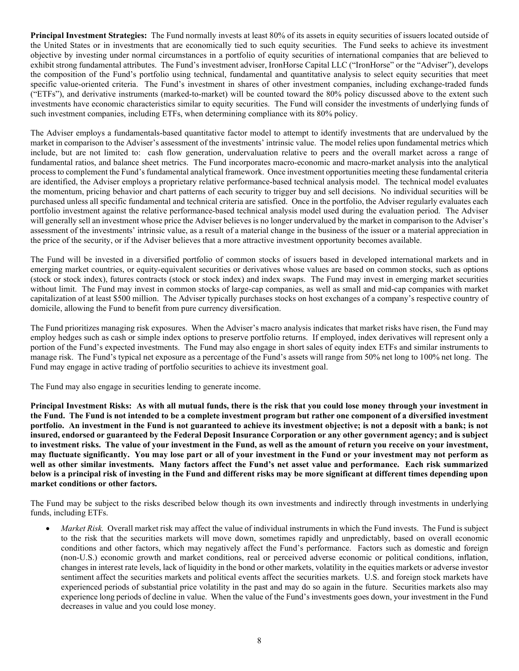<span id="page-11-0"></span>**Principal Investment Strategies:** The Fund normally invests at least 80% of its assets in equity securities of issuers located outside of the United States or in investments that are economically tied to such equity securities. The Fund seeks to achieve its investment objective by investing under normal circumstances in a portfolio of equity securities of international companies that are believed to exhibit strong fundamental attributes. The Fund's investment adviser, IronHorse Capital LLC ("IronHorse" or the "Adviser"), develops the composition of the Fund's portfolio using technical, fundamental and quantitative analysis to select equity securities that meet specific value-oriented criteria. The Fund's investment in shares of other investment companies, including exchange-traded funds ("ETFs"), and derivative instruments (marked-to-market) will be counted toward the 80% policy discussed above to the extent such investments have economic characteristics similar to equity securities. The Fund will consider the investments of underlying funds of such investment companies, including ETFs, when determining compliance with its 80% policy.

The Adviser employs a fundamentals-based quantitative factor model to attempt to identify investments that are undervalued by the market in comparison to the Adviser's assessment of the investments' intrinsic value. The model relies upon fundamental metrics which include, but are not limited to: cash flow generation, undervaluation relative to peers and the overall market across a range of fundamental ratios, and balance sheet metrics. The Fund incorporates macro-economic and macro-market analysis into the analytical process to complement the Fund's fundamental analytical framework. Once investment opportunities meeting these fundamental criteria are identified, the Adviser employs a proprietary relative performance-based technical analysis model. The technical model evaluates the momentum, pricing behavior and chart patterns of each security to trigger buy and sell decisions. No individual securities will be purchased unless all specific fundamental and technical criteria are satisfied. Once in the portfolio, the Adviser regularly evaluates each portfolio investment against the relative performance-based technical analysis model used during the evaluation period. The Adviser will generally sell an investment whose price the Adviser believes is no longer undervalued by the market in comparison to the Adviser's assessment of the investments' intrinsic value, as a result of a material change in the business of the issuer or a material appreciation in the price of the security, or if the Adviser believes that a more attractive investment opportunity becomes available.

The Fund will be invested in a diversified portfolio of common stocks of issuers based in developed international markets and in emerging market countries, or equity-equivalent securities or derivatives whose values are based on common stocks, such as options (stock or stock index), futures contracts (stock or stock index) and index swaps. The Fund may invest in emerging market securities without limit. The Fund may invest in common stocks of large-cap companies, as well as small and mid-cap companies with market capitalization of at least \$500 million. The Adviser typically purchases stocks on host exchanges of a company's respective country of domicile, allowing the Fund to benefit from pure currency diversification.

The Fund prioritizes managing risk exposures. When the Adviser's macro analysis indicates that market risks have risen, the Fund may employ hedges such as cash or simple index options to preserve portfolio returns. If employed, index derivatives will represent only a portion of the Fund's expected investments. The Fund may also engage in short sales of equity index ETFs and similar instruments to manage risk. The Fund's typical net exposure as a percentage of the Fund's assets will range from 50% net long to 100% net long. The Fund may engage in active trading of portfolio securities to achieve its investment goal.

The Fund may also engage in securities lending to generate income.

<span id="page-11-1"></span>**Principal Investment Risks: As with all mutual funds, there is the risk that you could lose money through your investment in the Fund. The Fund is not intended to be a complete investment program but rather one component of a diversified investment portfolio. An investment in the Fund is not guaranteed to achieve its investment objective; is not a deposit with a bank; is not insured, endorsed or guaranteed by the Federal Deposit Insurance Corporation or any other government agency; and is subject to investment risks. The value of your investment in the Fund, as well as the amount of return you receive on your investment, may fluctuate significantly. You may lose part or all of your investment in the Fund or your investment may not perform as well as other similar investments. Many factors affect the Fund's net asset value and performance. Each risk summarized below is a principal risk of investing in the Fund and different risks may be more significant at different times depending upon market conditions or other factors.**

The Fund may be subject to the risks described below though its own investments and indirectly through investments in underlying funds, including ETFs.

*Market Risk.* Overall market risk may affect the value of individual instruments in which the Fund invests. The Fund is subject to the risk that the securities markets will move down, sometimes rapidly and unpredictably, based on overall economic conditions and other factors, which may negatively affect the Fund's performance. Factors such as domestic and foreign (non-U.S.) economic growth and market conditions, real or perceived adverse economic or political conditions, inflation, changes in interest rate levels, lack of liquidity in the bond or other markets, volatility in the equities markets or adverse investor sentiment affect the securities markets and political events affect the securities markets. U.S. and foreign stock markets have experienced periods of substantial price volatility in the past and may do so again in the future. Securities markets also may experience long periods of decline in value. When the value of the Fund's investments goes down, your investment in the Fund decreases in value and you could lose money.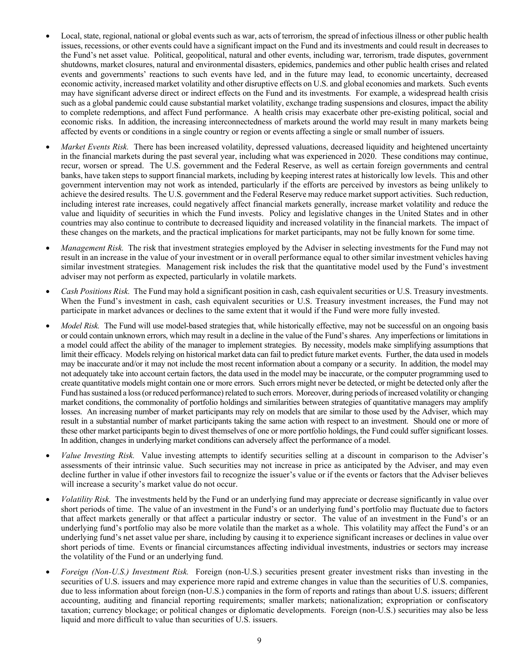- Local, state, regional, national or global events such as war, acts of terrorism, the spread of infectious illness or other public health issues, recessions, or other events could have a significant impact on the Fund and its investments and could result in decreases to the Fund's net asset value. Political, geopolitical, natural and other events, including war, terrorism, trade disputes, government shutdowns, market closures, natural and environmental disasters, epidemics, pandemics and other public health crises and related events and governments' reactions to such events have led, and in the future may lead, to economic uncertainty, decreased economic activity, increased market volatility and other disruptive effects on U.S. and global economies and markets. Such events may have significant adverse direct or indirect effects on the Fund and its investments. For example, a widespread health crisis such as a global pandemic could cause substantial market volatility, exchange trading suspensions and closures, impact the ability to complete redemptions, and affect Fund performance. A health crisis may exacerbate other pre-existing political, social and economic risks. In addition, the increasing interconnectedness of markets around the world may result in many markets being affected by events or conditions in a single country or region or events affecting a single or small number of issuers.
- *Market Events Risk.* There has been increased volatility, depressed valuations, decreased liquidity and heightened uncertainty in the financial markets during the past several year, including what was experienced in 2020. These conditions may continue, recur, worsen or spread. The U.S. government and the Federal Reserve, as well as certain foreign governments and central banks, have taken steps to support financial markets, including by keeping interest rates at historically low levels. This and other government intervention may not work as intended, particularly if the efforts are perceived by investors as being unlikely to achieve the desired results. The U.S. government and the Federal Reserve may reduce market support activities. Such reduction, including interest rate increases, could negatively affect financial markets generally, increase market volatility and reduce the value and liquidity of securities in which the Fund invests. Policy and legislative changes in the United States and in other countries may also continue to contribute to decreased liquidity and increased volatility in the financial markets. The impact of these changes on the markets, and the practical implications for market participants, may not be fully known for some time.
- *Management Risk.* The risk that investment strategies employed by the Adviser in selecting investments for the Fund may not result in an increase in the value of your investment or in overall performance equal to other similar investment vehicles having similar investment strategies. Management risk includes the risk that the quantitative model used by the Fund's investment adviser may not perform as expected, particularly in volatile markets.
- *Cash Positions Risk.* The Fund may hold a significant position in cash, cash equivalent securities or U.S. Treasury investments. When the Fund's investment in cash, cash equivalent securities or U.S. Treasury investment increases, the Fund may not participate in market advances or declines to the same extent that it would if the Fund were more fully invested.
- *Model Risk.* The Fund will use model-based strategies that, while historically effective, may not be successful on an ongoing basis or could contain unknown errors, which may result in a decline in the value of the Fund's shares. Any imperfections or limitations in a model could affect the ability of the manager to implement strategies. By necessity, models make simplifying assumptions that limit their efficacy. Models relying on historical market data can fail to predict future market events. Further, the data used in models may be inaccurate and/or it may not include the most recent information about a company or a security. In addition, the model may not adequately take into account certain factors, the data used in the model may be inaccurate, or the computer programming used to create quantitative models might contain one or more errors. Such errors might never be detected, or might be detected only after the Fund has sustained a loss (or reduced performance) related to such errors. Moreover, during periods of increased volatility or changing market conditions, the commonality of portfolio holdings and similarities between strategies of quantitative managers may amplify losses. An increasing number of market participants may rely on models that are similar to those used by the Adviser, which may result in a substantial number of market participants taking the same action with respect to an investment. Should one or more of these other market participants begin to divest themselves of one or more portfolio holdings, the Fund could suffer significant losses. In addition, changes in underlying market conditions can adversely affect the performance of a model.
- *Value Investing Risk.* Value investing attempts to identify securities selling at a discount in comparison to the Adviser's assessments of their intrinsic value. Such securities may not increase in price as anticipated by the Adviser, and may even decline further in value if other investors fail to recognize the issuer's value or if the events or factors that the Adviser believes will increase a security's market value do not occur.
- *Volatility Risk.* The investments held by the Fund or an underlying fund may appreciate or decrease significantly in value over short periods of time. The value of an investment in the Fund's or an underlying fund's portfolio may fluctuate due to factors that affect markets generally or that affect a particular industry or sector. The value of an investment in the Fund's or an underlying fund's portfolio may also be more volatile than the market as a whole. This volatility may affect the Fund's or an underlying fund's net asset value per share, including by causing it to experience significant increases or declines in value over short periods of time. Events or financial circumstances affecting individual investments, industries or sectors may increase the volatility of the Fund or an underlying fund.
- *Foreign (Non-U.S.) Investment Risk.* Foreign (non-U.S.) securities present greater investment risks than investing in the securities of U.S. issuers and may experience more rapid and extreme changes in value than the securities of U.S. companies, due to less information about foreign (non-U.S.) companies in the form of reports and ratings than about U.S. issuers; different accounting, auditing and financial reporting requirements; smaller markets; nationalization; expropriation or confiscatory taxation; currency blockage; or political changes or diplomatic developments. Foreign (non-U.S.) securities may also be less liquid and more difficult to value than securities of U.S. issuers.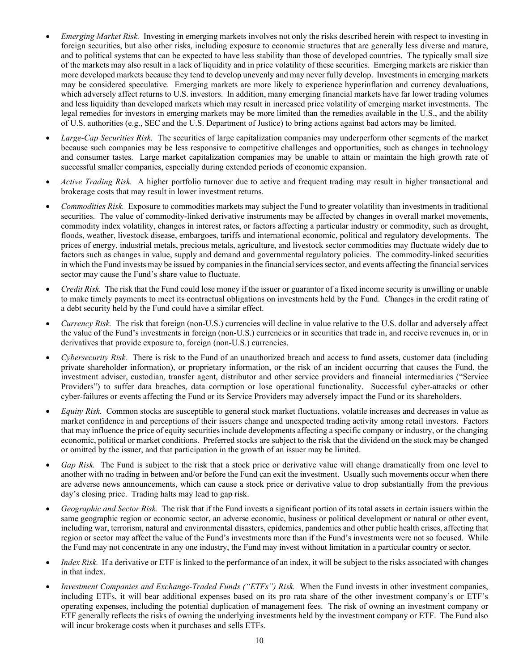- *Emerging Market Risk.* Investing in emerging markets involves not only the risks described herein with respect to investing in foreign securities, but also other risks, including exposure to economic structures that are generally less diverse and mature, and to political systems that can be expected to have less stability than those of developed countries. The typically small size of the markets may also result in a lack of liquidity and in price volatility of these securities. Emerging markets are riskier than more developed markets because they tend to develop unevenly and may never fully develop. Investments in emerging markets may be considered speculative. Emerging markets are more likely to experience hyperinflation and currency devaluations, which adversely affect returns to U.S. investors. In addition, many emerging financial markets have far lower trading volumes and less liquidity than developed markets which may result in increased price volatility of emerging market investments. The legal remedies for investors in emerging markets may be more limited than the remedies available in the U.S., and the ability of U.S. authorities (e.g., SEC and the U.S. Department of Justice) to bring actions against bad actors may be limited.
- *Large-Cap Securities Risk.* The securities of large capitalization companies may underperform other segments of the market because such companies may be less responsive to competitive challenges and opportunities, such as changes in technology and consumer tastes. Large market capitalization companies may be unable to attain or maintain the high growth rate of successful smaller companies, especially during extended periods of economic expansion.
- *Active Trading Risk.* A higher portfolio turnover due to active and frequent trading may result in higher transactional and brokerage costs that may result in lower investment returns.
- *Commodities Risk.* Exposure to commodities markets may subject the Fund to greater volatility than investments in traditional securities. The value of commodity-linked derivative instruments may be affected by changes in overall market movements, commodity index volatility, changes in interest rates, or factors affecting a particular industry or commodity, such as drought, floods, weather, livestock disease, embargoes, tariffs and international economic, political and regulatory developments. The prices of energy, industrial metals, precious metals, agriculture, and livestock sector commodities may fluctuate widely due to factors such as changes in value, supply and demand and governmental regulatory policies. The commodity-linked securities in which the Fund invests may be issued by companies in the financial services sector, and events affecting the financial services sector may cause the Fund's share value to fluctuate.
- *Credit Risk.* The risk that the Fund could lose money if the issuer or guarantor of a fixed income security is unwilling or unable to make timely payments to meet its contractual obligations on investments held by the Fund. Changes in the credit rating of a debt security held by the Fund could have a similar effect.
- *Currency Risk.* The risk that foreign (non-U.S.) currencies will decline in value relative to the U.S. dollar and adversely affect the value of the Fund's investments in foreign (non-U.S.) currencies or in securities that trade in, and receive revenues in, or in derivatives that provide exposure to, foreign (non-U.S.) currencies.
- *Cybersecurity Risk.* There is risk to the Fund of an unauthorized breach and access to fund assets, customer data (including private shareholder information), or proprietary information, or the risk of an incident occurring that causes the Fund, the investment adviser, custodian, transfer agent, distributor and other service providers and financial intermediaries ("Service Providers") to suffer data breaches, data corruption or lose operational functionality. Successful cyber-attacks or other cyber-failures or events affecting the Fund or its Service Providers may adversely impact the Fund or its shareholders.
- *Equity Risk.* Common stocks are susceptible to general stock market fluctuations, volatile increases and decreases in value as market confidence in and perceptions of their issuers change and unexpected trading activity among retail investors. Factors that may influence the price of equity securities include developments affecting a specific company or industry, or the changing economic, political or market conditions. Preferred stocks are subject to the risk that the dividend on the stock may be changed or omitted by the issuer, and that participation in the growth of an issuer may be limited.
- *Gap Risk.* The Fund is subject to the risk that a stock price or derivative value will change dramatically from one level to another with no trading in between and/or before the Fund can exit the investment. Usually such movements occur when there are adverse news announcements, which can cause a stock price or derivative value to drop substantially from the previous day's closing price. Trading halts may lead to gap risk.
- *Geographic and Sector Risk.* The risk that if the Fund invests a significant portion of its total assets in certain issuers within the same geographic region or economic sector, an adverse economic, business or political development or natural or other event, including war, terrorism, natural and environmental disasters, epidemics, pandemics and other public health crises, affecting that region or sector may affect the value of the Fund's investments more than if the Fund's investments were not so focused. While the Fund may not concentrate in any one industry, the Fund may invest without limitation in a particular country or sector.
- *Index Risk.* If a derivative or ETF is linked to the performance of an index, it will be subject to the risks associated with changes in that index.
- *Investment Companies and Exchange-Traded Funds ("ETFs") Risk.* When the Fund invests in other investment companies, including ETFs, it will bear additional expenses based on its pro rata share of the other investment company's or ETF's operating expenses, including the potential duplication of management fees. The risk of owning an investment company or ETF generally reflects the risks of owning the underlying investments held by the investment company or ETF. The Fund also will incur brokerage costs when it purchases and sells ETFs.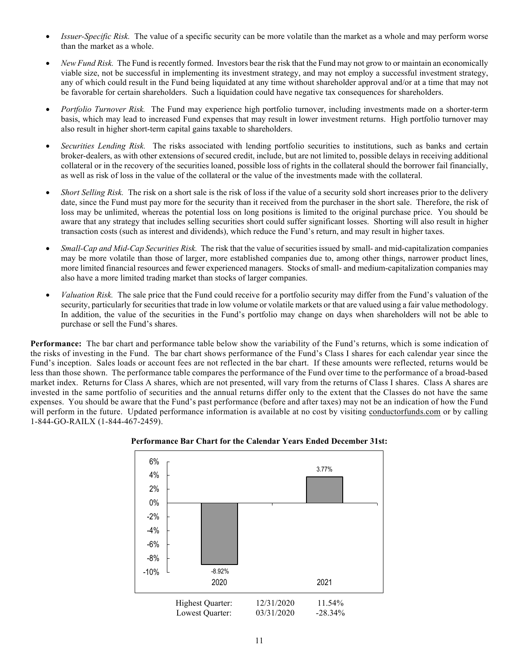- *Issuer-Specific Risk.* The value of a specific security can be more volatile than the market as a whole and may perform worse than the market as a whole.
- *New Fund Risk.* The Fund is recently formed. Investors bear the risk that the Fund may not grow to or maintain an economically viable size, not be successful in implementing its investment strategy, and may not employ a successful investment strategy, any of which could result in the Fund being liquidated at any time without shareholder approval and/or at a time that may not be favorable for certain shareholders. Such a liquidation could have negative tax consequences for shareholders.
- *Portfolio Turnover Risk.* The Fund may experience high portfolio turnover, including investments made on a shorter-term basis, which may lead to increased Fund expenses that may result in lower investment returns. High portfolio turnover may also result in higher short-term capital gains taxable to shareholders.
- *Securities Lending Risk.* The risks associated with lending portfolio securities to institutions, such as banks and certain broker-dealers, as with other extensions of secured credit, include, but are not limited to, possible delays in receiving additional collateral or in the recovery of the securities loaned, possible loss of rights in the collateral should the borrower fail financially, as well as risk of loss in the value of the collateral or the value of the investments made with the collateral.
- *Short Selling Risk.* The risk on a short sale is the risk of loss if the value of a security sold short increases prior to the delivery date, since the Fund must pay more for the security than it received from the purchaser in the short sale. Therefore, the risk of loss may be unlimited, whereas the potential loss on long positions is limited to the original purchase price. You should be aware that any strategy that includes selling securities short could suffer significant losses. Shorting will also result in higher transaction costs (such as interest and dividends), which reduce the Fund's return, and may result in higher taxes.
- *Small-Cap and Mid-Cap Securities Risk.* The risk that the value of securities issued by small- and mid-capitalization companies may be more volatile than those of larger, more established companies due to, among other things, narrower product lines, more limited financial resources and fewer experienced managers. Stocks of small- and medium-capitalization companies may also have a more limited trading market than stocks of larger companies.
- *Valuation Risk.* The sale price that the Fund could receive for a portfolio security may differ from the Fund's valuation of the security, particularly for securities that trade in low volume or volatile markets or that are valued using a fair value methodology. In addition, the value of the securities in the Fund's portfolio may change on days when shareholders will not be able to purchase or sell the Fund's shares.

<span id="page-14-0"></span>**Performance:** The bar chart and performance table below show the variability of the Fund's returns, which is some indication of the risks of investing in the Fund. The bar chart shows performance of the Fund's Class I shares for each calendar year since the Fund's inception. Sales loads or account fees are not reflected in the bar chart. If these amounts were reflected, returns would be less than those shown. The performance table compares the performance of the Fund over time to the performance of a broad-based market index. Returns for Class A shares, which are not presented, will vary from the returns of Class I shares. Class A shares are invested in the same portfolio of securities and the annual returns differ only to the extent that the Classes do not have the same expenses. You should be aware that the Fund's past performance (before and after taxes) may not be an indication of how the Fund will perform in the future. Updated performance information is available at no cost by visiting [conductorfunds.com](http://www.conductorfunds.com/) or by calling 1-844-GO-RAILX (1-844-467-2459).



### **Performance Bar Chart for the Calendar Years Ended December 31st:**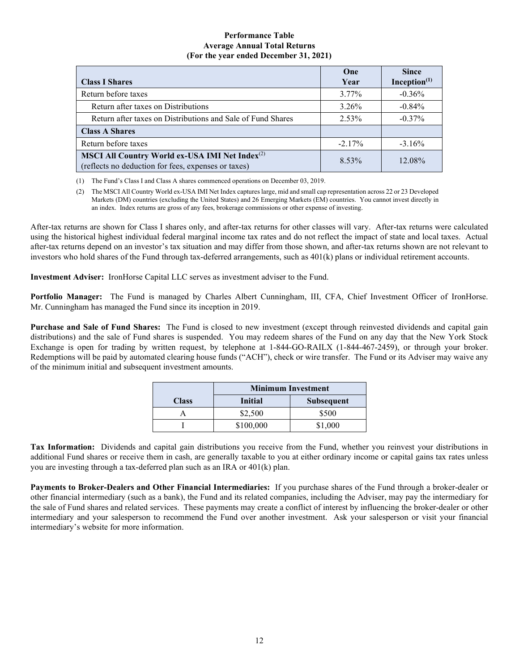### **Performance Table Average Annual Total Returns (For the year ended December 31, 2021)**

|                                                                                                                   | One       | <b>Since</b>    |
|-------------------------------------------------------------------------------------------------------------------|-----------|-----------------|
| <b>Class I Shares</b>                                                                                             | Year      | Inception $(1)$ |
| Return before taxes                                                                                               | 3.77%     | $-0.36%$        |
| Return after taxes on Distributions                                                                               | 3.26%     | $-0.84%$        |
| Return after taxes on Distributions and Sale of Fund Shares                                                       | 2.53%     | $-0.37\%$       |
| <b>Class A Shares</b>                                                                                             |           |                 |
| Return before taxes                                                                                               | $-2.17\%$ | $-3.16\%$       |
| MSCI All Country World ex-USA IMI Net Index <sup>(2)</sup><br>(reflects no deduction for fees, expenses or taxes) | 8.53%     | 12.08%          |

(1) The Fund's Class I and Class A shares commenced operations on December 03, 2019.

(2) The MSCI All Country World ex-USA IMI Net Index captures large, mid and small cap representation across 22 or 23 Developed Markets (DM) countries (excluding the United States) and 26 Emerging Markets (EM) countries. You cannot invest directly in an index. Index returns are gross of any fees, brokerage commissions or other expense of investing.

After-tax returns are shown for Class I shares only, and after-tax returns for other classes will vary. After-tax returns were calculated using the historical highest individual federal marginal income tax rates and do not reflect the impact of state and local taxes. Actual after-tax returns depend on an investor's tax situation and may differ from those shown, and after-tax returns shown are not relevant to investors who hold shares of the Fund through tax-deferred arrangements, such as 401(k) plans or individual retirement accounts.

<span id="page-15-0"></span>**Investment Adviser:** IronHorse Capital LLC serves as investment adviser to the Fund.

<span id="page-15-1"></span>**Portfolio Manager:** The Fund is managed by Charles Albert Cunningham, III, CFA, Chief Investment Officer of IronHorse. Mr. Cunningham has managed the Fund since its inception in 2019.

<span id="page-15-2"></span>**Purchase and Sale of Fund Shares:** The Fund is closed to new investment (except through reinvested dividends and capital gain distributions) and the sale of Fund shares is suspended. You may redeem shares of the Fund on any day that the New York Stock Exchange is open for trading by written request, by telephone at 1-844-GO-RAILX (1-844-467-2459), or through your broker. Redemptions will be paid by automated clearing house funds ("ACH"), check or wire transfer. The Fund or its Adviser may waive any of the minimum initial and subsequent investment amounts.

|              | <b>Minimum Investment</b>           |         |  |
|--------------|-------------------------------------|---------|--|
| <b>Class</b> | <b>Subsequent</b><br><b>Initial</b> |         |  |
|              | \$2,500                             | \$500   |  |
|              | \$100,000                           | \$1,000 |  |

<span id="page-15-3"></span>**Tax Information:** Dividends and capital gain distributions you receive from the Fund, whether you reinvest your distributions in additional Fund shares or receive them in cash, are generally taxable to you at either ordinary income or capital gains tax rates unless you are investing through a tax-deferred plan such as an IRA or 401(k) plan.

<span id="page-15-4"></span>**Payments to Broker-Dealers and Other Financial Intermediaries:** If you purchase shares of the Fund through a broker-dealer or other financial intermediary (such as a bank), the Fund and its related companies, including the Adviser, may pay the intermediary for the sale of Fund shares and related services. These payments may create a conflict of interest by influencing the broker-dealer or other intermediary and your salesperson to recommend the Fund over another investment. Ask your salesperson or visit your financial intermediary's website for more information.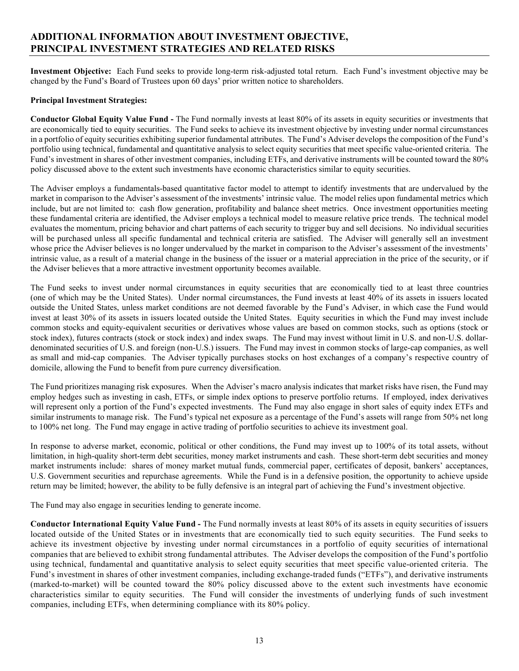# <span id="page-16-0"></span>**ADDITIONAL INFORMATION ABOUT INVESTMENT OBJECTIVE, PRINCIPAL INVESTMENT STRATEGIES AND RELATED RISKS**

<span id="page-16-1"></span>**Investment Objective:** Each Fund seeks to provide long-term risk-adjusted total return. Each Fund's investment objective may be changed by the Fund's Board of Trustees upon 60 days' prior written notice to shareholders.

### <span id="page-16-2"></span>**Principal Investment Strategies:**

**Conductor Global Equity Value Fund -** The Fund normally invests at least 80% of its assets in equity securities or investments that are economically tied to equity securities. The Fund seeks to achieve its investment objective by investing under normal circumstances in a portfolio of equity securities exhibiting superior fundamental attributes. The Fund's Adviser develops the composition of the Fund's portfolio using technical, fundamental and quantitative analysis to select equity securities that meet specific value-oriented criteria. The Fund's investment in shares of other investment companies, including ETFs, and derivative instruments will be counted toward the 80% policy discussed above to the extent such investments have economic characteristics similar to equity securities.

The Adviser employs a fundamentals-based quantitative factor model to attempt to identify investments that are undervalued by the market in comparison to the Adviser's assessment of the investments' intrinsic value. The model relies upon fundamental metrics which include, but are not limited to: cash flow generation, profitability and balance sheet metrics. Once investment opportunities meeting these fundamental criteria are identified, the Adviser employs a technical model to measure relative price trends. The technical model evaluates the momentum, pricing behavior and chart patterns of each security to trigger buy and sell decisions. No individual securities will be purchased unless all specific fundamental and technical criteria are satisfied. The Adviser will generally sell an investment whose price the Adviser believes is no longer undervalued by the market in comparison to the Adviser's assessment of the investments' intrinsic value, as a result of a material change in the business of the issuer or a material appreciation in the price of the security, or if the Adviser believes that a more attractive investment opportunity becomes available.

The Fund seeks to invest under normal circumstances in equity securities that are economically tied to at least three countries (one of which may be the United States). Under normal circumstances, the Fund invests at least 40% of its assets in issuers located outside the United States, unless market conditions are not deemed favorable by the Fund's Adviser, in which case the Fund would invest at least 30% of its assets in issuers located outside the United States. Equity securities in which the Fund may invest include common stocks and equity-equivalent securities or derivatives whose values are based on common stocks, such as options (stock or stock index), futures contracts (stock or stock index) and index swaps. The Fund may invest without limit in U.S. and non-U.S. dollardenominated securities of U.S. and foreign (non-U.S.) issuers. The Fund may invest in common stocks of large-cap companies, as well as small and mid-cap companies. The Adviser typically purchases stocks on host exchanges of a company's respective country of domicile, allowing the Fund to benefit from pure currency diversification.

The Fund prioritizes managing risk exposures. When the Adviser's macro analysis indicates that market risks have risen, the Fund may employ hedges such as investing in cash, ETFs, or simple index options to preserve portfolio returns. If employed, index derivatives will represent only a portion of the Fund's expected investments. The Fund may also engage in short sales of equity index ETFs and similar instruments to manage risk. The Fund's typical net exposure as a percentage of the Fund's assets will range from 50% net long to 100% net long. The Fund may engage in active trading of portfolio securities to achieve its investment goal.

In response to adverse market, economic, political or other conditions, the Fund may invest up to 100% of its total assets, without limitation, in high-quality short-term debt securities, money market instruments and cash. These short-term debt securities and money market instruments include: shares of money market mutual funds, commercial paper, certificates of deposit, bankers' acceptances, U.S. Government securities and repurchase agreements. While the Fund is in a defensive position, the opportunity to achieve upside return may be limited; however, the ability to be fully defensive is an integral part of achieving the Fund's investment objective.

The Fund may also engage in securities lending to generate income.

**Conductor International Equity Value Fund -** The Fund normally invests at least 80% of its assets in equity securities of issuers located outside of the United States or in investments that are economically tied to such equity securities. The Fund seeks to achieve its investment objective by investing under normal circumstances in a portfolio of equity securities of international companies that are believed to exhibit strong fundamental attributes. The Adviser develops the composition of the Fund's portfolio using technical, fundamental and quantitative analysis to select equity securities that meet specific value-oriented criteria. The Fund's investment in shares of other investment companies, including exchange-traded funds ("ETFs"), and derivative instruments (marked-to-market) will be counted toward the 80% policy discussed above to the extent such investments have economic characteristics similar to equity securities. The Fund will consider the investments of underlying funds of such investment companies, including ETFs, when determining compliance with its 80% policy.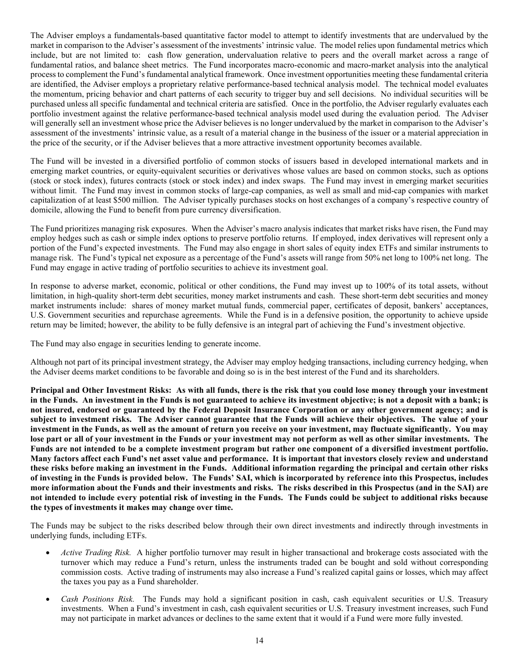The Adviser employs a fundamentals-based quantitative factor model to attempt to identify investments that are undervalued by the market in comparison to the Adviser's assessment of the investments' intrinsic value. The model relies upon fundamental metrics which include, but are not limited to: cash flow generation, undervaluation relative to peers and the overall market across a range of fundamental ratios, and balance sheet metrics. The Fund incorporates macro-economic and macro-market analysis into the analytical process to complement the Fund's fundamental analytical framework. Once investment opportunities meeting these fundamental criteria are identified, the Adviser employs a proprietary relative performance-based technical analysis model. The technical model evaluates the momentum, pricing behavior and chart patterns of each security to trigger buy and sell decisions. No individual securities will be purchased unless all specific fundamental and technical criteria are satisfied. Once in the portfolio, the Adviser regularly evaluates each portfolio investment against the relative performance-based technical analysis model used during the evaluation period. The Adviser will generally sell an investment whose price the Adviser believes is no longer undervalued by the market in comparison to the Adviser's assessment of the investments' intrinsic value, as a result of a material change in the business of the issuer or a material appreciation in the price of the security, or if the Adviser believes that a more attractive investment opportunity becomes available.

The Fund will be invested in a diversified portfolio of common stocks of issuers based in developed international markets and in emerging market countries, or equity-equivalent securities or derivatives whose values are based on common stocks, such as options (stock or stock index), futures contracts (stock or stock index) and index swaps. The Fund may invest in emerging market securities without limit. The Fund may invest in common stocks of large-cap companies, as well as small and mid-cap companies with market capitalization of at least \$500 million. The Adviser typically purchases stocks on host exchanges of a company's respective country of domicile, allowing the Fund to benefit from pure currency diversification.

The Fund prioritizes managing risk exposures. When the Adviser's macro analysis indicates that market risks have risen, the Fund may employ hedges such as cash or simple index options to preserve portfolio returns. If employed, index derivatives will represent only a portion of the Fund's expected investments. The Fund may also engage in short sales of equity index ETFs and similar instruments to manage risk. The Fund's typical net exposure as a percentage of the Fund's assets will range from 50% net long to 100% net long. The Fund may engage in active trading of portfolio securities to achieve its investment goal.

In response to adverse market, economic, political or other conditions, the Fund may invest up to 100% of its total assets, without limitation, in high-quality short-term debt securities, money market instruments and cash. These short-term debt securities and money market instruments include: shares of money market mutual funds, commercial paper, certificates of deposit, bankers' acceptances, U.S. Government securities and repurchase agreements. While the Fund is in a defensive position, the opportunity to achieve upside return may be limited; however, the ability to be fully defensive is an integral part of achieving the Fund's investment objective.

The Fund may also engage in securities lending to generate income.

Although not part of its principal investment strategy, the Adviser may employ hedging transactions, including currency hedging, when the Adviser deems market conditions to be favorable and doing so is in the best interest of the Fund and its shareholders.

<span id="page-17-0"></span>**Principal and Other Investment Risks: As with all funds, there is the risk that you could lose money through your investment in the Funds. An investment in the Funds is not guaranteed to achieve its investment objective; is not a deposit with a bank; is not insured, endorsed or guaranteed by the Federal Deposit Insurance Corporation or any other government agency; and is subject to investment risks. The Adviser cannot guarantee that the Funds will achieve their objectives. The value of your investment in the Funds, as well as the amount of return you receive on your investment, may fluctuate significantly. You may lose part or all of your investment in the Funds or your investment may not perform as well as other similar investments. The Funds are not intended to be a complete investment program but rather one component of a diversified investment portfolio. Many factors affect each Fund's net asset value and performance. It is important that investors closely review and understand these risks before making an investment in the Funds. Additional information regarding the principal and certain other risks of investing in the Funds is provided below. The Funds' SAI, which is incorporated by reference into this Prospectus, includes more information about the Funds and their investments and risks. The risks described in this Prospectus (and in the SAI) are not intended to include every potential risk of investing in the Funds. The Funds could be subject to additional risks because the types of investments it makes may change over time.**

The Funds may be subject to the risks described below through their own direct investments and indirectly through investments in underlying funds, including ETFs.

- *Active Trading Risk.* A higher portfolio turnover may result in higher transactional and brokerage costs associated with the turnover which may reduce a Fund's return, unless the instruments traded can be bought and sold without corresponding commission costs. Active trading of instruments may also increase a Fund's realized capital gains or losses, which may affect the taxes you pay as a Fund shareholder.
- *Cash Positions Risk.* The Funds may hold a significant position in cash, cash equivalent securities or U.S. Treasury investments. When a Fund's investment in cash, cash equivalent securities or U.S. Treasury investment increases, such Fund may not participate in market advances or declines to the same extent that it would if a Fund were more fully invested.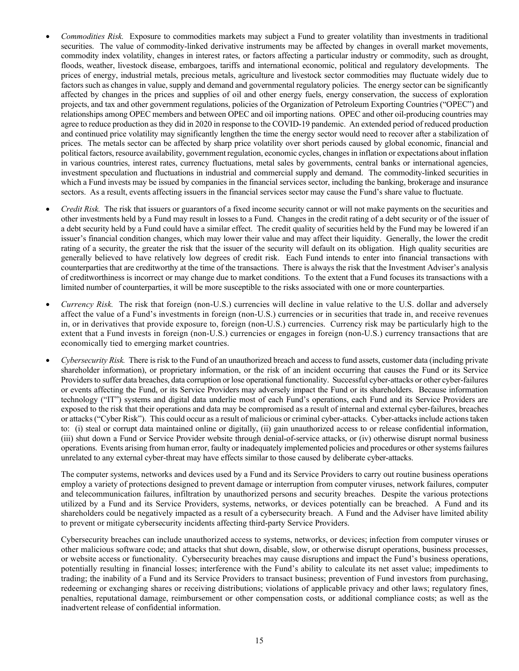- *Commodities Risk.* Exposure to commodities markets may subject a Fund to greater volatility than investments in traditional securities. The value of commodity-linked derivative instruments may be affected by changes in overall market movements, commodity index volatility, changes in interest rates, or factors affecting a particular industry or commodity, such as drought, floods, weather, livestock disease, embargoes, tariffs and international economic, political and regulatory developments. The prices of energy, industrial metals, precious metals, agriculture and livestock sector commodities may fluctuate widely due to factors such as changes in value, supply and demand and governmental regulatory policies. The energy sector can be significantly affected by changes in the prices and supplies of oil and other energy fuels, energy conservation, the success of exploration projects, and tax and other government regulations, policies of the Organization of Petroleum Exporting Countries ("OPEC") and relationships among OPEC members and between OPEC and oil importing nations. OPEC and other oil-producing countries may agree to reduce production as they did in 2020 in response to the COVID-19 pandemic. An extended period of reduced production and continued price volatility may significantly lengthen the time the energy sector would need to recover after a stabilization of prices. The metals sector can be affected by sharp price volatility over short periods caused by global economic, financial and political factors, resource availability, government regulation, economic cycles, changes in inflation or expectations about inflation in various countries, interest rates, currency fluctuations, metal sales by governments, central banks or international agencies, investment speculation and fluctuations in industrial and commercial supply and demand. The commodity-linked securities in which a Fund invests may be issued by companies in the financial services sector, including the banking, brokerage and insurance sectors. As a result, events affecting issuers in the financial services sector may cause the Fund's share value to fluctuate.
- *Credit Risk.* The risk that issuers or guarantors of a fixed income security cannot or will not make payments on the securities and other investments held by a Fund may result in losses to a Fund. Changes in the credit rating of a debt security or of the issuer of a debt security held by a Fund could have a similar effect. The credit quality of securities held by the Fund may be lowered if an issuer's financial condition changes, which may lower their value and may affect their liquidity. Generally, the lower the credit rating of a security, the greater the risk that the issuer of the security will default on its obligation. High quality securities are generally believed to have relatively low degrees of credit risk. Each Fund intends to enter into financial transactions with counterparties that are creditworthy at the time of the transactions. There is always the risk that the Investment Adviser's analysis of creditworthiness is incorrect or may change due to market conditions. To the extent that a Fund focuses its transactions with a limited number of counterparties, it will be more susceptible to the risks associated with one or more counterparties.
- *Currency Risk.* The risk that foreign (non-U.S.) currencies will decline in value relative to the U.S. dollar and adversely affect the value of a Fund's investments in foreign (non-U.S.) currencies or in securities that trade in, and receive revenues in, or in derivatives that provide exposure to, foreign (non-U.S.) currencies. Currency risk may be particularly high to the extent that a Fund invests in foreign (non-U.S.) currencies or engages in foreign (non-U.S.) currency transactions that are economically tied to emerging market countries.
- *Cybersecurity Risk.* There is risk to the Fund of an unauthorized breach and access to fund assets, customer data (including private shareholder information), or proprietary information, or the risk of an incident occurring that causes the Fund or its Service Providers to suffer data breaches, data corruption or lose operational functionality. Successful cyber-attacks or other cyber-failures or events affecting the Fund, or its Service Providers may adversely impact the Fund or its shareholders. Because information technology ("IT") systems and digital data underlie most of each Fund's operations, each Fund and its Service Providers are exposed to the risk that their operations and data may be compromised as a result of internal and external cyber-failures, breaches or attacks ("Cyber Risk"). This could occur as a result of malicious or criminal cyber-attacks. Cyber-attacks include actions taken to: (i) steal or corrupt data maintained online or digitally, (ii) gain unauthorized access to or release confidential information, (iii) shut down a Fund or Service Provider website through denial-of-service attacks, or (iv) otherwise disrupt normal business operations. Events arising from human error, faulty or inadequately implemented policies and procedures or other systems failures unrelated to any external cyber-threat may have effects similar to those caused by deliberate cyber-attacks.

The computer systems, networks and devices used by a Fund and its Service Providers to carry out routine business operations employ a variety of protections designed to prevent damage or interruption from computer viruses, network failures, computer and telecommunication failures, infiltration by unauthorized persons and security breaches. Despite the various protections utilized by a Fund and its Service Providers, systems, networks, or devices potentially can be breached. A Fund and its shareholders could be negatively impacted as a result of a cybersecurity breach. A Fund and the Adviser have limited ability to prevent or mitigate cybersecurity incidents affecting third-party Service Providers.

Cybersecurity breaches can include unauthorized access to systems, networks, or devices; infection from computer viruses or other malicious software code; and attacks that shut down, disable, slow, or otherwise disrupt operations, business processes, or website access or functionality. Cybersecurity breaches may cause disruptions and impact the Fund's business operations, potentially resulting in financial losses; interference with the Fund's ability to calculate its net asset value; impediments to trading; the inability of a Fund and its Service Providers to transact business; prevention of Fund investors from purchasing, redeeming or exchanging shares or receiving distributions; violations of applicable privacy and other laws; regulatory fines, penalties, reputational damage, reimbursement or other compensation costs, or additional compliance costs; as well as the inadvertent release of confidential information.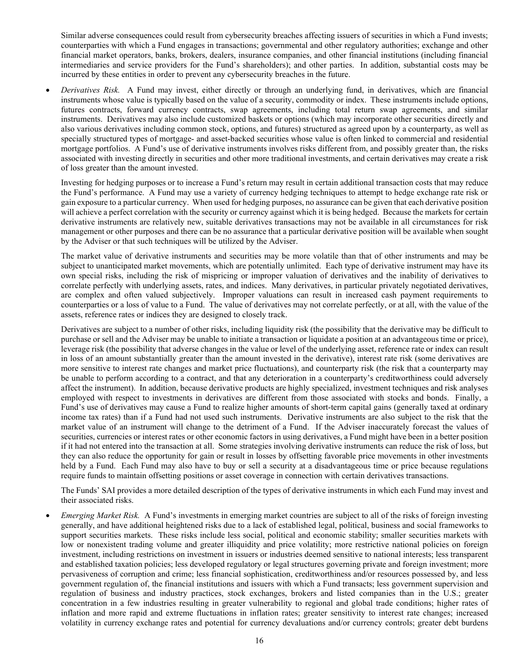Similar adverse consequences could result from cybersecurity breaches affecting issuers of securities in which a Fund invests; counterparties with which a Fund engages in transactions; governmental and other regulatory authorities; exchange and other financial market operators, banks, brokers, dealers, insurance companies, and other financial institutions (including financial intermediaries and service providers for the Fund's shareholders); and other parties. In addition, substantial costs may be incurred by these entities in order to prevent any cybersecurity breaches in the future.

• *Derivatives Risk.* A Fund may invest, either directly or through an underlying fund, in derivatives, which are financial instruments whose value is typically based on the value of a security, commodity or index. These instruments include options, futures contracts, forward currency contracts, swap agreements, including total return swap agreements, and similar instruments. Derivatives may also include customized baskets or options (which may incorporate other securities directly and also various derivatives including common stock, options, and futures) structured as agreed upon by a counterparty, as well as specially structured types of mortgage- and asset-backed securities whose value is often linked to commercial and residential mortgage portfolios. A Fund's use of derivative instruments involves risks different from, and possibly greater than, the risks associated with investing directly in securities and other more traditional investments, and certain derivatives may create a risk of loss greater than the amount invested.

Investing for hedging purposes or to increase a Fund's return may result in certain additional transaction costs that may reduce the Fund's performance. A Fund may use a variety of currency hedging techniques to attempt to hedge exchange rate risk or gain exposure to a particular currency. When used for hedging purposes, no assurance can be given that each derivative position will achieve a perfect correlation with the security or currency against which it is being hedged. Because the markets for certain derivative instruments are relatively new, suitable derivatives transactions may not be available in all circumstances for risk management or other purposes and there can be no assurance that a particular derivative position will be available when sought by the Adviser or that such techniques will be utilized by the Adviser.

The market value of derivative instruments and securities may be more volatile than that of other instruments and may be subject to unanticipated market movements, which are potentially unlimited. Each type of derivative instrument may have its own special risks, including the risk of mispricing or improper valuation of derivatives and the inability of derivatives to correlate perfectly with underlying assets, rates, and indices. Many derivatives, in particular privately negotiated derivatives, are complex and often valued subjectively. Improper valuations can result in increased cash payment requirements to counterparties or a loss of value to a Fund. The value of derivatives may not correlate perfectly, or at all, with the value of the assets, reference rates or indices they are designed to closely track.

Derivatives are subject to a number of other risks, including liquidity risk (the possibility that the derivative may be difficult to purchase or sell and the Adviser may be unable to initiate a transaction or liquidate a position at an advantageous time or price), leverage risk (the possibility that adverse changes in the value or level of the underlying asset, reference rate or index can result in loss of an amount substantially greater than the amount invested in the derivative), interest rate risk (some derivatives are more sensitive to interest rate changes and market price fluctuations), and counterparty risk (the risk that a counterparty may be unable to perform according to a contract, and that any deterioration in a counterparty's creditworthiness could adversely affect the instrument). In addition, because derivative products are highly specialized, investment techniques and risk analyses employed with respect to investments in derivatives are different from those associated with stocks and bonds. Finally, a Fund's use of derivatives may cause a Fund to realize higher amounts of short-term capital gains (generally taxed at ordinary income tax rates) than if a Fund had not used such instruments. Derivative instruments are also subject to the risk that the market value of an instrument will change to the detriment of a Fund. If the Adviser inaccurately forecast the values of securities, currencies or interest rates or other economic factors in using derivatives, a Fund might have been in a better position if it had not entered into the transaction at all. Some strategies involving derivative instruments can reduce the risk of loss, but they can also reduce the opportunity for gain or result in losses by offsetting favorable price movements in other investments held by a Fund. Each Fund may also have to buy or sell a security at a disadvantageous time or price because regulations require funds to maintain offsetting positions or asset coverage in connection with certain derivatives transactions.

The Funds' SAI provides a more detailed description of the types of derivative instruments in which each Fund may invest and their associated risks.

• *Emerging Market Risk.* A Fund's investments in emerging market countries are subject to all of the risks of foreign investing generally, and have additional heightened risks due to a lack of established legal, political, business and social frameworks to support securities markets. These risks include less social, political and economic stability; smaller securities markets with low or nonexistent trading volume and greater illiquidity and price volatility; more restrictive national policies on foreign investment, including restrictions on investment in issuers or industries deemed sensitive to national interests; less transparent and established taxation policies; less developed regulatory or legal structures governing private and foreign investment; more pervasiveness of corruption and crime; less financial sophistication, creditworthiness and/or resources possessed by, and less government regulation of, the financial institutions and issuers with which a Fund transacts; less government supervision and regulation of business and industry practices, stock exchanges, brokers and listed companies than in the U.S.; greater concentration in a few industries resulting in greater vulnerability to regional and global trade conditions; higher rates of inflation and more rapid and extreme fluctuations in inflation rates; greater sensitivity to interest rate changes; increased volatility in currency exchange rates and potential for currency devaluations and/or currency controls; greater debt burdens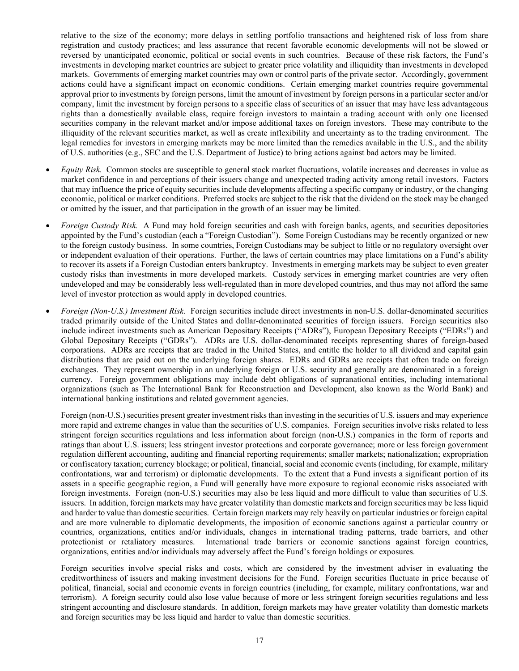relative to the size of the economy; more delays in settling portfolio transactions and heightened risk of loss from share registration and custody practices; and less assurance that recent favorable economic developments will not be slowed or reversed by unanticipated economic, political or social events in such countries. Because of these risk factors, the Fund's investments in developing market countries are subject to greater price volatility and illiquidity than investments in developed markets. Governments of emerging market countries may own or control parts of the private sector. Accordingly, government actions could have a significant impact on economic conditions. Certain emerging market countries require governmental approval prior to investments by foreign persons, limit the amount of investment by foreign persons in a particular sector and/or company, limit the investment by foreign persons to a specific class of securities of an issuer that may have less advantageous rights than a domestically available class, require foreign investors to maintain a trading account with only one licensed securities company in the relevant market and/or impose additional taxes on foreign investors. These may contribute to the illiquidity of the relevant securities market, as well as create inflexibility and uncertainty as to the trading environment. The legal remedies for investors in emerging markets may be more limited than the remedies available in the U.S., and the ability of U.S. authorities (e.g., SEC and the U.S. Department of Justice) to bring actions against bad actors may be limited.

- *Equity Risk.* Common stocks are susceptible to general stock market fluctuations, volatile increases and decreases in value as market confidence in and perceptions of their issuers change and unexpected trading activity among retail investors. Factors that may influence the price of equity securities include developments affecting a specific company or industry, or the changing economic, political or market conditions. Preferred stocks are subject to the risk that the dividend on the stock may be changed or omitted by the issuer, and that participation in the growth of an issuer may be limited.
- *Foreign Custody Risk.* A Fund may hold foreign securities and cash with foreign banks, agents, and securities depositories appointed by the Fund's custodian (each a "Foreign Custodian"). Some Foreign Custodians may be recently organized or new to the foreign custody business. In some countries, Foreign Custodians may be subject to little or no regulatory oversight over or independent evaluation of their operations. Further, the laws of certain countries may place limitations on a Fund's ability to recover its assets if a Foreign Custodian enters bankruptcy. Investments in emerging markets may be subject to even greater custody risks than investments in more developed markets. Custody services in emerging market countries are very often undeveloped and may be considerably less well-regulated than in more developed countries, and thus may not afford the same level of investor protection as would apply in developed countries.
- *Foreign (Non-U.S.) Investment Risk.* Foreign securities include direct investments in non-U.S. dollar-denominated securities traded primarily outside of the United States and dollar-denominated securities of foreign issuers. Foreign securities also include indirect investments such as American Depositary Receipts ("ADRs"), European Depositary Receipts ("EDRs") and Global Depositary Receipts ("GDRs"). ADRs are U.S. dollar-denominated receipts representing shares of foreign-based corporations. ADRs are receipts that are traded in the United States, and entitle the holder to all dividend and capital gain distributions that are paid out on the underlying foreign shares. EDRs and GDRs are receipts that often trade on foreign exchanges. They represent ownership in an underlying foreign or U.S. security and generally are denominated in a foreign currency. Foreign government obligations may include debt obligations of supranational entities, including international organizations (such as The International Bank for Reconstruction and Development, also known as the World Bank) and international banking institutions and related government agencies.

Foreign (non-U.S.) securities present greater investment risks than investing in the securities of U.S. issuers and may experience more rapid and extreme changes in value than the securities of U.S. companies. Foreign securities involve risks related to less stringent foreign securities regulations and less information about foreign (non-U.S.) companies in the form of reports and ratings than about U.S. issuers; less stringent investor protections and corporate governance; more or less foreign government regulation different accounting, auditing and financial reporting requirements; smaller markets; nationalization; expropriation or confiscatory taxation; currency blockage; or political, financial, social and economic events (including, for example, military confrontations, war and terrorism) or diplomatic developments. To the extent that a Fund invests a significant portion of its assets in a specific geographic region, a Fund will generally have more exposure to regional economic risks associated with foreign investments. Foreign (non-U.S.) securities may also be less liquid and more difficult to value than securities of U.S. issuers. In addition, foreign markets may have greater volatility than domestic markets and foreign securities may be less liquid and harder to value than domestic securities. Certain foreign markets may rely heavily on particular industries or foreign capital and are more vulnerable to diplomatic developments, the imposition of economic sanctions against a particular country or countries, organizations, entities and/or individuals, changes in international trading patterns, trade barriers, and other protectionist or retaliatory measures. International trade barriers or economic sanctions against foreign countries, organizations, entities and/or individuals may adversely affect the Fund's foreign holdings or exposures.

Foreign securities involve special risks and costs, which are considered by the investment adviser in evaluating the creditworthiness of issuers and making investment decisions for the Fund. Foreign securities fluctuate in price because of political, financial, social and economic events in foreign countries (including, for example, military confrontations, war and terrorism). A foreign security could also lose value because of more or less stringent foreign securities regulations and less stringent accounting and disclosure standards. In addition, foreign markets may have greater volatility than domestic markets and foreign securities may be less liquid and harder to value than domestic securities.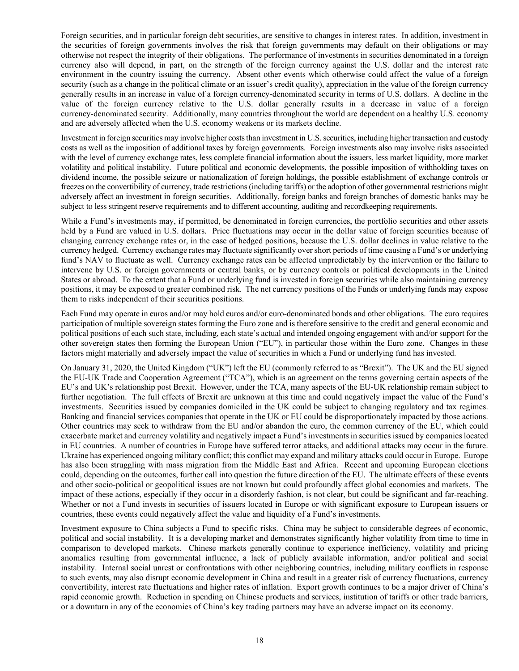Foreign securities, and in particular foreign debt securities, are sensitive to changes in interest rates. In addition, investment in the securities of foreign governments involves the risk that foreign governments may default on their obligations or may otherwise not respect the integrity of their obligations. The performance of investments in securities denominated in a foreign currency also will depend, in part, on the strength of the foreign currency against the U.S. dollar and the interest rate environment in the country issuing the currency. Absent other events which otherwise could affect the value of a foreign security (such as a change in the political climate or an issuer's credit quality), appreciation in the value of the foreign currency generally results in an increase in value of a foreign currency-denominated security in terms of U.S. dollars. A decline in the value of the foreign currency relative to the U.S. dollar generally results in a decrease in value of a foreign currency-denominated security. Additionally, many countries throughout the world are dependent on a healthy U.S. economy and are adversely affected when the U.S. economy weakens or its markets decline.

Investment in foreign securities may involve higher costs than investment in U.S. securities, including higher transaction and custody costs as well as the imposition of additional taxes by foreign governments. Foreign investments also may involve risks associated with the level of currency exchange rates, less complete financial information about the issuers, less market liquidity, more market volatility and political instability. Future political and economic developments, the possible imposition of withholding taxes on dividend income, the possible seizure or nationalization of foreign holdings, the possible establishment of exchange controls or freezes on the convertibility of currency, trade restrictions (including tariffs) or the adoption of other governmental restrictions might adversely affect an investment in foreign securities. Additionally, foreign banks and foreign branches of domestic banks may be subject to less stringent reserve requirements and to different accounting, auditing and recordkeeping requirements.

While a Fund's investments may, if permitted, be denominated in foreign currencies, the portfolio securities and other assets held by a Fund are valued in U.S. dollars. Price fluctuations may occur in the dollar value of foreign securities because of changing currency exchange rates or, in the case of hedged positions, because the U.S. dollar declines in value relative to the currency hedged. Currency exchange rates may fluctuate significantly over short periods of time causing a Fund's or underlying fund's NAV to fluctuate as well. Currency exchange rates can be affected unpredictably by the intervention or the failure to intervene by U.S. or foreign governments or central banks, or by currency controls or political developments in the United States or abroad. To the extent that a Fund or underlying fund is invested in foreign securities while also maintaining currency positions, it may be exposed to greater combined risk. The net currency positions of the Funds or underlying funds may expose them to risks independent of their securities positions.

Each Fund may operate in euros and/or may hold euros and/or euro-denominated bonds and other obligations. The euro requires participation of multiple sovereign states forming the Euro zone and is therefore sensitive to the credit and general economic and political positions of each such state, including, each state's actual and intended ongoing engagement with and/or support for the other sovereign states then forming the European Union ("EU"), in particular those within the Euro zone. Changes in these factors might materially and adversely impact the value of securities in which a Fund or underlying fund has invested.

On January 31, 2020, the United Kingdom ("UK") left the EU (commonly referred to as "Brexit"). The UK and the EU signed the EU-UK Trade and Cooperation Agreement ("TCA"), which is an agreement on the terms governing certain aspects of the EU's and UK's relationship post Brexit. However, under the TCA, many aspects of the EU-UK relationship remain subject to further negotiation. The full effects of Brexit are unknown at this time and could negatively impact the value of the Fund's investments. Securities issued by companies domiciled in the UK could be subject to changing regulatory and tax regimes. Banking and financial services companies that operate in the UK or EU could be disproportionately impacted by those actions. Other countries may seek to withdraw from the EU and/or abandon the euro, the common currency of the EU, which could exacerbate market and currency volatility and negatively impact a Fund's investments in securities issued by companies located in EU countries. A number of countries in Europe have suffered terror attacks, and additional attacks may occur in the future. Ukraine has experienced ongoing military conflict; this conflict may expand and military attacks could occur in Europe. Europe has also been struggling with mass migration from the Middle East and Africa. Recent and upcoming European elections could, depending on the outcomes, further call into question the future direction of the EU. The ultimate effects of these events and other socio-political or geopolitical issues are not known but could profoundly affect global economies and markets. The impact of these actions, especially if they occur in a disorderly fashion, is not clear, but could be significant and far-reaching. Whether or not a Fund invests in securities of issuers located in Europe or with significant exposure to European issuers or countries, these events could negatively affect the value and liquidity of a Fund's investments.

Investment exposure to China subjects a Fund to specific risks. China may be subject to considerable degrees of economic, political and social instability. It is a developing market and demonstrates significantly higher volatility from time to time in comparison to developed markets. Chinese markets generally continue to experience inefficiency, volatility and pricing anomalies resulting from governmental influence, a lack of publicly available information, and/or political and social instability. Internal social unrest or confrontations with other neighboring countries, including military conflicts in response to such events, may also disrupt economic development in China and result in a greater risk of currency fluctuations, currency convertibility, interest rate fluctuations and higher rates of inflation. Export growth continues to be a major driver of China's rapid economic growth. Reduction in spending on Chinese products and services, institution of tariffs or other trade barriers, or a downturn in any of the economies of China's key trading partners may have an adverse impact on its economy.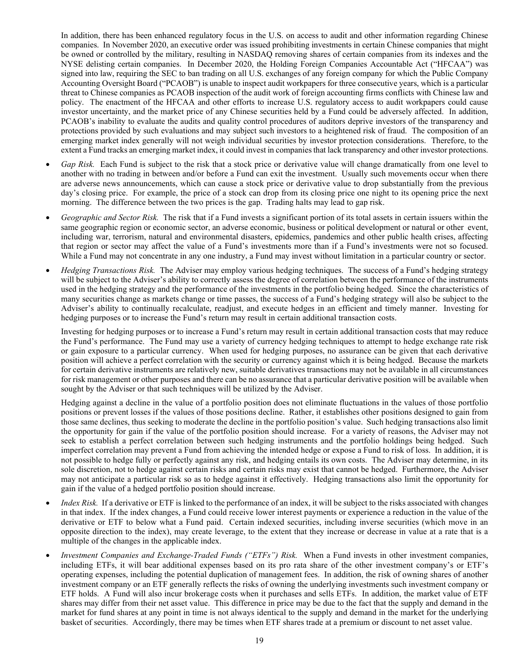In addition, there has been enhanced regulatory focus in the U.S. on access to audit and other information regarding Chinese companies. In November 2020, an executive order was issued prohibiting investments in certain Chinese companies that might be owned or controlled by the military, resulting in NASDAQ removing shares of certain companies from its indexes and the NYSE delisting certain companies. In December 2020, the Holding Foreign Companies Accountable Act ("HFCAA") was signed into law, requiring the SEC to ban trading on all U.S. exchanges of any foreign company for which the Public Company Accounting Oversight Board ("PCAOB") is unable to inspect audit workpapers for three consecutive years, which is a particular threat to Chinese companies as PCAOB inspection of the audit work of foreign accounting firms conflicts with Chinese law and policy. The enactment of the HFCAA and other efforts to increase U.S. regulatory access to audit workpapers could cause investor uncertainty, and the market price of any Chinese securities held by a Fund could be adversely affected. In addition, PCAOB's inability to evaluate the audits and quality control procedures of auditors deprive investors of the transparency and protections provided by such evaluations and may subject such investors to a heightened risk of fraud. The composition of an emerging market index generally will not weigh individual securities by investor protection considerations. Therefore, to the extent a Fund tracks an emerging market index, it could invest in companies that lack transparency and other investor protections.

- *Gap Risk.* Each Fund is subject to the risk that a stock price or derivative value will change dramatically from one level to another with no trading in between and/or before a Fund can exit the investment. Usually such movements occur when there are adverse news announcements, which can cause a stock price or derivative value to drop substantially from the previous day's closing price. For example, the price of a stock can drop from its closing price one night to its opening price the next morning. The difference between the two prices is the gap. Trading halts may lead to gap risk.
- *Geographic and Sector Risk.* The risk that if a Fund invests a significant portion of its total assets in certain issuers within the same geographic region or economic sector, an adverse economic, business or political development or natural or other event, including war, terrorism, natural and environmental disasters, epidemics, pandemics and other public health crises, affecting that region or sector may affect the value of a Fund's investments more than if a Fund's investments were not so focused. While a Fund may not concentrate in any one industry, a Fund may invest without limitation in a particular country or sector.
- *Hedging Transactions Risk.* The Adviser may employ various hedging techniques. The success of a Fund's hedging strategy will be subject to the Adviser's ability to correctly assess the degree of correlation between the performance of the instruments used in the hedging strategy and the performance of the investments in the portfolio being hedged. Since the characteristics of many securities change as markets change or time passes, the success of a Fund's hedging strategy will also be subject to the Adviser's ability to continually recalculate, readjust, and execute hedges in an efficient and timely manner. Investing for hedging purposes or to increase the Fund's return may result in certain additional transaction costs.

Investing for hedging purposes or to increase a Fund's return may result in certain additional transaction costs that may reduce the Fund's performance. The Fund may use a variety of currency hedging techniques to attempt to hedge exchange rate risk or gain exposure to a particular currency. When used for hedging purposes, no assurance can be given that each derivative position will achieve a perfect correlation with the security or currency against which it is being hedged. Because the markets for certain derivative instruments are relatively new, suitable derivatives transactions may not be available in all circumstances for risk management or other purposes and there can be no assurance that a particular derivative position will be available when sought by the Adviser or that such techniques will be utilized by the Adviser.

Hedging against a decline in the value of a portfolio position does not eliminate fluctuations in the values of those portfolio positions or prevent losses if the values of those positions decline. Rather, it establishes other positions designed to gain from those same declines, thus seeking to moderate the decline in the portfolio position's value. Such hedging transactions also limit the opportunity for gain if the value of the portfolio position should increase. For a variety of reasons, the Adviser may not seek to establish a perfect correlation between such hedging instruments and the portfolio holdings being hedged. Such imperfect correlation may prevent a Fund from achieving the intended hedge or expose a Fund to risk of loss. In addition, it is not possible to hedge fully or perfectly against any risk, and hedging entails its own costs. The Adviser may determine, in its sole discretion, not to hedge against certain risks and certain risks may exist that cannot be hedged. Furthermore, the Adviser may not anticipate a particular risk so as to hedge against it effectively. Hedging transactions also limit the opportunity for gain if the value of a hedged portfolio position should increase.

- *Index Risk.* If a derivative or ETF is linked to the performance of an index, it will be subject to the risks associated with changes in that index. If the index changes, a Fund could receive lower interest payments or experience a reduction in the value of the derivative or ETF to below what a Fund paid. Certain indexed securities, including inverse securities (which move in an opposite direction to the index), may create leverage, to the extent that they increase or decrease in value at a rate that is a multiple of the changes in the applicable index.
- *Investment Companies and Exchange-Traded Funds ("ETFs") Risk.* When a Fund invests in other investment companies, including ETFs, it will bear additional expenses based on its pro rata share of the other investment company's or ETF's operating expenses, including the potential duplication of management fees. In addition, the risk of owning shares of another investment company or an ETF generally reflects the risks of owning the underlying investments such investment company or ETF holds. A Fund will also incur brokerage costs when it purchases and sells ETFs. In addition, the market value of ETF shares may differ from their net asset value. This difference in price may be due to the fact that the supply and demand in the market for fund shares at any point in time is not always identical to the supply and demand in the market for the underlying basket of securities. Accordingly, there may be times when ETF shares trade at a premium or discount to net asset value.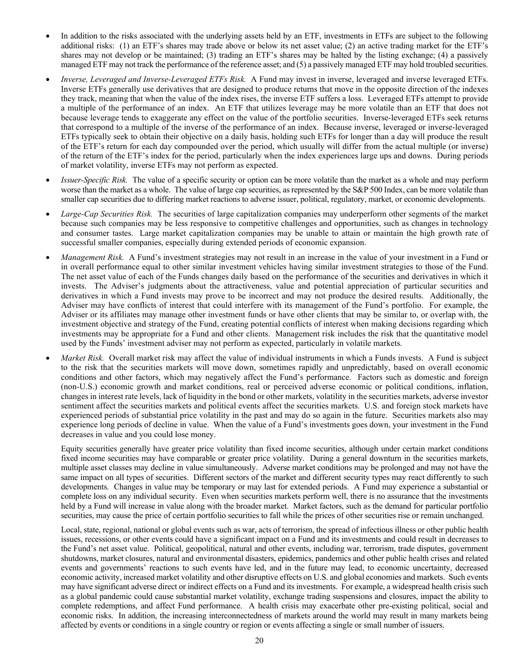- In addition to the risks associated with the underlying assets held by an ETF, investments in ETFs are subject to the following additional risks: (1) an ETF's shares may trade above or below its net asset value; (2) an active trading market for the ETF's shares may not develop or be maintained; (3) trading an ETF's shares may be halted by the listing exchange; (4) a passively managed ETF may not track the performance of the reference asset; and (5) a passively managed ETF may hold troubled securities.
- *Inverse, Leveraged and Inverse-Leveraged ETFs Risk.* A Fund may invest in inverse, leveraged and inverse leveraged ETFs. Inverse ETFs generally use derivatives that are designed to produce returns that move in the opposite direction of the indexes they track, meaning that when the value of the index rises, the inverse ETF suffers a loss. Leveraged ETFs attempt to provide a multiple of the performance of an index. An ETF that utilizes leverage may be more volatile than an ETF that does not because leverage tends to exaggerate any effect on the value of the portfolio securities. Inverse-leveraged ETFs seek returns that correspond to a multiple of the inverse of the performance of an index. Because inverse, leveraged or inverse-leveraged ETFs typically seek to obtain their objective on a daily basis, holding such ETFs for longer than a day will produce the result of the ETF's return for each day compounded over the period, which usually will differ from the actual multiple (or inverse) of the return of the ETF's index for the period, particularly when the index experiences large ups and downs. During periods of market volatility, inverse ETFs may not perform as expected.
- *Issuer-Specific Risk.* The value of a specific security or option can be more volatile than the market as a whole and may perform worse than the market as a whole. The value of large cap securities, as represented by the S&P 500 Index, can be more volatile than smaller cap securities due to differing market reactions to adverse issuer, political, regulatory, market, or economic developments.
- *Large-Cap Securities Risk.* The securities of large capitalization companies may underperform other segments of the market because such companies may be less responsive to competitive challenges and opportunities, such as changes in technology and consumer tastes. Large market capitalization companies may be unable to attain or maintain the high growth rate of successful smaller companies, especially during extended periods of economic expansion.
- *Management Risk.* A Fund's investment strategies may not result in an increase in the value of your investment in a Fund or in overall performance equal to other similar investment vehicles having similar investment strategies to those of the Fund. The net asset value of each of the Funds changes daily based on the performance of the securities and derivatives in which it invests. The Adviser's judgments about the attractiveness, value and potential appreciation of particular securities and derivatives in which a Fund invests may prove to be incorrect and may not produce the desired results. Additionally, the Adviser may have conflicts of interest that could interfere with its management of the Fund's portfolio. For example, the Adviser or its affiliates may manage other investment funds or have other clients that may be similar to, or overlap with, the investment objective and strategy of the Fund, creating potential conflicts of interest when making decisions regarding which investments may be appropriate for a Fund and other clients. Management risk includes the risk that the quantitative model used by the Funds' investment adviser may not perform as expected, particularly in volatile markets.
- *Market Risk.* Overall market risk may affect the value of individual instruments in which a Funds invests. A Fund is subject to the risk that the securities markets will move down, sometimes rapidly and unpredictably, based on overall economic conditions and other factors, which may negatively affect the Fund's performance. Factors such as domestic and foreign (non-U.S.) economic growth and market conditions, real or perceived adverse economic or political conditions, inflation, changes in interest rate levels, lack of liquidity in the bond or other markets, volatility in the securities markets, adverse investor sentiment affect the securities markets and political events affect the securities markets. U.S. and foreign stock markets have experienced periods of substantial price volatility in the past and may do so again in the future. Securities markets also may experience long periods of decline in value. When the value of a Fund's investments goes down, your investment in the Fund decreases in value and you could lose money.

Equity securities generally have greater price volatility than fixed income securities, although under certain market conditions fixed income securities may have comparable or greater price volatility. During a general downturn in the securities markets, multiple asset classes may decline in value simultaneously. Adverse market conditions may be prolonged and may not have the same impact on all types of securities. Different sectors of the market and different security types may react differently to such developments. Changes in value may be temporary or may last for extended periods. A Fund may experience a substantial or complete loss on any individual security. Even when securities markets perform well, there is no assurance that the investments held by a Fund will increase in value along with the broader market. Market factors, such as the demand for particular portfolio securities, may cause the price of certain portfolio securities to fall while the prices of other securities rise or remain unchanged.

Local, state, regional, national or global events such as war, acts of terrorism, the spread of infectious illness or other public health issues, recessions, or other events could have a significant impact on a Fund and its investments and could result in decreases to the Fund's net asset value. Political, geopolitical, natural and other events, including war, terrorism, trade disputes, government shutdowns, market closures, natural and environmental disasters, epidemics, pandemics and other public health crises and related events and governments' reactions to such events have led, and in the future may lead, to economic uncertainty, decreased economic activity, increased market volatility and other disruptive effects on U.S. and global economies and markets. Such events may have significant adverse direct or indirect effects on a Fund and its investments. For example, a widespread health crisis such as a global pandemic could cause substantial market volatility, exchange trading suspensions and closures, impact the ability to complete redemptions, and affect Fund performance. A health crisis may exacerbate other pre-existing political, social and economic risks. In addition, the increasing interconnectedness of markets around the world may result in many markets being affected by events or conditions in a single country or region or events affecting a single or small number of issuers.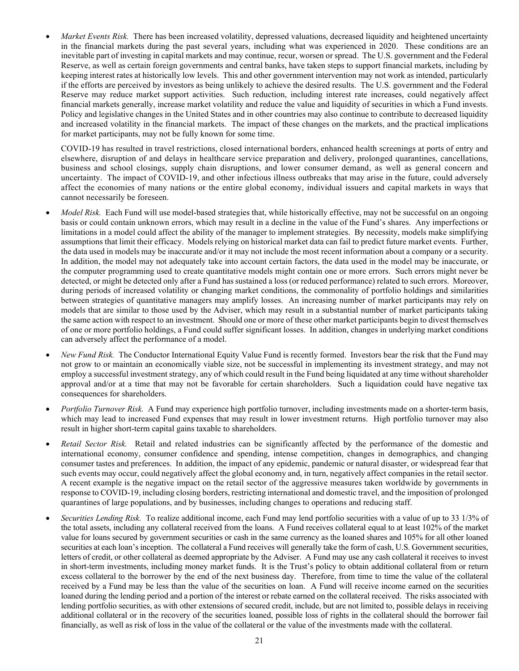*Market Events Risk.* There has been increased volatility, depressed valuations, decreased liquidity and heightened uncertainty in the financial markets during the past several years, including what was experienced in 2020. These conditions are an inevitable part of investing in capital markets and may continue, recur, worsen or spread. The U.S. government and the Federal Reserve, as well as certain foreign governments and central banks, have taken steps to support financial markets, including by keeping interest rates at historically low levels. This and other government intervention may not work as intended, particularly if the efforts are perceived by investors as being unlikely to achieve the desired results. The U.S. government and the Federal Reserve may reduce market support activities. Such reduction, including interest rate increases, could negatively affect financial markets generally, increase market volatility and reduce the value and liquidity of securities in which a Fund invests. Policy and legislative changes in the United States and in other countries may also continue to contribute to decreased liquidity and increased volatility in the financial markets. The impact of these changes on the markets, and the practical implications for market participants, may not be fully known for some time.

COVID-19 has resulted in travel restrictions, closed international borders, enhanced health screenings at ports of entry and elsewhere, disruption of and delays in healthcare service preparation and delivery, prolonged quarantines, cancellations, business and school closings, supply chain disruptions, and lower consumer demand, as well as general concern and uncertainty. The impact of COVID-19, and other infectious illness outbreaks that may arise in the future, could adversely affect the economies of many nations or the entire global economy, individual issuers and capital markets in ways that cannot necessarily be foreseen.

- *Model Risk.* Each Fund will use model-based strategies that, while historically effective, may not be successful on an ongoing basis or could contain unknown errors, which may result in a decline in the value of the Fund's shares. Any imperfections or limitations in a model could affect the ability of the manager to implement strategies. By necessity, models make simplifying assumptions that limit their efficacy. Models relying on historical market data can fail to predict future market events. Further, the data used in models may be inaccurate and/or it may not include the most recent information about a company or a security. In addition, the model may not adequately take into account certain factors, the data used in the model may be inaccurate, or the computer programming used to create quantitative models might contain one or more errors. Such errors might never be detected, or might be detected only after a Fund has sustained a loss (or reduced performance) related to such errors. Moreover, during periods of increased volatility or changing market conditions, the commonality of portfolio holdings and similarities between strategies of quantitative managers may amplify losses. An increasing number of market participants may rely on models that are similar to those used by the Adviser, which may result in a substantial number of market participants taking the same action with respect to an investment. Should one or more of these other market participants begin to divest themselves of one or more portfolio holdings, a Fund could suffer significant losses. In addition, changes in underlying market conditions can adversely affect the performance of a model.
- *New Fund Risk.* The Conductor International Equity Value Fund is recently formed. Investors bear the risk that the Fund may not grow to or maintain an economically viable size, not be successful in implementing its investment strategy, and may not employ a successful investment strategy, any of which could result in the Fund being liquidated at any time without shareholder approval and/or at a time that may not be favorable for certain shareholders. Such a liquidation could have negative tax consequences for shareholders.
- *Portfolio Turnover Risk.* A Fund may experience high portfolio turnover, including investments made on a shorter-term basis, which may lead to increased Fund expenses that may result in lower investment returns. High portfolio turnover may also result in higher short-term capital gains taxable to shareholders.
- *Retail Sector Risk.* Retail and related industries can be significantly affected by the performance of the domestic and international economy, consumer confidence and spending, intense competition, changes in demographics, and changing consumer tastes and preferences. In addition, the impact of any epidemic, pandemic or natural disaster, or widespread fear that such events may occur, could negatively affect the global economy and, in turn, negatively affect companies in the retail sector. A recent example is the negative impact on the retail sector of the aggressive measures taken worldwide by governments in response to COVID-19, including closing borders, restricting international and domestic travel, and the imposition of prolonged quarantines of large populations, and by businesses, including changes to operations and reducing staff.
- *Securities Lending Risk.* To realize additional income, each Fund may lend portfolio securities with a value of up to 33 1/3% of the total assets, including any collateral received from the loans. A Fund receives collateral equal to at least 102% of the market value for loans secured by government securities or cash in the same currency as the loaned shares and 105% for all other loaned securities at each loan's inception. The collateral a Fund receives will generally take the form of cash, U.S. Government securities, letters of credit, or other collateral as deemed appropriate by the Adviser. A Fund may use any cash collateral it receives to invest in short-term investments, including money market funds. It is the Trust's policy to obtain additional collateral from or return excess collateral to the borrower by the end of the next business day. Therefore, from time to time the value of the collateral received by a Fund may be less than the value of the securities on loan. A Fund will receive income earned on the securities loaned during the lending period and a portion of the interest or rebate earned on the collateral received. The risks associated with lending portfolio securities, as with other extensions of secured credit, include, but are not limited to, possible delays in receiving additional collateral or in the recovery of the securities loaned, possible loss of rights in the collateral should the borrower fail financially, as well as risk of loss in the value of the collateral or the value of the investments made with the collateral.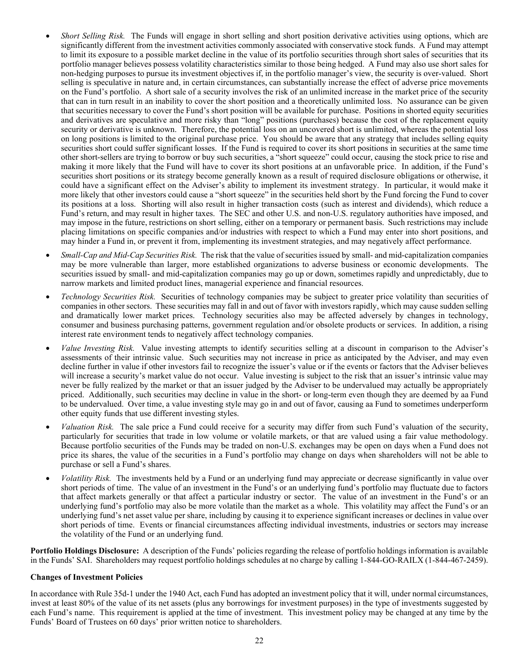- *Short Selling Risk.* The Funds will engage in short selling and short position derivative activities using options, which are significantly different from the investment activities commonly associated with conservative stock funds. A Fund may attempt to limit its exposure to a possible market decline in the value of its portfolio securities through short sales of securities that its portfolio manager believes possess volatility characteristics similar to those being hedged. A Fund may also use short sales for non-hedging purposes to pursue its investment objectives if, in the portfolio manager's view, the security is over-valued. Short selling is speculative in nature and, in certain circumstances, can substantially increase the effect of adverse price movements on the Fund's portfolio. A short sale of a security involves the risk of an unlimited increase in the market price of the security that can in turn result in an inability to cover the short position and a theoretically unlimited loss. No assurance can be given that securities necessary to cover the Fund's short position will be available for purchase. Positions in shorted equity securities and derivatives are speculative and more risky than "long" positions (purchases) because the cost of the replacement equity security or derivative is unknown. Therefore, the potential loss on an uncovered short is unlimited, whereas the potential loss on long positions is limited to the original purchase price. You should be aware that any strategy that includes selling equity securities short could suffer significant losses. If the Fund is required to cover its short positions in securities at the same time other short-sellers are trying to borrow or buy such securities, a "short squeeze" could occur, causing the stock price to rise and making it more likely that the Fund will have to cover its short positions at an unfavorable price. In addition, if the Fund's securities short positions or its strategy become generally known as a result of required disclosure obligations or otherwise, it could have a significant effect on the Adviser's ability to implement its investment strategy. In particular, it would make it more likely that other investors could cause a "short squeeze" in the securities held short by the Fund forcing the Fund to cover its positions at a loss. Shorting will also result in higher transaction costs (such as interest and dividends), which reduce a Fund's return, and may result in higher taxes. The SEC and other U.S. and non-U.S. regulatory authorities have imposed, and may impose in the future, restrictions on short selling, either on a temporary or permanent basis. Such restrictions may include placing limitations on specific companies and/or industries with respect to which a Fund may enter into short positions, and may hinder a Fund in, or prevent it from, implementing its investment strategies, and may negatively affect performance.
- *Small-Cap and Mid-Cap Securities Risk.* The risk that the value of securities issued by small- and mid-capitalization companies may be more vulnerable than larger, more established organizations to adverse business or economic developments. The securities issued by small- and mid-capitalization companies may go up or down, sometimes rapidly and unpredictably, due to narrow markets and limited product lines, managerial experience and financial resources.
- *Technology Securities Risk.* Securities of technology companies may be subject to greater price volatility than securities of companies in other sectors. These securities may fall in and out of favor with investors rapidly, which may cause sudden selling and dramatically lower market prices. Technology securities also may be affected adversely by changes in technology, consumer and business purchasing patterns, government regulation and/or obsolete products or services. In addition, a rising interest rate environment tends to negatively affect technology companies.
- *Value Investing Risk.* Value investing attempts to identify securities selling at a discount in comparison to the Adviser's assessments of their intrinsic value. Such securities may not increase in price as anticipated by the Adviser, and may even decline further in value if other investors fail to recognize the issuer's value or if the events or factors that the Adviser believes will increase a security's market value do not occur. Value investing is subject to the risk that an issuer's intrinsic value may never be fully realized by the market or that an issuer judged by the Adviser to be undervalued may actually be appropriately priced. Additionally, such securities may decline in value in the short- or long-term even though they are deemed by aa Fund to be undervalued. Over time, a value investing style may go in and out of favor, causing aa Fund to sometimes underperform other equity funds that use different investing styles.
- *Valuation Risk.* The sale price a Fund could receive for a security may differ from such Fund's valuation of the security, particularly for securities that trade in low volume or volatile markets, or that are valued using a fair value methodology. Because portfolio securities of the Funds may be traded on non-U.S. exchanges may be open on days when a Fund does not price its shares, the value of the securities in a Fund's portfolio may change on days when shareholders will not be able to purchase or sell a Fund's shares.
- *Volatility Risk.* The investments held by a Fund or an underlying fund may appreciate or decrease significantly in value over short periods of time. The value of an investment in the Fund's or an underlying fund's portfolio may fluctuate due to factors that affect markets generally or that affect a particular industry or sector. The value of an investment in the Fund's or an underlying fund's portfolio may also be more volatile than the market as a whole. This volatility may affect the Fund's or an underlying fund's net asset value per share, including by causing it to experience significant increases or declines in value over short periods of time. Events or financial circumstances affecting individual investments, industries or sectors may increase the volatility of the Fund or an underlying fund.

<span id="page-25-0"></span>**Portfolio Holdings Disclosure:** A description of the Funds' policies regarding the release of portfolio holdings information is available in the Funds' SAI. Shareholders may request portfolio holdings schedules at no charge by calling 1-844-GO-RAILX (1-844-467-2459).

### <span id="page-25-1"></span>**Changes of Investment Policies**

In accordance with Rule 35d-1 under the 1940 Act, each Fund has adopted an investment policy that it will, under normal circumstances, invest at least 80% of the value of its net assets (plus any borrowings for investment purposes) in the type of investments suggested by each Fund's name. This requirement is applied at the time of investment. This investment policy may be changed at any time by the Funds' Board of Trustees on 60 days' prior written notice to shareholders.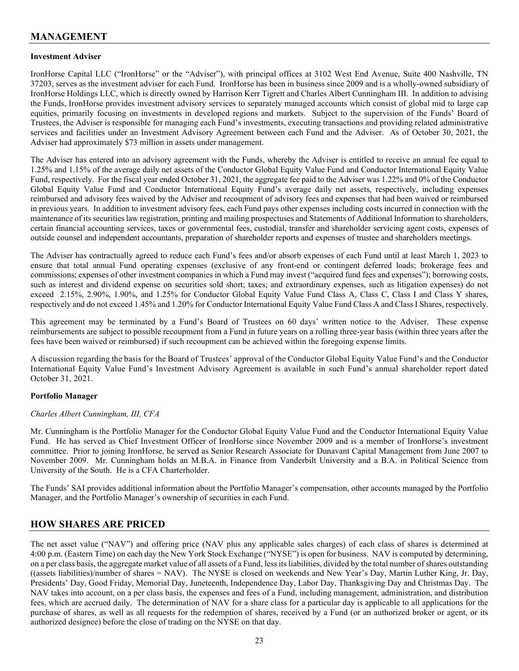## <span id="page-26-0"></span>**MANAGEMENT**

### <span id="page-26-1"></span>**Investment Adviser**

IronHorse Capital LLC ("IronHorse" or the "Adviser"), with principal offices at 3102 West End Avenue, Suite 400 Nashville, TN 37203, serves as the investment adviser for each Fund. IronHorse has been in business since 2009 and is a wholly-owned subsidiary of IronHorse Holdings LLC, which is directly owned by Harrison Kerr Tigrett and Charles Albert Cunningham III. In addition to advising the Funds, IronHorse provides investment advisory services to separately managed accounts which consist of global mid to large cap equities, primarily focusing on investments in developed regions and markets. Subject to the supervision of the Funds' Board of Trustees, the Adviser is responsible for managing each Fund's investments, executing transactions and providing related administrative services and facilities under an Investment Advisory Agreement between each Fund and the Adviser. As of October 30, 2021, the Adviser had approximately \$73 million in assets under management.

The Adviser has entered into an advisory agreement with the Funds, whereby the Adviser is entitled to receive an annual fee equal to 1.25% and 1.15% of the average daily net assets of the Conductor Global Equity Value Fund and Conductor International Equity Value Fund, respectively. For the fiscal year ended October 31, 2021, the aggregate fee paid to the Adviser was 1.22% and 0% of the Conductor Global Equity Value Fund and Conductor International Equity Fund's average daily net assets, respectively, including expenses reimbursed and advisory fees waived by the Adviser and recoupment of advisory fees and expenses that had been waived or reimbursed in previous years. In addition to investment advisory fees, each Fund pays other expenses including costs incurred in connection with the maintenance of its securities law registration, printing and mailing prospectuses and Statements of Additional Information to shareholders, certain financial accounting services, taxes or governmental fees, custodial, transfer and shareholder servicing agent costs, expenses of outside counsel and independent accountants, preparation of shareholder reports and expenses of trustee and shareholders meetings.

The Adviser has contractually agreed to reduce each Fund's fees and/or absorb expenses of each Fund until at least March 1, 2023 to ensure that total annual Fund operating expenses (exclusive of any front-end or contingent deferred loads; brokerage fees and commissions; expenses of other investment companies in which a Fund may invest ("acquired fund fees and expenses"); borrowing costs, such as interest and dividend expense on securities sold short; taxes; and extraordinary expenses, such as litigation expenses) do not exceed 2.15%, 2.90%, 1.90%, and 1.25% for Conductor Global Equity Value Fund Class A, Class C, Class I and Class Y shares, respectively and do not exceed 1.45% and 1.20% for Conductor International Equity Value Fund Class A and Class I Shares, respectively.

This agreement may be terminated by a Fund's Board of Trustees on 60 days' written notice to the Adviser. These expense reimbursements are subject to possible recoupment from a Fund in future years on a rolling three-year basis (within three years after the fees have been waived or reimbursed) if such recoupment can be achieved within the foregoing expense limits.

A discussion regarding the basis for the Board of Trustees' approval of the Conductor Global Equity Value Fund's and the Conductor International Equity Value Fund's Investment Advisory Agreement is available in such Fund's annual shareholder report dated October 31, 2021.

### <span id="page-26-2"></span>**Portfolio Manager**

### *Charles Albert Cunningham, III, CFA*

Mr. Cunningham is the Portfolio Manager for the Conductor Global Equity Value Fund and the Conductor International Equity Value Fund. He has served as Chief Investment Officer of IronHorse since November 2009 and is a member of IronHorse's investment committee. Prior to joining IronHorse, he served as Senior Research Associate for Dunavant Capital Management from June 2007 to November 2009. Mr. Cunningham holds an M.B.A. in Finance from Vanderbilt University and a B.A. in Political Science from University of the South. He is a CFA Charterholder.

The Funds' SAI provides additional information about the Portfolio Manager's compensation, other accounts managed by the Portfolio Manager, and the Portfolio Manager's ownership of securities in each Fund.

### <span id="page-26-3"></span>**HOW SHARES ARE PRICED**

The net asset value ("NAV") and offering price (NAV plus any applicable sales charges) of each class of shares is determined at 4:00 p.m. (Eastern Time) on each day the New York Stock Exchange ("NYSE") is open for business. NAV is computed by determining, on a per class basis, the aggregate market value of all assets of a Fund, less its liabilities, divided by the total number of shares outstanding ((assets liabilities)/number of shares = NAV). The NYSE is closed on weekends and New Year's Day, Martin Luther King, Jr. Day, Presidents' Day, Good Friday, Memorial Day, Juneteenth, Independence Day, Labor Day, Thanksgiving Day and Christmas Day. The NAV takes into account, on a per class basis, the expenses and fees of a Fund, including management, administration, and distribution fees, which are accrued daily. The determination of NAV for a share class for a particular day is applicable to all applications for the purchase of shares, as well as all requests for the redemption of shares, received by a Fund (or an authorized broker or agent, or its authorized designee) before the close of trading on the NYSE on that day.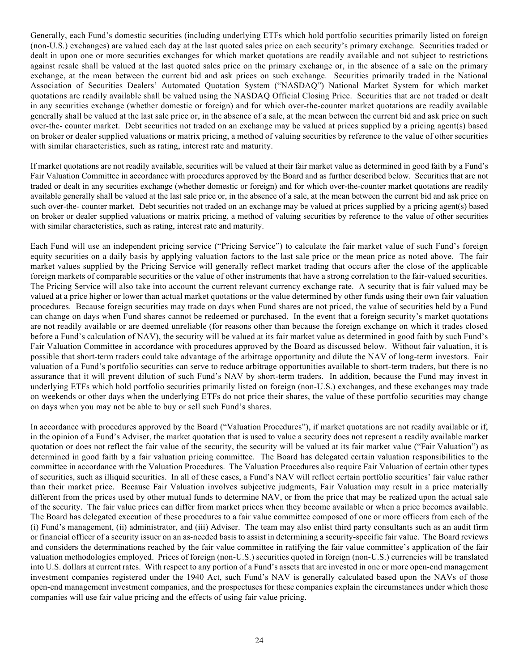Generally, each Fund's domestic securities (including underlying ETFs which hold portfolio securities primarily listed on foreign (non-U.S.) exchanges) are valued each day at the last quoted sales price on each security's primary exchange. Securities traded or dealt in upon one or more securities exchanges for which market quotations are readily available and not subject to restrictions against resale shall be valued at the last quoted sales price on the primary exchange or, in the absence of a sale on the primary exchange, at the mean between the current bid and ask prices on such exchange. Securities primarily traded in the National Association of Securities Dealers' Automated Quotation System ("NASDAQ") National Market System for which market quotations are readily available shall be valued using the NASDAQ Official Closing Price. Securities that are not traded or dealt in any securities exchange (whether domestic or foreign) and for which over-the-counter market quotations are readily available generally shall be valued at the last sale price or, in the absence of a sale, at the mean between the current bid and ask price on such over-the- counter market. Debt securities not traded on an exchange may be valued at prices supplied by a pricing agent(s) based on broker or dealer supplied valuations or matrix pricing, a method of valuing securities by reference to the value of other securities with similar characteristics, such as rating, interest rate and maturity.

If market quotations are not readily available, securities will be valued at their fair market value as determined in good faith by a Fund's Fair Valuation Committee in accordance with procedures approved by the Board and as further described below. Securities that are not traded or dealt in any securities exchange (whether domestic or foreign) and for which over-the-counter market quotations are readily available generally shall be valued at the last sale price or, in the absence of a sale, at the mean between the current bid and ask price on such over-the- counter market. Debt securities not traded on an exchange may be valued at prices supplied by a pricing agent(s) based on broker or dealer supplied valuations or matrix pricing, a method of valuing securities by reference to the value of other securities with similar characteristics, such as rating, interest rate and maturity.

Each Fund will use an independent pricing service ("Pricing Service") to calculate the fair market value of such Fund's foreign equity securities on a daily basis by applying valuation factors to the last sale price or the mean price as noted above. The fair market values supplied by the Pricing Service will generally reflect market trading that occurs after the close of the applicable foreign markets of comparable securities or the value of other instruments that have a strong correlation to the fair-valued securities. The Pricing Service will also take into account the current relevant currency exchange rate. A security that is fair valued may be valued at a price higher or lower than actual market quotations or the value determined by other funds using their own fair valuation procedures. Because foreign securities may trade on days when Fund shares are not priced, the value of securities held by a Fund can change on days when Fund shares cannot be redeemed or purchased. In the event that a foreign security's market quotations are not readily available or are deemed unreliable (for reasons other than because the foreign exchange on which it trades closed before a Fund's calculation of NAV), the security will be valued at its fair market value as determined in good faith by such Fund's Fair Valuation Committee in accordance with procedures approved by the Board as discussed below. Without fair valuation, it is possible that short-term traders could take advantage of the arbitrage opportunity and dilute the NAV of long-term investors. Fair valuation of a Fund's portfolio securities can serve to reduce arbitrage opportunities available to short-term traders, but there is no assurance that it will prevent dilution of such Fund's NAV by short-term traders. In addition, because the Fund may invest in underlying ETFs which hold portfolio securities primarily listed on foreign (non-U.S.) exchanges, and these exchanges may trade on weekends or other days when the underlying ETFs do not price their shares, the value of these portfolio securities may change on days when you may not be able to buy or sell such Fund's shares.

<span id="page-27-0"></span>In accordance with procedures approved by the Board ("Valuation Procedures"), if market quotations are not readily available or if, in the opinion of a Fund's Adviser, the market quotation that is used to value a security does not represent a readily available market quotation or does not reflect the fair value of the security, the security will be valued at its fair market value ("Fair Valuation") as determined in good faith by a fair valuation pricing committee. The Board has delegated certain valuation responsibilities to the committee in accordance with the Valuation Procedures. The Valuation Procedures also require Fair Valuation of certain other types of securities, such as illiquid securities. In all of these cases, a Fund's NAV will reflect certain portfolio securities' fair value rather than their market price. Because Fair Valuation involves subjective judgments, Fair Valuation may result in a price materially different from the prices used by other mutual funds to determine NAV, or from the price that may be realized upon the actual sale of the security. The fair value prices can differ from market prices when they become available or when a price becomes available. The Board has delegated execution of these procedures to a fair value committee composed of one or more officers from each of the (i) Fund's management, (ii) administrator, and (iii) Adviser. The team may also enlist third party consultants such as an audit firm or financial officer of a security issuer on an as-needed basis to assist in determining a security-specific fair value. The Board reviews and considers the determinations reached by the fair value committee in ratifying the fair value committee's application of the fair valuation methodologies employed. Prices of foreign (non-U.S.) securities quoted in foreign (non-U.S.) currencies will be translated into U.S. dollars at current rates. With respect to any portion of a Fund's assets that are invested in one or more open-end management investment companies registered under the 1940 Act, such Fund's NAV is generally calculated based upon the NAVs of those open-end management investment companies, and the prospectuses for these companies explain the circumstances under which those companies will use fair value pricing and the effects of using fair value pricing.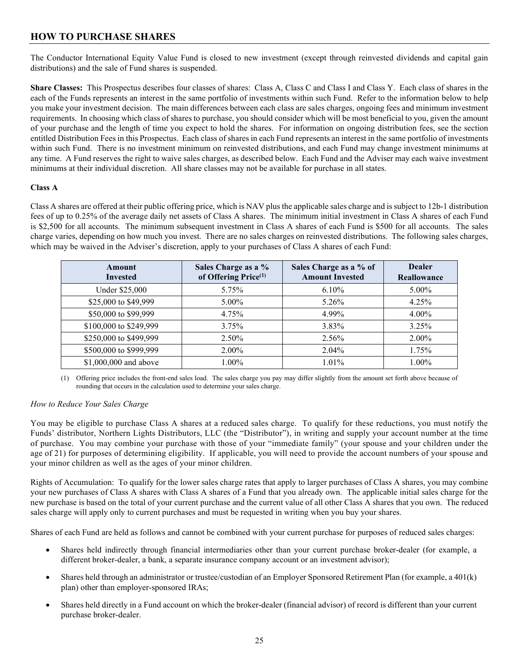# **HOW TO PURCHASE SHARES**

<span id="page-28-0"></span>The Conductor International Equity Value Fund is closed to new investment (except through reinvested dividends and capital gain distributions) and the sale of Fund shares is suspended.

**Share Classes:** This Prospectus describes four classes of shares: Class A, Class C and Class I and Class Y. Each class of shares in the each of the Funds represents an interest in the same portfolio of investments within such Fund. Refer to the information below to help you make your investment decision. The main differences between each class are sales charges, ongoing fees and minimum investment requirements. In choosing which class of shares to purchase, you should consider which will be most beneficial to you, given the amount of your purchase and the length of time you expect to hold the shares. For information on ongoing distribution fees, see the section entitled Distribution Fees in this Prospectus. Each class of shares in each Fund represents an interest in the same portfolio of investments within such Fund. There is no investment minimum on reinvested distributions, and each Fund may change investment minimums at any time. A Fund reserves the right to waive sales charges, as described below. Each Fund and the Adviser may each waive investment minimums at their individual discretion. All share classes may not be available for purchase in all states.

### <span id="page-28-1"></span>**Class A**

Class A shares are offered at their public offering price, which is NAV plusthe applicable sales charge and issubject to 12b-1 distribution fees of up to 0.25% of the average daily net assets of Class A shares. The minimum initial investment in Class A shares of each Fund is \$2,500 for all accounts. The minimum subsequent investment in Class A shares of each Fund is \$500 for all accounts. The sales charge varies, depending on how much you invest. There are no sales charges on reinvested distributions. The following sales charges, which may be waived in the Adviser's discretion, apply to your purchases of Class A shares of each Fund:

| Amount<br><b>Invested</b> | Sales Charge as a %<br>of Offering Price <sup>(1)</sup> | Sales Charge as a % of<br><b>Amount Invested</b> | <b>Dealer</b><br>Reallowance |
|---------------------------|---------------------------------------------------------|--------------------------------------------------|------------------------------|
| Under \$25,000            | 5.75%                                                   | $6.10\%$                                         | 5.00%                        |
| \$25,000 to \$49,999      | $5.00\%$                                                | 5.26%                                            | 4.25%                        |
| \$50,000 to \$99,999      | 4.75%                                                   | 4.99%                                            | $4.00\%$                     |
| \$100,000 to \$249,999    | 3.75%                                                   | 3.83%                                            | 3.25%                        |
| \$250,000 to \$499,999    | 2.50%                                                   | 2.56%                                            | 2.00%                        |
| \$500,000 to \$999,999    | 2.00%                                                   | $2.04\%$                                         | 1.75%                        |
| \$1,000,000 and above     | $1.00\%$                                                | $1.01\%$                                         | 1.00%                        |

(1) Offering price includes the front-end sales load. The sales charge you pay may differ slightly from the amount set forth above because of rounding that occurs in the calculation used to determine your sales charge.

### *How to Reduce Your Sales Charge*

You may be eligible to purchase Class A shares at a reduced sales charge. To qualify for these reductions, you must notify the Funds' distributor, Northern Lights Distributors, LLC (the "Distributor"), in writing and supply your account number at the time of purchase. You may combine your purchase with those of your "immediate family" (your spouse and your children under the age of 21) for purposes of determining eligibility. If applicable, you will need to provide the account numbers of your spouse and your minor children as well as the ages of your minor children.

Rights of Accumulation: To qualify for the lower sales charge rates that apply to larger purchases of Class A shares, you may combine your new purchases of Class A shares with Class A shares of a Fund that you already own. The applicable initial sales charge for the new purchase is based on the total of your current purchase and the current value of all other Class A shares that you own. The reduced sales charge will apply only to current purchases and must be requested in writing when you buy your shares.

Shares of each Fund are held as follows and cannot be combined with your current purchase for purposes of reduced sales charges:

- Shares held indirectly through financial intermediaries other than your current purchase broker-dealer (for example, a different broker-dealer, a bank, a separate insurance company account or an investment advisor);
- Shares held through an administrator or trustee/custodian of an Employer Sponsored Retirement Plan (for example, a 401(k) plan) other than employer-sponsored IRAs;
- Shares held directly in a Fund account on which the broker-dealer (financial advisor) of record is different than your current purchase broker-dealer.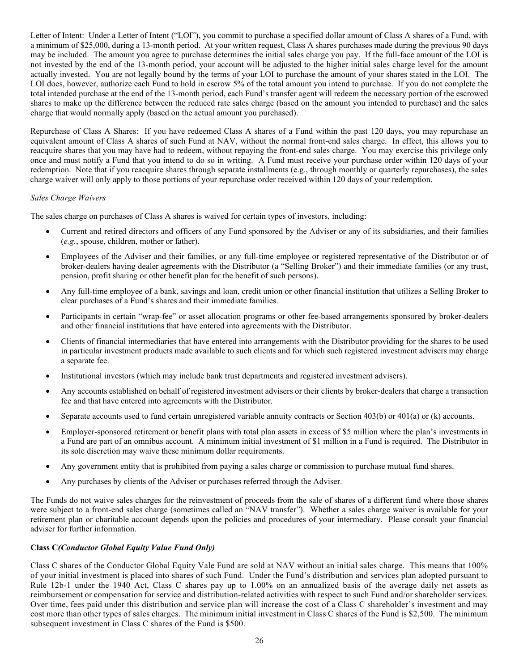Letter of Intent: Under a Letter of Intent ("LOI"), you commit to purchase a specified dollar amount of Class A shares of a Fund, with a minimum of \$25,000, during a 13-month period. At your written request, Class A shares purchases made during the previous 90 days may be included. The amount you agree to purchase determines the initial sales charge you pay. If the full-face amount of the LOI is not invested by the end of the 13-month period, your account will be adjusted to the higher initial sales charge level for the amount actually invested. You are not legally bound by the terms of your LOI to purchase the amount of your shares stated in the LOI. The LOI does, however, authorize each Fund to hold in escrow 5% of the total amount you intend to purchase. If you do not complete the total intended purchase at the end of the 13-month period, each Fund's transfer agent will redeem the necessary portion of the escrowed shares to make up the difference between the reduced rate sales charge (based on the amount you intended to purchase) and the sales charge that would normally apply (based on the actual amount you purchased).

Repurchase of Class A Shares: If you have redeemed Class A shares of a Fund within the past 120 days, you may repurchase an equivalent amount of Class A shares of such Fund at NAV, without the normal front-end sales charge. In effect, this allows you to reacquire shares that you may have had to redeem, without repaying the front-end sales charge. You may exercise this privilege only once and must notify a Fund that you intend to do so in writing. A Fund must receive your purchase order within 120 days of your redemption. Note that if you reacquire shares through separate installments (e.g., through monthly or quarterly repurchases), the sales charge waiver will only apply to those portions of your repurchase order received within 120 days of your redemption.

### *Sales Charge Waivers*

The sales charge on purchases of Class A shares is waived for certain types of investors, including:

- Current and retired directors and officers of any Fund sponsored by the Adviser or any of its subsidiaries, and their families (*e.g.*, spouse, children, mother or father).
- Employees of the Adviser and their families, or any full-time employee or registered representative of the Distributor or of broker-dealers having dealer agreements with the Distributor (a "Selling Broker") and their immediate families (or any trust, pension, profit sharing or other benefit plan for the benefit of such persons).
- Any full-time employee of a bank, savings and loan, credit union or other financial institution that utilizes a Selling Broker to clear purchases of a Fund's shares and their immediate families.
- Participants in certain "wrap-fee" or asset allocation programs or other fee-based arrangements sponsored by broker-dealers and other financial institutions that have entered into agreements with the Distributor.
- Clients of financial intermediaries that have entered into arrangements with the Distributor providing for the shares to be used in particular investment products made available to such clients and for which such registered investment advisers may charge a separate fee.
- Institutional investors (which may include bank trust departments and registered investment advisers).
- Any accounts established on behalf of registered investment advisers or their clients by broker-dealers that charge a transaction fee and that have entered into agreements with the Distributor.
- Separate accounts used to fund certain unregistered variable annuity contracts or Section 403(b) or 401(a) or (k) accounts.
- Employer-sponsored retirement or benefit plans with total plan assets in excess of \$5 million where the plan's investments in a Fund are part of an omnibus account. A minimum initial investment of \$1 million in a Fund is required. The Distributor in its sole discretion may waive these minimum dollar requirements.
- Any government entity that is prohibited from paying a sales charge or commission to purchase mutual fund shares.
- Any purchases by clients of the Adviser or purchases referred through the Adviser.

The Funds do not waive sales charges for the reinvestment of proceeds from the sale of shares of a different fund where those shares were subject to a front-end sales charge (sometimes called an "NAV transfer"). Whether a sales charge waiver is available for your retirement plan or charitable account depends upon the policies and procedures of your intermediary. Please consult your financial adviser for further information.

### <span id="page-29-0"></span>**Class C***(Conductor Global Equity Value Fund Only)*

Class C shares of the Conductor Global Equity Vale Fund are sold at NAV without an initial sales charge. This means that 100% of your initial investment is placed into shares of such Fund. Under the Fund's distribution and services plan adopted pursuant to Rule 12b-1 under the 1940 Act, Class C shares pay up to 1.00% on an annualized basis of the average daily net assets as reimbursement or compensation for service and distribution-related activities with respect to such Fund and/or shareholder services. Over time, fees paid under this distribution and service plan will increase the cost of a Class C shareholder's investment and may cost more than other types of sales charges. The minimum initial investment in Class C shares of the Fund is \$2,500. The minimum subsequent investment in Class C shares of the Fund is \$500.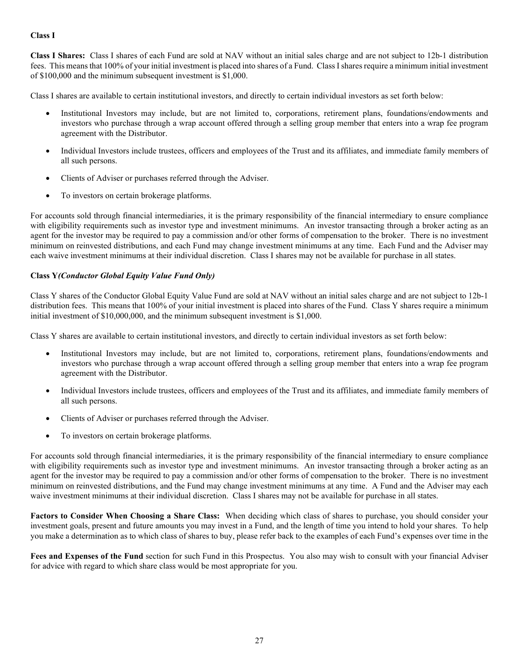### <span id="page-30-0"></span>**Class I**

**Class I Shares:** Class I shares of each Fund are sold at NAV without an initial sales charge and are not subject to 12b-1 distribution fees. This means that 100% of your initial investment is placed into shares of a Fund. Class I shares require a minimum initial investment of \$100,000 and the minimum subsequent investment is \$1,000.

Class I shares are available to certain institutional investors, and directly to certain individual investors as set forth below:

- Institutional Investors may include, but are not limited to, corporations, retirement plans, foundations/endowments and investors who purchase through a wrap account offered through a selling group member that enters into a wrap fee program agreement with the Distributor.
- Individual Investors include trustees, officers and employees of the Trust and its affiliates, and immediate family members of all such persons.
- Clients of Adviser or purchases referred through the Adviser.
- To investors on certain brokerage platforms.

For accounts sold through financial intermediaries, it is the primary responsibility of the financial intermediary to ensure compliance with eligibility requirements such as investor type and investment minimums. An investor transacting through a broker acting as an agent for the investor may be required to pay a commission and/or other forms of compensation to the broker. There is no investment minimum on reinvested distributions, and each Fund may change investment minimums at any time. Each Fund and the Adviser may each waive investment minimums at their individual discretion. Class I shares may not be available for purchase in all states.

### <span id="page-30-1"></span>**Class Y***(Conductor Global Equity Value Fund Only)*

Class Y shares of the Conductor Global Equity Value Fund are sold at NAV without an initial sales charge and are not subject to 12b-1 distribution fees. This means that 100% of your initial investment is placed into shares of the Fund. Class Y shares require a minimum initial investment of \$10,000,000, and the minimum subsequent investment is \$1,000.

Class Y shares are available to certain institutional investors, and directly to certain individual investors as set forth below:

- Institutional Investors may include, but are not limited to, corporations, retirement plans, foundations/endowments and investors who purchase through a wrap account offered through a selling group member that enters into a wrap fee program agreement with the Distributor.
- Individual Investors include trustees, officers and employees of the Trust and its affiliates, and immediate family members of all such persons.
- Clients of Adviser or purchases referred through the Adviser.
- To investors on certain brokerage platforms.

For accounts sold through financial intermediaries, it is the primary responsibility of the financial intermediary to ensure compliance with eligibility requirements such as investor type and investment minimums. An investor transacting through a broker acting as an agent for the investor may be required to pay a commission and/or other forms of compensation to the broker. There is no investment minimum on reinvested distributions, and the Fund may change investment minimums at any time. A Fund and the Adviser may each waive investment minimums at their individual discretion. Class I shares may not be available for purchase in all states.

<span id="page-30-2"></span>**Factors to Consider When Choosing a Share Class:** When deciding which class of shares to purchase, you should consider your investment goals, present and future amounts you may invest in a Fund, and the length of time you intend to hold your shares. To help you make a determination as to which class of shares to buy, please refer back to the examples of each Fund's expenses over time in the

<span id="page-30-3"></span>**Fees and Expenses of the Fund** section for such Fund in this Prospectus. You also may wish to consult with your financial Adviser for advice with regard to which share class would be most appropriate for you.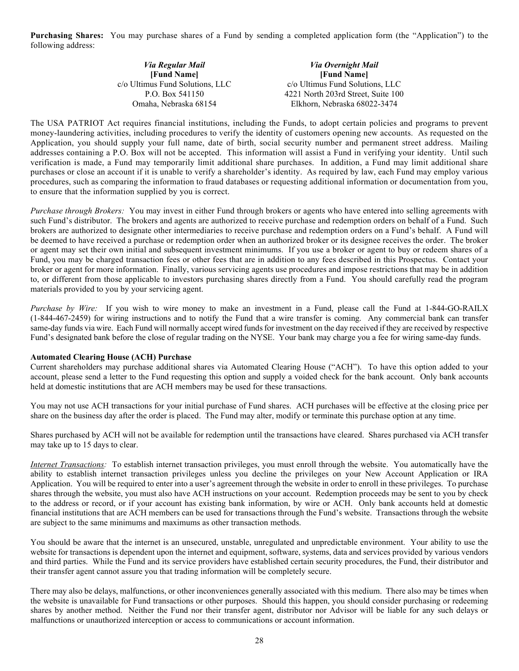**Purchasing Shares:** You may purchase shares of a Fund by sending a completed application form (the "Application") to the following address:

| Via Regular Mail                | <b>Via Overnight Mail</b>          |
|---------------------------------|------------------------------------|
| [Fund Name]                     | [Fund Name]                        |
| c/o Ultimus Fund Solutions, LLC | c/o Ultimus Fund Solutions, LLC    |
| P.O. Box 541150                 | 4221 North 203rd Street, Suite 100 |
| Omaha, Nebraska 68154           | Elkhorn, Nebraska 68022-3474       |

The USA PATRIOT Act requires financial institutions, including the Funds, to adopt certain policies and programs to prevent money-laundering activities, including procedures to verify the identity of customers opening new accounts. As requested on the Application, you should supply your full name, date of birth, social security number and permanent street address. Mailing addresses containing a P.O. Box will not be accepted. This information will assist a Fund in verifying your identity. Until such verification is made, a Fund may temporarily limit additional share purchases. In addition, a Fund may limit additional share purchases or close an account if it is unable to verify a shareholder's identity. As required by law, each Fund may employ various procedures, such as comparing the information to fraud databases or requesting additional information or documentation from you, to ensure that the information supplied by you is correct.

*Purchase through Brokers:* You may invest in either Fund through brokers or agents who have entered into selling agreements with such Fund's distributor. The brokers and agents are authorized to receive purchase and redemption orders on behalf of a Fund. Such brokers are authorized to designate other intermediaries to receive purchase and redemption orders on a Fund's behalf. A Fund will be deemed to have received a purchase or redemption order when an authorized broker or its designee receives the order. The broker or agent may set their own initial and subsequent investment minimums. If you use a broker or agent to buy or redeem shares of a Fund, you may be charged transaction fees or other fees that are in addition to any fees described in this Prospectus. Contact your broker or agent for more information. Finally, various servicing agents use procedures and impose restrictions that may be in addition to, or different from those applicable to investors purchasing shares directly from a Fund. You should carefully read the program materials provided to you by your servicing agent.

*Purchase by Wire:* If you wish to wire money to make an investment in a Fund, please call the Fund at 1-844-GO-RAILX (1-844-467-2459) for wiring instructions and to notify the Fund that a wire transfer is coming. Any commercial bank can transfer same-day funds via wire. Each Fund will normally accept wired funds for investment on the day received if they are received by respective Fund's designated bank before the close of regular trading on the NYSE. Your bank may charge you a fee for wiring same-day funds.

#### **Automated Clearing House (ACH) Purchase**

Current shareholders may purchase additional shares via Automated Clearing House ("ACH"). To have this option added to your account, please send a letter to the Fund requesting this option and supply a voided check for the bank account. Only bank accounts held at domestic institutions that are ACH members may be used for these transactions.

You may not use ACH transactions for your initial purchase of Fund shares. ACH purchases will be effective at the closing price per share on the business day after the order is placed. The Fund may alter, modify or terminate this purchase option at any time.

Shares purchased by ACH will not be available for redemption until the transactions have cleared. Shares purchased via ACH transfer may take up to 15 days to clear.

*Internet Transactions:* To establish internet transaction privileges, you must enroll through the website. You automatically have the ability to establish internet transaction privileges unless you decline the privileges on your New Account Application or IRA Application. You will be required to enter into a user's agreement through the website in order to enroll in these privileges. To purchase shares through the website, you must also have ACH instructions on your account. Redemption proceeds may be sent to you by check to the address or record, or if your account has existing bank information, by wire or ACH. Only bank accounts held at domestic financial institutions that are ACH members can be used for transactions through the Fund's website. Transactions through the website are subject to the same minimums and maximums as other transaction methods.

You should be aware that the internet is an unsecured, unstable, unregulated and unpredictable environment. Your ability to use the website for transactions is dependent upon the internet and equipment, software, systems, data and services provided by various vendors and third parties. While the Fund and its service providers have established certain security procedures, the Fund, their distributor and their transfer agent cannot assure you that trading information will be completely secure.

There may also be delays, malfunctions, or other inconveniences generally associated with this medium. There also may be times when the website is unavailable for Fund transactions or other purposes. Should this happen, you should consider purchasing or redeeming shares by another method. Neither the Fund nor their transfer agent, distributor nor Advisor will be liable for any such delays or malfunctions or unauthorized interception or access to communications or account information.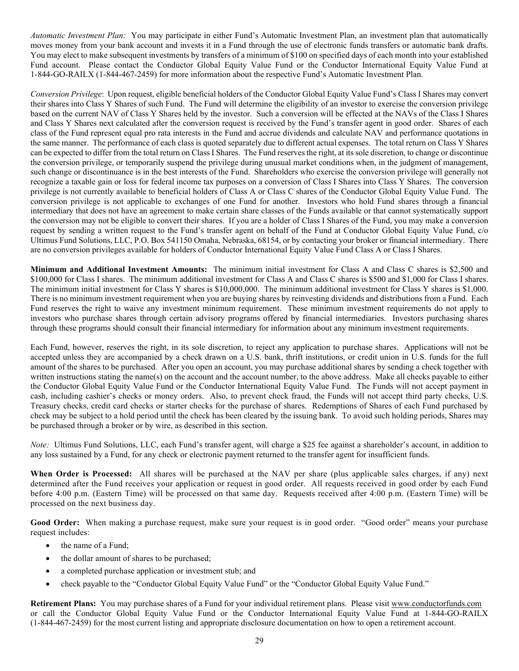*Automatic Investment Plan:* You may participate in either Fund's Automatic Investment Plan, an investment plan that automatically moves money from your bank account and invests it in a Fund through the use of electronic funds transfers or automatic bank drafts. You may elect to make subsequent investments by transfers of a minimum of \$100 on specified days of each month into your established Fund account. Please contact the Conductor Global Equity Value Fund or the Conductor International Equity Value Fund at 1-844-GO-RAILX (1-844-467-2459) for more information about the respective Fund's Automatic Investment Plan.

*Conversion Privilege*: Upon request, eligible beneficial holders of the Conductor Global Equity Value Fund's Class I Shares may convert their shares into Class Y Shares of such Fund. The Fund will determine the eligibility of an investor to exercise the conversion privilege based on the current NAV of Class Y Shares held by the investor. Such a conversion will be effected at the NAVs of the Class I Shares and Class Y Shares next calculated after the conversion request is received by the Fund's transfer agent in good order. Shares of each class of the Fund represent equal pro rata interests in the Fund and accrue dividends and calculate NAV and performance quotations in the same manner. The performance of each class is quoted separately due to different actual expenses. The total return on Class Y Shares can be expected to differ from the total return on Class I Shares. The Fund reserves the right, at its sole discretion, to change or discontinue the conversion privilege, or temporarily suspend the privilege during unusual market conditions when, in the judgment of management, such change or discontinuance is in the best interests of the Fund. Shareholders who exercise the conversion privilege will generally not recognize a taxable gain or loss for federal income tax purposes on a conversion of Class I Shares into Class Y Shares. The conversion privilege is not currently available to beneficial holders of Class A or Class C shares of the Conductor Global Equity Value Fund. The conversion privilege is not applicable to exchanges of one Fund for another. Investors who hold Fund shares through a financial intermediary that does not have an agreement to make certain share classes of the Funds available or that cannot systematically support the conversion may not be eligible to convert their shares. If you are a holder of Class I Shares of the Fund, you may make a conversion request by sending a written request to the Fund's transfer agent on behalf of the Fund at Conductor Global Equity Value Fund, c/o Ultimus Fund Solutions, LLC, P.O. Box 541150 Omaha, Nebraska, 68154, or by contacting your broker or financial intermediary. There are no conversion privileges available for holders of Conductor International Equity Value Fund Class A or Class I Shares.

<span id="page-32-0"></span>**Minimum and Additional Investment Amounts:** The minimum initial investment for Class A and Class C shares is \$2,500 and \$100,000 for Class I shares. The minimum additional investment for Class A and Class C shares is \$500 and \$1,000 for Class I shares. The minimum initial investment for Class Y shares is \$10,000,000. The minimum additional investment for Class Y shares is \$1,000. There is no minimum investment requirement when you are buying shares by reinvesting dividends and distributions from a Fund. Each Fund reserves the right to waive any investment minimum requirement. These minimum investment requirements do not apply to investors who purchase shares through certain advisory programs offered by financial intermediaries. Investors purchasing shares through these programs should consult their financial intermediary for information about any minimum investment requirements.

Each Fund, however, reserves the right, in its sole discretion, to reject any application to purchase shares. Applications will not be accepted unless they are accompanied by a check drawn on a U.S. bank, thrift institutions, or credit union in U.S. funds for the full amount of the shares to be purchased. After you open an account, you may purchase additional shares by sending a check together with written instructions stating the name(s) on the account and the account number, to the above address. Make all checks payable to either the Conductor Global Equity Value Fund or the Conductor International Equity Value Fund. The Funds will not accept payment in cash, including cashier's checks or money orders. Also, to prevent check fraud, the Funds will not accept third party checks, U.S. Treasury checks, credit card checks or starter checks for the purchase of shares. Redemptions of Shares of each Fund purchased by check may be subject to a hold period until the check has been cleared by the issuing bank. To avoid such holding periods, Shares may be purchased through a broker or by wire, as described in this section.

*Note:* Ultimus Fund Solutions, LLC, each Fund's transfer agent, will charge a \$25 fee against a shareholder's account, in addition to any loss sustained by a Fund, for any check or electronic payment returned to the transfer agent for insufficient funds.

<span id="page-32-1"></span>**When Order is Processed:** All shares will be purchased at the NAV per share (plus applicable sales charges, if any) next determined after the Fund receives your application or request in good order. All requests received in good order by each Fund before 4:00 p.m. (Eastern Time) will be processed on that same day. Requests received after 4:00 p.m. (Eastern Time) will be processed on the next business day.

<span id="page-32-2"></span>**Good Order:** When making a purchase request, make sure your request is in good order. "Good order" means your purchase request includes:

- the name of a Fund;
- the dollar amount of shares to be purchased;
- a completed purchase application or investment stub; and
- check payable to the "Conductor Global Equity Value Fund" or the "Conductor Global Equity Value Fund."

<span id="page-32-3"></span>**Retirement Plans:** You may purchase shares of a Fund for your individual retirement plans. Please visit [www.conductorfunds.com](http://www.conductorfunds.com/) or call the Conductor Global Equity Value Fund or the Conductor International Equity Value Fund at 1-844-GO-RAILX (1-844-467-2459) for the most current listing and appropriate disclosure documentation on how to open a retirement account.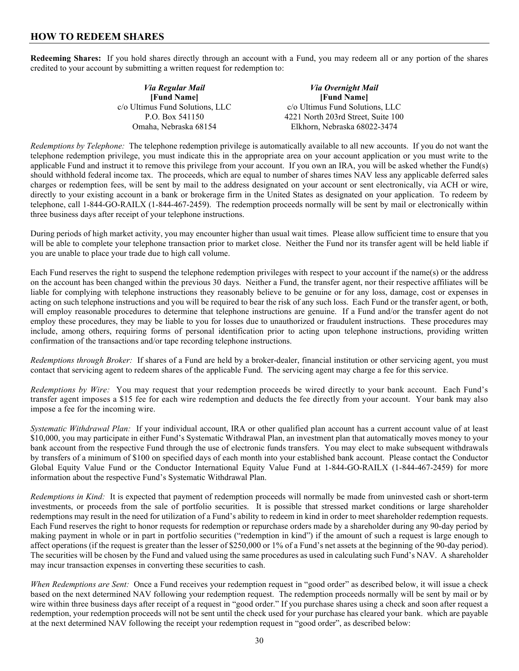### <span id="page-33-0"></span>**HOW TO REDEEM SHARES**

<span id="page-33-1"></span>**Redeeming Shares:** If you hold shares directly through an account with a Fund, you may redeem all or any portion of the shares credited to your account by submitting a written request for redemption to:

| Via Regular Mail                | <b>Via Overnight Mail</b>          |
|---------------------------------|------------------------------------|
| [Fund Name]                     | [Fund Name]                        |
| c/o Ultimus Fund Solutions, LLC | c/o Ultimus Fund Solutions, LLC    |
| P.O. Box 541150                 | 4221 North 203rd Street, Suite 100 |
| Omaha, Nebraska 68154           | Elkhorn, Nebraska 68022-3474       |

*Redemptions by Telephone:* The telephone redemption privilege is automatically available to all new accounts. If you do not want the telephone redemption privilege, you must indicate this in the appropriate area on your account application or you must write to the applicable Fund and instruct it to remove this privilege from your account. If you own an IRA, you will be asked whether the Fund(s) should withhold federal income tax. The proceeds, which are equal to number of shares times NAV less any applicable deferred sales charges or redemption fees, will be sent by mail to the address designated on your account or sent electronically, via ACH or wire, directly to your existing account in a bank or brokerage firm in the United States as designated on your application. To redeem by telephone, call 1-844-GO-RAILX (1-844-467-2459). The redemption proceeds normally will be sent by mail or electronically within three business days after receipt of your telephone instructions.

During periods of high market activity, you may encounter higher than usual wait times. Please allow sufficient time to ensure that you will be able to complete your telephone transaction prior to market close. Neither the Fund nor its transfer agent will be held liable if you are unable to place your trade due to high call volume.

Each Fund reserves the right to suspend the telephone redemption privileges with respect to your account if the name(s) or the address on the account has been changed within the previous 30 days. Neither a Fund, the transfer agent, nor their respective affiliates will be liable for complying with telephone instructions they reasonably believe to be genuine or for any loss, damage, cost or expenses in acting on such telephone instructions and you will be required to bear the risk of any such loss. Each Fund or the transfer agent, or both, will employ reasonable procedures to determine that telephone instructions are genuine. If a Fund and/or the transfer agent do not employ these procedures, they may be liable to you for losses due to unauthorized or fraudulent instructions. These procedures may include, among others, requiring forms of personal identification prior to acting upon telephone instructions, providing written confirmation of the transactions and/or tape recording telephone instructions.

*Redemptions through Broker:* If shares of a Fund are held by a broker-dealer, financial institution or other servicing agent, you must contact that servicing agent to redeem shares of the applicable Fund. The servicing agent may charge a fee for this service.

*Redemptions by Wire:* You may request that your redemption proceeds be wired directly to your bank account. Each Fund's transfer agent imposes a \$15 fee for each wire redemption and deducts the fee directly from your account. Your bank may also impose a fee for the incoming wire.

*Systematic Withdrawal Plan:* If your individual account, IRA or other qualified plan account has a current account value of at least \$10,000, you may participate in either Fund's Systematic Withdrawal Plan, an investment plan that automatically moves money to your bank account from the respective Fund through the use of electronic funds transfers. You may elect to make subsequent withdrawals by transfers of a minimum of \$100 on specified days of each month into your established bank account. Please contact the Conductor Global Equity Value Fund or the Conductor International Equity Value Fund at 1-844-GO-RAILX (1-844-467-2459) for more information about the respective Fund's Systematic Withdrawal Plan.

*Redemptions in Kind:* It is expected that payment of redemption proceeds will normally be made from uninvested cash or short-term investments, or proceeds from the sale of portfolio securities. It is possible that stressed market conditions or large shareholder redemptions may result in the need for utilization of a Fund's ability to redeem in kind in order to meet shareholder redemption requests. Each Fund reserves the right to honor requests for redemption or repurchase orders made by a shareholder during any 90-day period by making payment in whole or in part in portfolio securities ("redemption in kind") if the amount of such a request is large enough to affect operations (if the request is greater than the lesser of \$250,000 or 1% of a Fund's net assets at the beginning of the 90-day period). The securities will be chosen by the Fund and valued using the same procedures as used in calculating such Fund's NAV. A shareholder may incur transaction expenses in converting these securities to cash.

*When Redemptions are Sent:* Once a Fund receives your redemption request in "good order" as described below, it will issue a check based on the next determined NAV following your redemption request. The redemption proceeds normally will be sent by mail or by wire within three business days after receipt of a request in "good order." If you purchase shares using a check and soon after request a redemption, your redemption proceeds will not be sent until the check used for your purchase has cleared your bank. which are payable at the next determined NAV following the receipt your redemption request in "good order", as described below: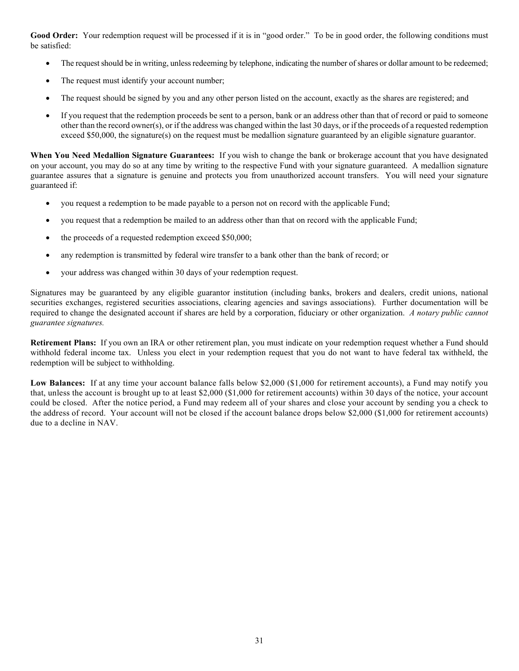<span id="page-34-0"></span>Good Order: Your redemption request will be processed if it is in "good order." To be in good order, the following conditions must be satisfied:

- The request should be in writing, unless redeeming by telephone, indicating the number of shares or dollar amount to be redeemed;
- The request must identify your account number;
- The request should be signed by you and any other person listed on the account, exactly as the shares are registered; and
- If you request that the redemption proceeds be sent to a person, bank or an address other than that of record or paid to someone other than the record owner(s), or if the address was changed within the last 30 days, or if the proceeds of a requested redemption exceed \$50,000, the signature(s) on the request must be medallion signature guaranteed by an eligible signature guarantor.

<span id="page-34-1"></span>**When You Need Medallion Signature Guarantees:** If you wish to change the bank or brokerage account that you have designated on your account, you may do so at any time by writing to the respective Fund with your signature guaranteed. A medallion signature guarantee assures that a signature is genuine and protects you from unauthorized account transfers. You will need your signature guaranteed if:

- you request a redemption to be made payable to a person not on record with the applicable Fund;
- you request that a redemption be mailed to an address other than that on record with the applicable Fund;
- the proceeds of a requested redemption exceed \$50,000;
- any redemption is transmitted by federal wire transfer to a bank other than the bank of record; or
- your address was changed within 30 days of your redemption request.

Signatures may be guaranteed by any eligible guarantor institution (including banks, brokers and dealers, credit unions, national securities exchanges, registered securities associations, clearing agencies and savings associations). Further documentation will be required to change the designated account if shares are held by a corporation, fiduciary or other organization. *A notary public cannot guarantee signatures.*

<span id="page-34-2"></span>**Retirement Plans:** If you own an IRA or other retirement plan, you must indicate on your redemption request whether a Fund should withhold federal income tax. Unless you elect in your redemption request that you do not want to have federal tax withheld, the redemption will be subject to withholding.

<span id="page-34-3"></span>**Low Balances:** If at any time your account balance falls below \$2,000 (\$1,000 for retirement accounts), a Fund may notify you that, unless the account is brought up to at least \$2,000 (\$1,000 for retirement accounts) within 30 days of the notice, your account could be closed. After the notice period, a Fund may redeem all of your shares and close your account by sending you a check to the address of record. Your account will not be closed if the account balance drops below \$2,000 (\$1,000 for retirement accounts) due to a decline in NAV.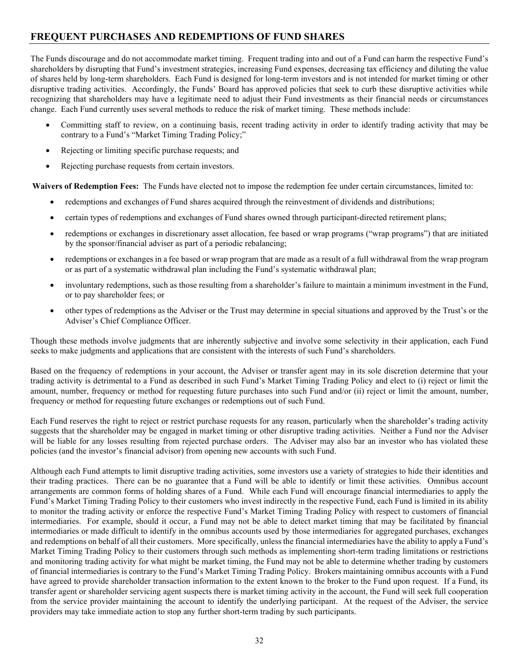# <span id="page-35-0"></span>**FREQUENT PURCHASES AND REDEMPTIONS OF FUND SHARES**

The Funds discourage and do not accommodate market timing. Frequent trading into and out of a Fund can harm the respective Fund's shareholders by disrupting that Fund's investment strategies, increasing Fund expenses, decreasing tax efficiency and diluting the value of shares held by long-term shareholders. Each Fund is designed for long-term investors and is not intended for market timing or other disruptive trading activities. Accordingly, the Funds' Board has approved policies that seek to curb these disruptive activities while recognizing that shareholders may have a legitimate need to adjust their Fund investments as their financial needs or circumstances change. Each Fund currently uses several methods to reduce the risk of market timing. These methods include:

- Committing staff to review, on a continuing basis, recent trading activity in order to identify trading activity that may be contrary to a Fund's "Market Timing Trading Policy;"
- Rejecting or limiting specific purchase requests; and
- Rejecting purchase requests from certain investors.

**Waivers of Redemption Fees:** The Funds have elected not to impose the redemption fee under certain circumstances, limited to:

- redemptions and exchanges of Fund shares acquired through the reinvestment of dividends and distributions;
- certain types of redemptions and exchanges of Fund shares owned through participant-directed retirement plans;
- redemptions or exchanges in discretionary asset allocation, fee based or wrap programs ("wrap programs") that are initiated by the sponsor/financial adviser as part of a periodic rebalancing;
- redemptions or exchanges in a fee based or wrap program that are made as a result of a full withdrawal from the wrap program or as part of a systematic withdrawal plan including the Fund's systematic withdrawal plan;
- involuntary redemptions, such as those resulting from a shareholder's failure to maintain a minimum investment in the Fund, or to pay shareholder fees; or
- other types of redemptions as the Adviser or the Trust may determine in special situations and approved by the Trust's or the Adviser's Chief Compliance Officer.

Though these methods involve judgments that are inherently subjective and involve some selectivity in their application, each Fund seeks to make judgments and applications that are consistent with the interests of such Fund's shareholders.

Based on the frequency of redemptions in your account, the Adviser or transfer agent may in its sole discretion determine that your trading activity is detrimental to a Fund as described in such Fund's Market Timing Trading Policy and elect to (i) reject or limit the amount, number, frequency or method for requesting future purchases into such Fund and/or (ii) reject or limit the amount, number, frequency or method for requesting future exchanges or redemptions out of such Fund.

Each Fund reserves the right to reject or restrict purchase requests for any reason, particularly when the shareholder's trading activity suggests that the shareholder may be engaged in market timing or other disruptive trading activities. Neither a Fund nor the Adviser will be liable for any losses resulting from rejected purchase orders. The Adviser may also bar an investor who has violated these policies (and the investor's financial advisor) from opening new accounts with such Fund.

Although each Fund attempts to limit disruptive trading activities, some investors use a variety of strategies to hide their identities and their trading practices. There can be no guarantee that a Fund will be able to identify or limit these activities. Omnibus account arrangements are common forms of holding shares of a Fund. While each Fund will encourage financial intermediaries to apply the Fund's Market Timing Trading Policy to their customers who invest indirectly in the respective Fund, each Fund is limited in its ability to monitor the trading activity or enforce the respective Fund's Market Timing Trading Policy with respect to customers of financial intermediaries. For example, should it occur, a Fund may not be able to detect market timing that may be facilitated by financial intermediaries or made difficult to identify in the omnibus accounts used by those intermediaries for aggregated purchases, exchanges and redemptions on behalf of all their customers. More specifically, unless the financial intermediaries have the ability to apply a Fund's Market Timing Trading Policy to their customers through such methods as implementing short-term trading limitations or restrictions and monitoring trading activity for what might be market timing, the Fund may not be able to determine whether trading by customers of financial intermediaries is contrary to the Fund's Market Timing Trading Policy. Brokers maintaining omnibus accounts with a Fund have agreed to provide shareholder transaction information to the extent known to the broker to the Fund upon request. If a Fund, its transfer agent or shareholder servicing agent suspects there is market timing activity in the account, the Fund will seek full cooperation from the service provider maintaining the account to identify the underlying participant. At the request of the Adviser, the service providers may take immediate action to stop any further short-term trading by such participants.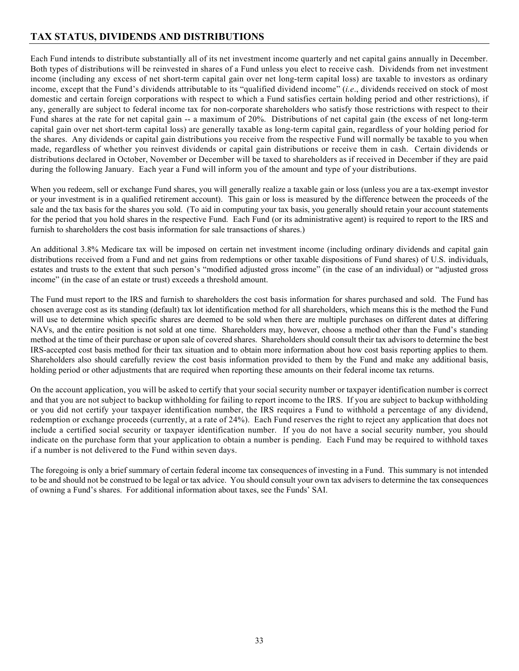# <span id="page-36-0"></span>**TAX STATUS, DIVIDENDS AND DISTRIBUTIONS**

Each Fund intends to distribute substantially all of its net investment income quarterly and net capital gains annually in December. Both types of distributions will be reinvested in shares of a Fund unless you elect to receive cash. Dividends from net investment income (including any excess of net short-term capital gain over net long-term capital loss) are taxable to investors as ordinary income, except that the Fund's dividends attributable to its "qualified dividend income" (*i.e*., dividends received on stock of most domestic and certain foreign corporations with respect to which a Fund satisfies certain holding period and other restrictions), if any, generally are subject to federal income tax for non-corporate shareholders who satisfy those restrictions with respect to their Fund shares at the rate for net capital gain -- a maximum of 20%. Distributions of net capital gain (the excess of net long-term capital gain over net short-term capital loss) are generally taxable as long-term capital gain, regardless of your holding period for the shares. Any dividends or capital gain distributions you receive from the respective Fund will normally be taxable to you when made, regardless of whether you reinvest dividends or capital gain distributions or receive them in cash. Certain dividends or distributions declared in October, November or December will be taxed to shareholders as if received in December if they are paid during the following January. Each year a Fund will inform you of the amount and type of your distributions.

When you redeem, sell or exchange Fund shares, you will generally realize a taxable gain or loss (unless you are a tax-exempt investor or your investment is in a qualified retirement account). This gain or loss is measured by the difference between the proceeds of the sale and the tax basis for the shares you sold. (To aid in computing your tax basis, you generally should retain your account statements for the period that you hold shares in the respective Fund. Each Fund (or its administrative agent) is required to report to the IRS and furnish to shareholders the cost basis information for sale transactions of shares.)

An additional 3.8% Medicare tax will be imposed on certain net investment income (including ordinary dividends and capital gain distributions received from a Fund and net gains from redemptions or other taxable dispositions of Fund shares) of U.S. individuals, estates and trusts to the extent that such person's "modified adjusted gross income" (in the case of an individual) or "adjusted gross income" (in the case of an estate or trust) exceeds a threshold amount.

The Fund must report to the IRS and furnish to shareholders the cost basis information for shares purchased and sold. The Fund has chosen average cost as its standing (default) tax lot identification method for all shareholders, which means this is the method the Fund will use to determine which specific shares are deemed to be sold when there are multiple purchases on different dates at differing NAVs, and the entire position is not sold at one time. Shareholders may, however, choose a method other than the Fund's standing method at the time of their purchase or upon sale of covered shares. Shareholders should consult their tax advisors to determine the best IRS-accepted cost basis method for their tax situation and to obtain more information about how cost basis reporting applies to them. Shareholders also should carefully review the cost basis information provided to them by the Fund and make any additional basis, holding period or other adjustments that are required when reporting these amounts on their federal income tax returns.

On the account application, you will be asked to certify that your social security number or taxpayer identification number is correct and that you are not subject to backup withholding for failing to report income to the IRS. If you are subject to backup withholding or you did not certify your taxpayer identification number, the IRS requires a Fund to withhold a percentage of any dividend, redemption or exchange proceeds (currently, at a rate of 24%). Each Fund reserves the right to reject any application that does not include a certified social security or taxpayer identification number. If you do not have a social security number, you should indicate on the purchase form that your application to obtain a number is pending. Each Fund may be required to withhold taxes if a number is not delivered to the Fund within seven days.

The foregoing is only a brief summary of certain federal income tax consequences of investing in a Fund. This summary is not intended to be and should not be construed to be legal or tax advice. You should consult your own tax advisers to determine the tax consequences of owning a Fund's shares. For additional information about taxes, see the Funds' SAI.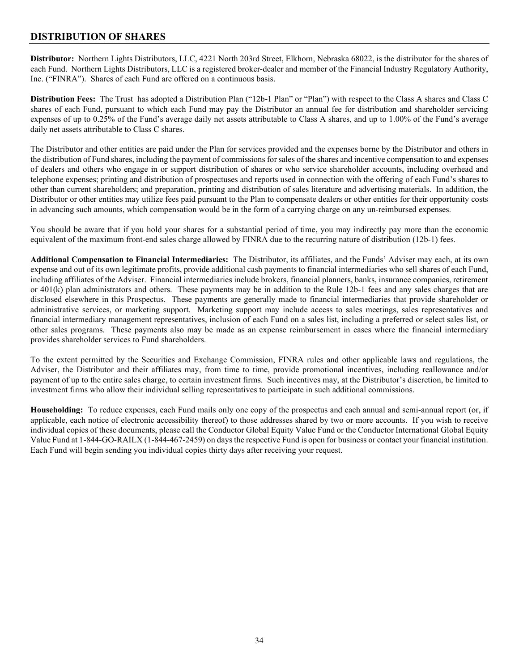### <span id="page-37-0"></span>**DISTRIBUTION OF SHARES**

<span id="page-37-1"></span>**Distributor:** Northern Lights Distributors, LLC, 4221 North 203rd Street, Elkhorn, Nebraska 68022, is the distributor for the shares of each Fund. Northern Lights Distributors, LLC is a registered broker-dealer and member of the Financial Industry Regulatory Authority, Inc. ("FINRA"). Shares of each Fund are offered on a continuous basis.

<span id="page-37-2"></span>**Distribution Fees:** The Trust has adopted a Distribution Plan ("12b-1 Plan" or "Plan") with respect to the Class A shares and Class C shares of each Fund, pursuant to which each Fund may pay the Distributor an annual fee for distribution and shareholder servicing expenses of up to 0.25% of the Fund's average daily net assets attributable to Class A shares, and up to 1.00% of the Fund's average daily net assets attributable to Class C shares.

The Distributor and other entities are paid under the Plan for services provided and the expenses borne by the Distributor and others in the distribution of Fund shares, including the payment of commissions for sales of the shares and incentive compensation to and expenses of dealers and others who engage in or support distribution of shares or who service shareholder accounts, including overhead and telephone expenses; printing and distribution of prospectuses and reports used in connection with the offering of each Fund's shares to other than current shareholders; and preparation, printing and distribution of sales literature and advertising materials. In addition, the Distributor or other entities may utilize fees paid pursuant to the Plan to compensate dealers or other entities for their opportunity costs in advancing such amounts, which compensation would be in the form of a carrying charge on any un-reimbursed expenses.

You should be aware that if you hold your shares for a substantial period of time, you may indirectly pay more than the economic equivalent of the maximum front-end sales charge allowed by FINRA due to the recurring nature of distribution (12b-1) fees.

<span id="page-37-3"></span>**Additional Compensation to Financial Intermediaries:** The Distributor, its affiliates, and the Funds' Adviser may each, at its own expense and out of its own legitimate profits, provide additional cash payments to financial intermediaries who sell shares of each Fund, including affiliates of the Adviser. Financial intermediaries include brokers, financial planners, banks, insurance companies, retirement or 401(k) plan administrators and others. These payments may be in addition to the Rule 12b-1 fees and any sales charges that are disclosed elsewhere in this Prospectus. These payments are generally made to financial intermediaries that provide shareholder or administrative services, or marketing support. Marketing support may include access to sales meetings, sales representatives and financial intermediary management representatives, inclusion of each Fund on a sales list, including a preferred or select sales list, or other sales programs. These payments also may be made as an expense reimbursement in cases where the financial intermediary provides shareholder services to Fund shareholders.

To the extent permitted by the Securities and Exchange Commission, FINRA rules and other applicable laws and regulations, the Adviser, the Distributor and their affiliates may, from time to time, provide promotional incentives, including reallowance and/or payment of up to the entire sales charge, to certain investment firms. Such incentives may, at the Distributor's discretion, be limited to investment firms who allow their individual selling representatives to participate in such additional commissions.

<span id="page-37-4"></span>**Householding:** To reduce expenses, each Fund mails only one copy of the prospectus and each annual and semi-annual report (or, if applicable, each notice of electronic accessibility thereof) to those addresses shared by two or more accounts. If you wish to receive individual copies of these documents, please call the Conductor Global Equity Value Fund or the Conductor International Global Equity Value Fund at 1-844-GO-RAILX (1-844-467-2459) on daysthe respective Fund is open for business or contact your financial institution. Each Fund will begin sending you individual copies thirty days after receiving your request.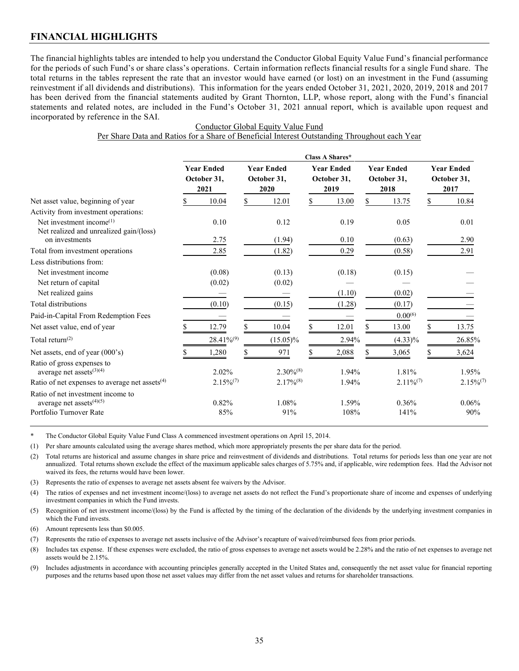<span id="page-38-0"></span>The financial highlights tables are intended to help you understand the Conductor Global Equity Value Fund's financial performance for the periods of such Fund's or share class's operations. Certain information reflects financial results for a single Fund share. The total returns in the tables represent the rate that an investor would have earned (or lost) on an investment in the Fund (assuming reinvestment if all dividends and distributions). This information for the years ended October 31, 2021, 2020, 2019, 2018 and 2017 has been derived from the financial statements audited by Grant Thornton, LLP, whose report, along with the Fund's financial statements and related notes, are included in the Fund's October 31, 2021 annual report, which is available upon request and incorporated by reference in the SAI.

|                                                                           | Class A Shares*                          |                 |                                          |                |                                          |        |                                          |                |    |                                          |
|---------------------------------------------------------------------------|------------------------------------------|-----------------|------------------------------------------|----------------|------------------------------------------|--------|------------------------------------------|----------------|----|------------------------------------------|
|                                                                           | <b>Year Ended</b><br>October 31,<br>2021 |                 | <b>Year Ended</b><br>October 31,<br>2020 |                | <b>Year Ended</b><br>October 31,<br>2019 |        | <b>Year Ended</b><br>October 31,<br>2018 |                |    | <b>Year Ended</b><br>October 31,<br>2017 |
| Net asset value, beginning of year                                        |                                          | 10.04           | \$                                       | 12.01          | \$                                       | 13.00  | \$.                                      | 13.75          | \$ | 10.84                                    |
| Activity from investment operations:                                      |                                          |                 |                                          |                |                                          |        |                                          |                |    |                                          |
| Net investment income $^{(1)}$<br>Net realized and unrealized gain/(loss) |                                          | 0.10            |                                          | 0.12           |                                          | 0.19   |                                          | 0.05           |    | 0.01                                     |
| on investments                                                            |                                          | 2.75            |                                          | (1.94)         |                                          | 0.10   |                                          | (0.63)         |    | 2.90                                     |
| Total from investment operations                                          |                                          | 2.85            |                                          | (1.82)         |                                          | 0.29   |                                          | (0.58)         |    | 2.91                                     |
| Less distributions from:                                                  |                                          |                 |                                          |                |                                          |        |                                          |                |    |                                          |
| Net investment income                                                     |                                          | (0.08)          |                                          | (0.13)         |                                          | (0.18) |                                          | (0.15)         |    |                                          |
| Net return of capital                                                     |                                          | (0.02)          |                                          | (0.02)         |                                          |        |                                          |                |    |                                          |
| Net realized gains                                                        |                                          |                 |                                          |                |                                          | (1.10) |                                          | (0.02)         |    |                                          |
| Total distributions                                                       |                                          | (0.10)          |                                          | (0.15)         |                                          | (1.28) |                                          | (0.17)         |    |                                          |
| Paid-in-Capital From Redemption Fees                                      |                                          |                 |                                          |                |                                          |        |                                          | $0.00^{(6)}$   |    |                                          |
| Net asset value, end of year                                              |                                          | 12.79           |                                          | 10.04          | \$                                       | 12.01  |                                          | 13.00          | S  | 13.75                                    |
| Total return <sup><math>(2)</math></sup>                                  |                                          | $28.41\%^{(9)}$ |                                          | $(15.05)\%$    |                                          | 2.94%  |                                          | $(4.33)\%$     |    | 26.85%                                   |
| Net assets, end of year (000's)                                           |                                          | 1,280           |                                          | 971            | S                                        | 2,088  |                                          | 3,065          |    | 3,624                                    |
| Ratio of gross expenses to<br>average net assets $(3)(4)$                 |                                          | 2.02%           |                                          | $2.30\%^{(8)}$ |                                          | 1.94%  |                                          | 1.81%          |    | 1.95%                                    |
| Ratio of net expenses to average net assets $(4)$                         |                                          | $2.15\%/7$      |                                          | $2.17\%^{(8)}$ |                                          | 1.94%  |                                          | $2.11\%^{(7)}$ |    | $2.15\%^{(7)}$                           |
| Ratio of net investment income to<br>average net assets $(4)(5)$          |                                          | 0.82%           |                                          | 1.08%          |                                          | 1.59%  |                                          | 0.36%          |    | 0.06%                                    |
| Portfolio Turnover Rate                                                   |                                          | 85%             |                                          | 91%            |                                          | 108%   |                                          | 141%           |    | 90%                                      |

Conductor Global Equity Value Fund Per Share Data and Ratios for a Share of Beneficial Interest Outstanding Throughout each Year

\* The Conductor Global Equity Value Fund Class A commenced investment operations on April 15, 2014.

(1) Per share amounts calculated using the average shares method, which more appropriately presents the per share data for the period.

(2) Total returns are historical and assume changes in share price and reinvestment of dividends and distributions. Total returns for periods less than one year are not annualized. Total returns shown exclude the effect of the maximum applicable sales charges of 5.75% and, if applicable, wire redemption fees. Had the Advisor not waived its fees, the returns would have been lower.

(3) Represents the ratio of expenses to average net assets absent fee waivers by the Advisor.

(4) The ratios of expenses and net investment income/(loss) to average net assets do not reflect the Fund's proportionate share of income and expenses of underlying investment companies in which the Fund invests.

(5) Recognition of net investment income/(loss) by the Fund is affected by the timing of the declaration of the dividends by the underlying investment companies in which the Fund invests.

(6) Amount represents less than \$0.005.

(7) Represents the ratio of expenses to average net assets inclusive of the Advisor's recapture of waived/reimbursed fees from prior periods.

(8) Includes tax expense. If these expenses were excluded, the ratio of gross expenses to average net assets would be 2.28% and the ratio of net expenses to average net assets would be 2.15%.

(9) Includes adjustments in accordance with accounting principles generally accepted in the United States and, consequently the net asset value for financial reporting purposes and the returns based upon those net asset values may differ from the net asset values and returns for shareholder transactions.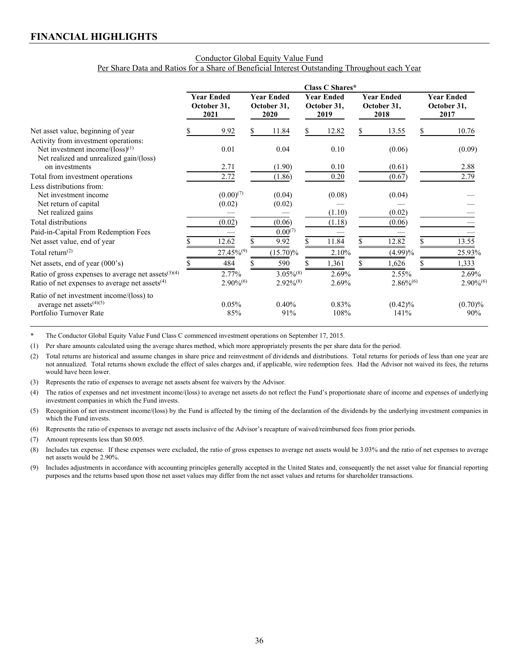#### Conductor Global Equity Value Fund Per Share Data and Ratios for a Share of Beneficial Interest Outstanding Throughout each Year

|                                                            | Class C Shares* |                                          |   |                                          |  |                                          |   |                                          |   |                                          |
|------------------------------------------------------------|-----------------|------------------------------------------|---|------------------------------------------|--|------------------------------------------|---|------------------------------------------|---|------------------------------------------|
|                                                            |                 | <b>Year Ended</b><br>October 31,<br>2021 |   | <b>Year Ended</b><br>October 31,<br>2020 |  | <b>Year Ended</b><br>October 31,<br>2019 |   | <b>Year Ended</b><br>October 31,<br>2018 |   | <b>Year Ended</b><br>October 31,<br>2017 |
| Net asset value, beginning of year                         |                 | 9.92                                     | S | 11.84                                    |  | 12.82                                    | S | 13.55                                    | S | 10.76                                    |
| Activity from investment operations:                       |                 |                                          |   |                                          |  |                                          |   |                                          |   |                                          |
| Net investment income/ $(\text{loss})^{(1)}$               |                 | 0.01                                     |   | 0.04                                     |  | 0.10                                     |   | (0.06)                                   |   | (0.09)                                   |
| Net realized and unrealized gain/(loss)                    |                 |                                          |   |                                          |  |                                          |   |                                          |   |                                          |
| on investments                                             |                 | 2.71                                     |   | (1.90)                                   |  | 0.10                                     |   | (0.61)                                   |   | 2.88                                     |
| Total from investment operations                           |                 | 2.72                                     |   | (1.86)                                   |  | 0.20                                     |   | (0.67)                                   |   | 2.79                                     |
| Less distributions from:                                   |                 |                                          |   |                                          |  |                                          |   |                                          |   |                                          |
| Net investment income                                      |                 | $(0.00)^{(7)}$                           |   | (0.04)                                   |  | (0.08)                                   |   | (0.04)                                   |   |                                          |
| Net return of capital                                      |                 | (0.02)                                   |   | (0.02)                                   |  |                                          |   |                                          |   |                                          |
| Net realized gains                                         |                 |                                          |   |                                          |  | (1.10)                                   |   | (0.02)                                   |   |                                          |
| Total distributions                                        |                 | (0.02)                                   |   | (0.06)                                   |  | (1.18)                                   |   | (0.06)                                   |   |                                          |
| Paid-in-Capital From Redemption Fees                       |                 |                                          |   | $0.00^{(7)}$                             |  |                                          |   |                                          |   |                                          |
| Net asset value, end of year                               |                 | 12.62                                    |   | 9.92                                     |  | 11.84                                    |   | 12.82                                    |   | 13.55                                    |
| Total return <sup><math>(2)</math></sup>                   |                 | $27.45\%^{(9)}$                          |   | $(15.70)\%$                              |  | 2.10%                                    |   | $(4.99)\%$                               |   | 25.93%                                   |
| Net assets, end of year (000's)                            |                 | 484                                      |   | 590                                      |  | 1,361                                    |   | 1,626                                    |   | 1,333                                    |
| Ratio of gross expenses to average net assets $(3)(4)$     |                 | 2.77%                                    |   | $3.05\%^{(8)}$                           |  | 2.69%                                    |   | $2.55\%$                                 |   | 2.69%                                    |
| Ratio of net expenses to average net assets <sup>(4)</sup> |                 | $2.90\%^{(6)}$                           |   | $2.92\%/8$                               |  | 2.69%                                    |   | $2.86\%^{(6)}$                           |   | $2.90\%^{(6)}$                           |
| Ratio of net investment income/(loss) to                   |                 |                                          |   |                                          |  |                                          |   |                                          |   |                                          |
| average net assets $(4)(5)$                                |                 | 0.05%                                    |   | 0.40%                                    |  | $0.83\%$                                 |   | $(0.42)\%$                               |   | $(0.70)\%$                               |
| Portfolio Turnover Rate                                    |                 | 85%                                      |   | 91%                                      |  | 108%                                     |   | 141%                                     |   | 90%                                      |

\* The Conductor Global Equity Value Fund Class C commenced investment operations on September 17, 2015.

(1) Per share amounts calculated using the average shares method, which more appropriately presents the per share data for the period.

(2) Total returns are historical and assume changes in share price and reinvestment of dividends and distributions. Total returns for periods of less than one year are not annualized. Total returns shown exclude the effect of sales charges and, if applicable, wire redemption fees. Had the Advisor not waived its fees, the returns would have been lower.

(3) Represents the ratio of expenses to average net assets absent fee waivers by the Advisor.

(4) The ratios of expenses and net investment income/(loss) to average net assets do not reflect the Fund's proportionate share of income and expenses of underlying investment companies in which the Fund invests.

(5) Recognition of net investment income/(loss) by the Fund is affected by the timing of the declaration of the dividends by the underlying investment companies in which the Fund invests.

(6) Represents the ratio of expenses to average net assets inclusive of the Advisor's recapture of waived/reimbursed fees from prior periods.

(7) Amount represents less than \$0.005.

(8) Includes tax expense. If these expenses were excluded, the ratio of gross expenses to average net assets would be 3.03% and the ratio of net expenses to average net assets would be 2.90%.

(9) Includes adjustments in accordance with accounting principles generally accepted in the United States and, consequently the net asset value for financial reporting purposes and the returns based upon those net asset values may differ from the net asset values and returns for shareholder transactions.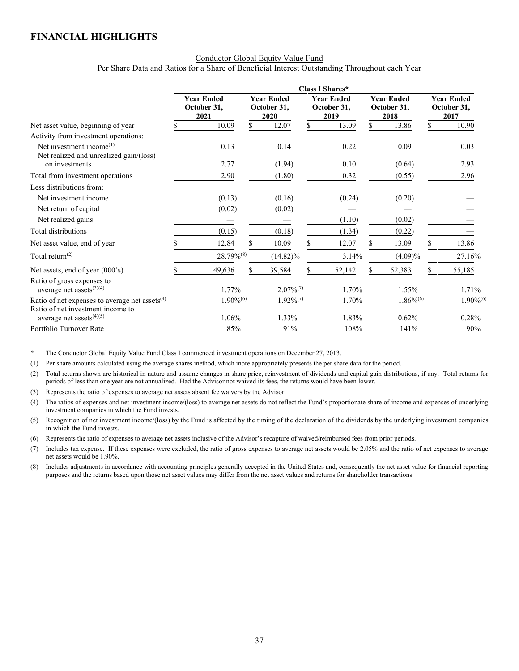#### Conductor Global Equity Value Fund Per Share Data and Ratios for a Share of Beneficial Interest Outstanding Throughout each Year

|                                                                                                 | Class I Shares*                          |                |                                          |                |                                          |        |                                          |                |    |                                          |
|-------------------------------------------------------------------------------------------------|------------------------------------------|----------------|------------------------------------------|----------------|------------------------------------------|--------|------------------------------------------|----------------|----|------------------------------------------|
|                                                                                                 | <b>Year Ended</b><br>October 31,<br>2021 |                | <b>Year Ended</b><br>October 31,<br>2020 |                | <b>Year Ended</b><br>October 31,<br>2019 |        | <b>Year Ended</b><br>October 31,<br>2018 |                |    | <b>Year Ended</b><br>October 31,<br>2017 |
| Net asset value, beginning of year                                                              |                                          | 10.09          | S.                                       | 12.07          | \$                                       | 13.09  | S.                                       | 13.86          | \$ | 10.90                                    |
| Activity from investment operations:                                                            |                                          |                |                                          |                |                                          |        |                                          |                |    |                                          |
| Net investment income $^{(1)}$                                                                  |                                          | 0.13           |                                          | 0.14           |                                          | 0.22   |                                          | 0.09           |    | 0.03                                     |
| Net realized and unrealized gain/(loss)<br>on investments                                       |                                          | 2.77           |                                          | (1.94)         |                                          | 0.10   |                                          | (0.64)         |    | 2.93                                     |
| Total from investment operations                                                                |                                          | 2.90           |                                          | (1.80)         |                                          | 0.32   |                                          | (0.55)         |    | 2.96                                     |
| Less distributions from:                                                                        |                                          |                |                                          |                |                                          |        |                                          |                |    |                                          |
| Net investment income                                                                           |                                          | (0.13)         |                                          | (0.16)         |                                          | (0.24) |                                          | (0.20)         |    |                                          |
| Net return of capital                                                                           |                                          | (0.02)         |                                          | (0.02)         |                                          |        |                                          |                |    |                                          |
| Net realized gains                                                                              |                                          |                |                                          |                |                                          | (1.10) |                                          | (0.02)         |    |                                          |
| Total distributions                                                                             |                                          | (0.15)         |                                          | (0.18)         |                                          | (1.34) |                                          | (0.22)         |    |                                          |
| Net asset value, end of year                                                                    |                                          | 12.84          | \$                                       | 10.09          |                                          | 12.07  |                                          | 13.09          |    | 13.86                                    |
| Total return <sup>(2)</sup>                                                                     |                                          | 28.79%(8)      |                                          | $(14.82)\%$    |                                          | 3.14%  |                                          | $(4.09)\%$     |    | 27.16%                                   |
| Net assets, end of year (000's)                                                                 |                                          | 49,636         |                                          | 39,584         |                                          | 52,142 |                                          | 52,383         |    | 55,185                                   |
| Ratio of gross expenses to<br>average net assets $(3)(4)$                                       |                                          | 1.77%          |                                          | $2.07\%^{(7)}$ |                                          | 1.70%  |                                          | 1.55%          |    | 1.71%                                    |
| Ratio of net expenses to average net assets <sup>(4)</sup><br>Ratio of net investment income to |                                          | $1.90\%^{(6)}$ |                                          | $1.92\%/7$     |                                          | 1.70%  |                                          | $1.86\%^{(6)}$ |    | $1.90\%$ <sup>(6)</sup>                  |
| average net assets $(4)(5)$                                                                     |                                          | 1.06%          |                                          | 1.33%          |                                          | 1.83%  |                                          | 0.62%          |    | 0.28%                                    |
| Portfolio Turnover Rate                                                                         |                                          | 85%            |                                          | 91%            |                                          | 108%   |                                          | 141%           |    | 90%                                      |

\* The Conductor Global Equity Value Fund Class I commenced investment operations on December 27, 2013.

(1) Per share amounts calculated using the average shares method, which more appropriately presents the per share data for the period.

(2) Total returns shown are historical in nature and assume changes in share price, reinvestment of dividends and capital gain distributions, if any. Total returns for periods of less than one year are not annualized. Had the Advisor not waived its fees, the returns would have been lower.

(3) Represents the ratio of expenses to average net assets absent fee waivers by the Advisor.

(4) The ratios of expenses and net investment income/(loss) to average net assets do not reflect the Fund's proportionate share of income and expenses of underlying investment companies in which the Fund invests.

(5) Recognition of net investment income/(loss) by the Fund is affected by the timing of the declaration of the dividends by the underlying investment companies in which the Fund invests.

(6) Represents the ratio of expenses to average net assets inclusive of the Advisor's recapture of waived/reimbursed fees from prior periods.

(7) Includes tax expense. If these expenses were excluded, the ratio of gross expenses to average net assets would be 2.05% and the ratio of net expenses to average net assets would be 1.90%.

(8) Includes adjustments in accordance with accounting principles generally accepted in the United States and, consequently the net asset value for financial reporting purposes and the returns based upon those net asset values may differ from the net asset values and returns for shareholder transactions.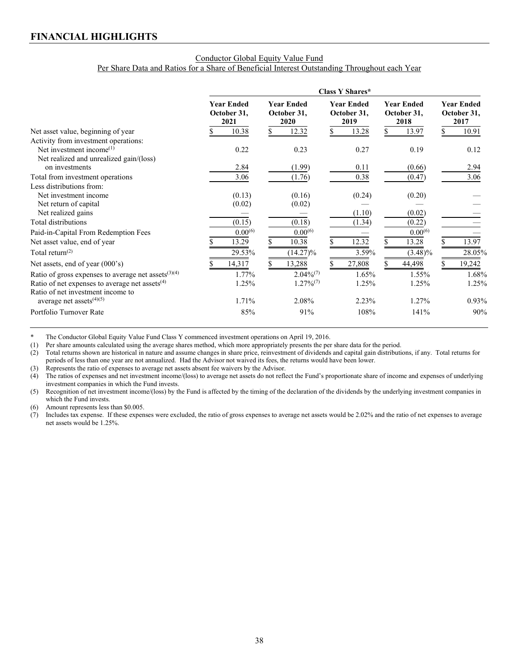#### Conductor Global Equity Value Fund Per Share Data and Ratios for a Share of Beneficial Interest Outstanding Throughout each Year

|                                                        | Class Y Shares* |                                          |  |                                          |  |                                          |  |                                          |                                          |
|--------------------------------------------------------|-----------------|------------------------------------------|--|------------------------------------------|--|------------------------------------------|--|------------------------------------------|------------------------------------------|
|                                                        |                 | <b>Year Ended</b><br>October 31,<br>2021 |  | <b>Year Ended</b><br>October 31,<br>2020 |  | <b>Year Ended</b><br>October 31,<br>2019 |  | <b>Year Ended</b><br>October 31,<br>2018 | <b>Year Ended</b><br>October 31,<br>2017 |
| Net asset value, beginning of year                     |                 | 10.38                                    |  | 12.32                                    |  | 13.28                                    |  | 13.97                                    | 10.91                                    |
| Activity from investment operations:                   |                 |                                          |  |                                          |  |                                          |  |                                          |                                          |
| Net investment income $^{(1)}$                         |                 | 0.22                                     |  | 0.23                                     |  | 0.27                                     |  | 0.19                                     | 0.12                                     |
| Net realized and unrealized gain/(loss)                |                 |                                          |  |                                          |  |                                          |  |                                          |                                          |
| on investments                                         |                 | 2.84                                     |  | (1.99)                                   |  | 0.11                                     |  | (0.66)                                   | 2.94                                     |
| Total from investment operations                       |                 | 3.06                                     |  | (1.76)                                   |  | 0.38                                     |  | (0.47)                                   | 3.06                                     |
| Less distributions from:                               |                 |                                          |  |                                          |  |                                          |  |                                          |                                          |
| Net investment income                                  |                 | (0.13)                                   |  | (0.16)                                   |  | (0.24)                                   |  | (0.20)                                   |                                          |
| Net return of capital                                  |                 | (0.02)                                   |  | (0.02)                                   |  |                                          |  |                                          |                                          |
| Net realized gains                                     |                 |                                          |  |                                          |  | (1.10)                                   |  | (0.02)                                   |                                          |
| Total distributions                                    |                 | (0.15)                                   |  | (0.18)                                   |  | (1.34)                                   |  | (0.22)                                   |                                          |
| Paid-in-Capital From Redemption Fees                   |                 | $0.00^{(6)}$                             |  | $0.00^{(6)}$                             |  |                                          |  | $0.00^{(6)}$                             |                                          |
| Net asset value, end of year                           |                 | 13.29                                    |  | 10.38                                    |  | 12.32                                    |  | 13.28                                    | 13.97                                    |
| Total return <sup><math>(2)</math></sup>               |                 | 29.53%                                   |  | $(14.27)\%$                              |  | 3.59%                                    |  | $(3.48)\%$                               | 28.05%                                   |
| Net assets, end of year $(000's)$                      |                 | 14,317                                   |  | 13,288                                   |  | 27,808                                   |  | 44,498                                   | 19,242                                   |
| Ratio of gross expenses to average net assets $(3)(4)$ |                 | 1.77%                                    |  | $2.04\%^{(7)}$                           |  | 1.65%                                    |  | 1.55%                                    | 1.68%                                    |
| Ratio of net expenses to average net assets $(4)$      |                 | 1.25%                                    |  | $1.27\%/7$                               |  | 1.25%                                    |  | 1.25%                                    | 1.25%                                    |
| Ratio of net investment income to                      |                 |                                          |  |                                          |  |                                          |  |                                          |                                          |
| average net assets $(4)(5)$                            |                 | 1.71%                                    |  | 2.08%                                    |  | 2.23%                                    |  | 1.27%                                    | 0.93%                                    |
| Portfolio Turnover Rate                                |                 | 85%                                      |  | 91%                                      |  | 108%                                     |  | 141%                                     | 90%                                      |

\* The Conductor Global Equity Value Fund Class Y commenced investment operations on April 19, 2016.<br>(1) Per share amounts calculated using the average shares method, which more appropriately presents the per

Per share amounts calculated using the average shares method, which more appropriately presents the per share data for the period.

(2) Total returns shown are historical in nature and assume changes in share price, reinvestment of dividends and capital gain distributions, if any. Total returns for periods of less than one year are not annualized. Had the Advisor not waived its fees, the returns would have been lower.

(3) Represents the ratio of expenses to average net assets absent fee waivers by the Advisor.

(4) The ratios of expenses and net investment income/(loss) to average net assets do not reflect the Fund's proportionate share of income and expenses of underlying investment companies in which the Fund invests.

(5) Recognition of net investment income/(loss) by the Fund is affected by the timing of the declaration of the dividends by the underlying investment companies in which the Fund invests.

(6) Amount represents less than \$0.005.

(7) Includes tax expense. If these expenses were excluded, the ratio of gross expenses to average net assets would be 2.02% and the ratio of net expenses to average net assets would be 1.25%.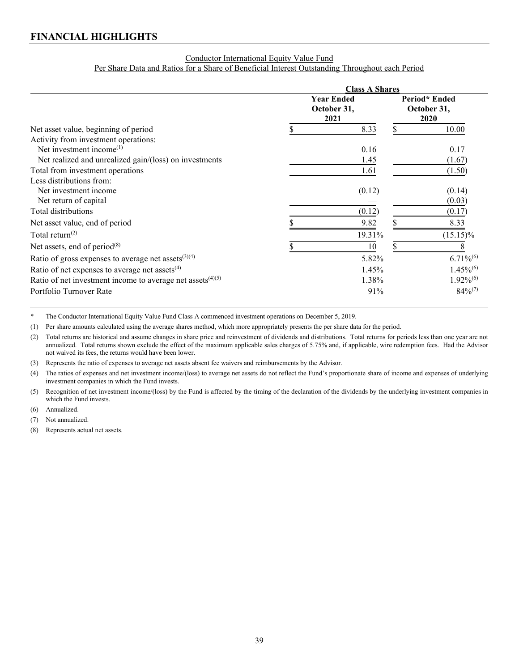### Conductor International Equity Value Fund

Per Share Data and Ratios for a Share of Beneficial Interest Outstanding Throughout each Period

|                                                                        | <b>Class A Shares</b> |                                          |    |                                      |  |  |  |
|------------------------------------------------------------------------|-----------------------|------------------------------------------|----|--------------------------------------|--|--|--|
|                                                                        |                       | <b>Year Ended</b><br>October 31,<br>2021 |    | Period* Ended<br>October 31,<br>2020 |  |  |  |
| Net asset value, beginning of period                                   |                       | 8.33                                     | \$ | 10.00                                |  |  |  |
| Activity from investment operations:<br>Net investment income $^{(1)}$ |                       | 0.16                                     |    | 0.17                                 |  |  |  |
| Net realized and unrealized gain/(loss) on investments                 |                       | 1.45                                     |    | (1.67)                               |  |  |  |
| Total from investment operations                                       |                       | 1.61                                     |    | (1.50)                               |  |  |  |
| Less distributions from:                                               |                       |                                          |    |                                      |  |  |  |
| Net investment income                                                  |                       | (0.12)                                   |    | (0.14)                               |  |  |  |
| Net return of capital                                                  |                       |                                          |    | (0.03)                               |  |  |  |
| Total distributions                                                    |                       | (0.12)                                   |    | (0.17)                               |  |  |  |
| Net asset value, end of period                                         |                       | 9.82                                     |    | 8.33                                 |  |  |  |
| Total return <sup><math>(2)</math></sup>                               |                       | 19.31%                                   |    | $(15.15)\%$                          |  |  |  |
| Net assets, end of period $(8)$                                        |                       | 10                                       |    |                                      |  |  |  |
| Ratio of gross expenses to average net assets $(3)(4)$                 |                       | 5.82%                                    |    | $6.71\%^{(6)}$                       |  |  |  |
| Ratio of net expenses to average net assets $(4)$                      |                       | 1.45%                                    |    | $1.45\%^{(6)}$                       |  |  |  |
| Ratio of net investment income to average net assets $(4)(5)$          |                       | 1.38%                                    |    | $1.92\%^{(6)}$                       |  |  |  |
| Portfolio Turnover Rate                                                |                       | 91%                                      |    | $84\%^{(7)}$                         |  |  |  |

\* The Conductor International Equity Value Fund Class A commenced investment operations on December 5, 2019.

(1) Per share amounts calculated using the average shares method, which more appropriately presents the per share data for the period.

(2) Total returns are historical and assume changes in share price and reinvestment of dividends and distributions. Total returns for periods less than one year are not annualized. Total returns shown exclude the effect of the maximum applicable sales charges of 5.75% and, if applicable, wire redemption fees. Had the Advisor not waived its fees, the returns would have been lower.

(3) Represents the ratio of expenses to average net assets absent fee waivers and reimbursements by the Advisor.

(4) The ratios of expenses and net investment income/(loss) to average net assets do not reflect the Fund's proportionate share of income and expenses of underlying investment companies in which the Fund invests.

(5) Recognition of net investment income/(loss) by the Fund is affected by the timing of the declaration of the dividends by the underlying investment companies in which the Fund invests.

(6) Annualized.

(7) Not annualized.

(8) Represents actual net assets.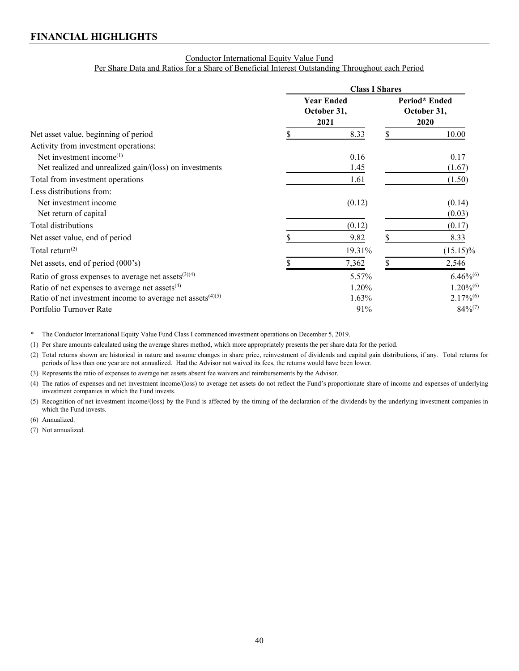### Conductor International Equity Value Fund Per Share Data and Ratios for a Share of Beneficial Interest Outstanding Throughout each Period

|                                                                        | <b>Class I Shares</b> |                                          |    |                                      |  |
|------------------------------------------------------------------------|-----------------------|------------------------------------------|----|--------------------------------------|--|
|                                                                        |                       | <b>Year Ended</b><br>October 31,<br>2021 |    | Period* Ended<br>October 31,<br>2020 |  |
| Net asset value, beginning of period                                   |                       | 8.33                                     | \$ | 10.00                                |  |
| Activity from investment operations:                                   |                       |                                          |    |                                      |  |
| Net investment income $^{(1)}$                                         |                       | 0.16                                     |    | 0.17                                 |  |
| Net realized and unrealized gain/(loss) on investments                 |                       | 1.45                                     |    | (1.67)                               |  |
| Total from investment operations                                       |                       | 1.61                                     |    | (1.50)                               |  |
| Less distributions from:                                               |                       |                                          |    |                                      |  |
| Net investment income                                                  |                       | (0.12)                                   |    | (0.14)                               |  |
| Net return of capital                                                  |                       |                                          |    | (0.03)                               |  |
| Total distributions                                                    |                       | (0.12)                                   |    | (0.17)                               |  |
| Net asset value, end of period                                         |                       | 9.82                                     |    | 8.33                                 |  |
| Total return <sup><math>(2)</math></sup>                               |                       | 19.31%                                   |    | $(15.15)\%$                          |  |
| Net assets, end of period (000's)                                      |                       | 7,362                                    |    | 2,546                                |  |
| Ratio of gross expenses to average net assets $(3)(4)$                 |                       | 5.57%                                    |    | $6.46\%^{(6)}$                       |  |
| Ratio of net expenses to average net assets <sup>(4)</sup>             |                       | 1.20%                                    |    | $1.20\%^{(6)}$                       |  |
| Ratio of net investment income to average net assets <sup>(4)(5)</sup> |                       | 1.63%                                    |    | $2.17\%^{(6)}$                       |  |
| Portfolio Turnover Rate                                                |                       | 91%                                      |    | $84\%^{(7)}$                         |  |

\* The Conductor International Equity Value Fund Class I commenced investment operations on December 5, 2019.

(1) Per share amounts calculated using the average shares method, which more appropriately presents the per share data for the period.

(2) Total returns shown are historical in nature and assume changes in share price, reinvestment of dividends and capital gain distributions, if any. Total returns for periods of less than one year are not annualized. Had the Advisor not waived its fees, the returns would have been lower.

(3) Represents the ratio of expenses to average net assets absent fee waivers and reimbursements by the Advisor.

(4) The ratios of expenses and net investment income/(loss) to average net assets do not reflect the Fund's proportionate share of income and expenses of underlying investment companies in which the Fund invests.

(5) Recognition of net investment income/(loss) by the Fund is affected by the timing of the declaration of the dividends by the underlying investment companies in which the Fund invests.

(6) Annualized.

(7) Not annualized.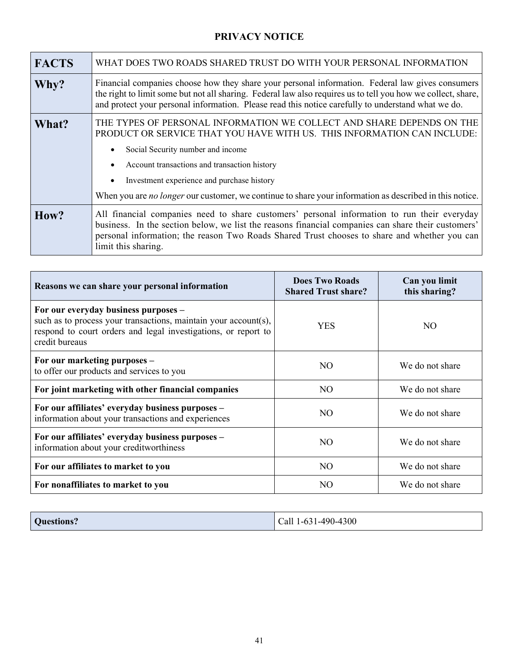# **PRIVACY NOTICE**

<span id="page-44-0"></span>

| <b>FACTS</b> | WHAT DOES TWO ROADS SHARED TRUST DO WITH YOUR PERSONAL INFORMATION                                                                                                                                                                                                                                                                                                                                                       |
|--------------|--------------------------------------------------------------------------------------------------------------------------------------------------------------------------------------------------------------------------------------------------------------------------------------------------------------------------------------------------------------------------------------------------------------------------|
| Why?         | Financial companies choose how they share your personal information. Federal law gives consumers<br>the right to limit some but not all sharing. Federal law also requires us to tell you how we collect, share,<br>and protect your personal information. Please read this notice carefully to understand what we do.                                                                                                   |
| What?        | THE TYPES OF PERSONAL INFORMATION WE COLLECT AND SHARE DEPENDS ON THE<br>PRODUCT OR SERVICE THAT YOU HAVE WITH US. THIS INFORMATION CAN INCLUDE:<br>Social Security number and income<br>$\bullet$<br>Account transactions and transaction history<br>$\bullet$<br>Investment experience and purchase history<br>When you are no longer our customer, we continue to share your information as described in this notice. |
| How?         | All financial companies need to share customers' personal information to run their everyday<br>business. In the section below, we list the reasons financial companies can share their customers'<br>personal information; the reason Two Roads Shared Trust chooses to share and whether you can<br>limit this sharing.                                                                                                 |

| Reasons we can share your personal information                                                                                                                                              | <b>Does Two Roads</b><br><b>Shared Trust share?</b> | Can you limit<br>this sharing? |
|---------------------------------------------------------------------------------------------------------------------------------------------------------------------------------------------|-----------------------------------------------------|--------------------------------|
| For our everyday business purposes -<br>such as to process your transactions, maintain your account(s),<br>respond to court orders and legal investigations, or report to<br>credit bureaus | <b>YES</b>                                          | NO.                            |
| For our marketing purposes -<br>to offer our products and services to you                                                                                                                   | NO.                                                 | We do not share                |
| For joint marketing with other financial companies                                                                                                                                          | NO.                                                 | We do not share                |
| For our affiliates' everyday business purposes -<br>information about your transactions and experiences                                                                                     | N <sub>O</sub>                                      | We do not share                |
| For our affiliates' everyday business purposes -<br>information about your creditworthiness                                                                                                 | NO.                                                 | We do not share                |
| For our affiliates to market to you                                                                                                                                                         | N <sub>O</sub>                                      | We do not share                |
| For nonaffiliates to market to you                                                                                                                                                          | NO.                                                 | We do not share                |

| Questions?<br>Call 1-631-490-4300 |
|-----------------------------------|
|-----------------------------------|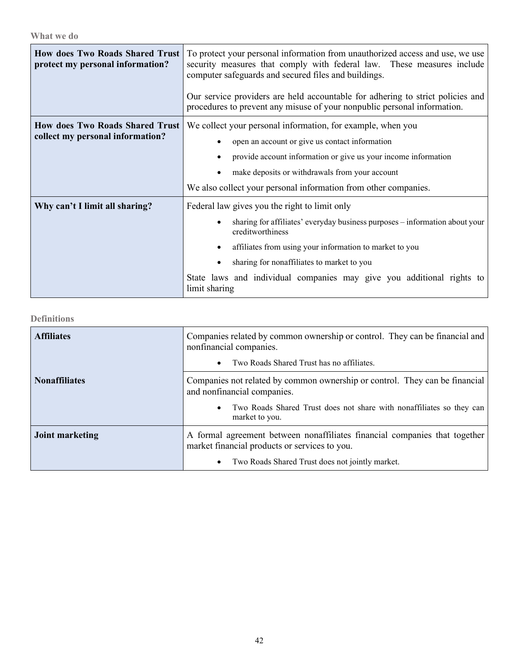**What we do**

| <b>How does Two Roads Shared Trust</b><br>protect my personal information? | To protect your personal information from unauthorized access and use, we use<br>security measures that comply with federal law. These measures include<br>computer safeguards and secured files and buildings. |
|----------------------------------------------------------------------------|-----------------------------------------------------------------------------------------------------------------------------------------------------------------------------------------------------------------|
|                                                                            | Our service providers are held accountable for adhering to strict policies and<br>procedures to prevent any misuse of your nonpublic personal information.                                                      |
| <b>How does Two Roads Shared Trust</b>                                     | We collect your personal information, for example, when you                                                                                                                                                     |
| collect my personal information?                                           | open an account or give us contact information                                                                                                                                                                  |
|                                                                            | provide account information or give us your income information                                                                                                                                                  |
|                                                                            | make deposits or withdrawals from your account                                                                                                                                                                  |
|                                                                            | We also collect your personal information from other companies.                                                                                                                                                 |
| Why can't I limit all sharing?                                             | Federal law gives you the right to limit only                                                                                                                                                                   |
|                                                                            | sharing for affiliates' everyday business purposes - information about your<br>creditworthiness                                                                                                                 |
|                                                                            | affiliates from using your information to market to you                                                                                                                                                         |
|                                                                            | sharing for nonaffiliates to market to you                                                                                                                                                                      |
|                                                                            | State laws and individual companies may give you additional rights to<br>limit sharing                                                                                                                          |

**Definitions**

| <b>Affiliates</b>    | Companies related by common ownership or control. They can be financial and<br>nonfinancial companies.<br>Two Roads Shared Trust has no affiliates. |  |  |
|----------------------|-----------------------------------------------------------------------------------------------------------------------------------------------------|--|--|
|                      |                                                                                                                                                     |  |  |
| <b>Nonaffiliates</b> | Companies not related by common ownership or control. They can be financial<br>and nonfinancial companies.                                          |  |  |
|                      | Two Roads Shared Trust does not share with nonaffiliates so they can<br>market to you.                                                              |  |  |
| Joint marketing      | A formal agreement between nonaffiliates financial companies that together<br>market financial products or services to you.                         |  |  |
|                      | Two Roads Shared Trust does not jointly market.                                                                                                     |  |  |